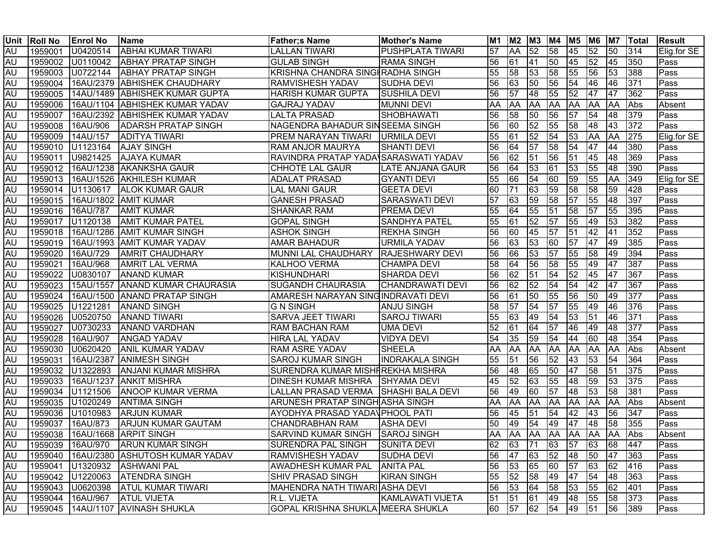| Unit      | <b>Roll No</b> | <b>Enrol No</b>  | <b>Name</b>                            | <b>Father;s Name</b>                   | <b>Mother's Name</b>    | M1              | M <sub>2</sub> | M <sub>3</sub>  | M4              | <b>M5 M6</b>    |                 | M7              | <b>ITotal</b> | <b>Result</b> |
|-----------|----------------|------------------|----------------------------------------|----------------------------------------|-------------------------|-----------------|----------------|-----------------|-----------------|-----------------|-----------------|-----------------|---------------|---------------|
| AU        | 1959001        | U0420514         | <b>ABHAI KUMAR TIWARI</b>              | <b>LALLAN TIWARI</b>                   | <b>PUSHPLATA TIWARI</b> | 57              | <b>AA</b>      | $\overline{52}$ | 58              | 45              | $\overline{52}$ | $\overline{50}$ | 314           | Elig.for SE   |
| AU        | 1959002        | U0110042         | <b>ABHAY PRATAP SINGH</b>              | <b>GULAB SINGH</b>                     | <b>RAMA SINGH</b>       | 56              | 61             | 41              | 50              | 45              | $\overline{52}$ | 45              | 350           | Pass          |
| <b>AU</b> | 1959003        | U0722144         | <b>ABHAY PRATAP SINGH</b>              | KRISHNA CHANDRA SINGHRADHA SINGH       |                         | 55              | 58             | 53              | 58              | 55              | 56              | 53              | 388           | Pass          |
| <b>AU</b> | 1959004        |                  | 16AU/2379 ABHISHEK CHAUDHARY           | <b>RAMVISHESH YADAV</b>                | <b>SUDHA DEVI</b>       | 56              | 63             | 50              | 56              | 54              | $ 46\rangle$    | 46              | 371           | Pass          |
| <b>AU</b> | 1959005        |                  | 14AU/1489 ABHISHEK KUMAR GUPTA         | <b>HARISH KUMAR GUPTA</b>              | <b>SUSHILA DEVI</b>     | 56              | 57             | 48              | 55              | $\overline{52}$ | 47              | 47              | 362           | Pass          |
| <b>AU</b> | 1959006        |                  | 16AU/1104 ABHISHEK KUMAR YADAV         | <b>GAJRAJ YADAV</b>                    | <b>MUNNI DEVI</b>       | AA              | AA             | AA              | <b>AA</b>       | AA              | <b>AA</b>       | <b>AA</b>       | Abs           | Absent        |
| AU        | 1959007        |                  | 16AU/2392 ABHISHEK KUMAR YADAV         | <b>LALTA PRASAD</b>                    | SHOBHAWATI              | 56              | 58             | 50              | 56              | $\overline{57}$ | 54              | 48              | 379           | Pass          |
| AU        | 1959008        | 16AU/906         | <b>ADARSH PRATAP SINGH</b>             | NAGENDRA BAHADUR SINSEEMA SINGH        |                         | 56              | 60             | 52              | 55              | 58              | 48              | 43              | 372           | Pass          |
| <b>AU</b> |                | 1959009 14AU/157 | <b>ADITYA TIWARI</b>                   | <b>PREM NARAYAN TIWARI URMILA DEVI</b> |                         | 55              | 61             | 52              | 54              | 53              | <b>AA</b>       | <b>AA</b>       | 275           | Elig.for SE   |
| <b>AU</b> |                | 1959010 U1123164 | <b>AJAY SINGH</b>                      | <b>RAM ANJOR MAURYA</b>                | <b>SHANTI DEVI</b>      | 56              | 64             | 57              | 58              | $\overline{54}$ | 47              | 44              | 380           | Pass          |
| <b>AU</b> | 1959011        | U9821425         | <b>AJAYA KUMAR</b>                     | RAVINDRA PRATAP YADA SARASWATI YADAV   |                         | 56              | 62             | 51              | 56              | 51              | 45              | 48              | 369           | Pass          |
| <b>AU</b> |                |                  | 1959012 16AU/1238 AKANKSHA GAUR        | <b>CHHOTE LAL GAUR</b>                 | LATE ANJANA GAUR        | 56              | 64             | 53              | $\overline{61}$ | 53              | 55              | 48              | 390           | Pass          |
| <b>AU</b> |                |                  | 1959013   16AU/1526   AKHILESH KUMAR   | <b>ADALAT PRASAD</b>                   | <b>GYANTI DEVI</b>      | 55              | 66             | 54              | 60              | 59              | 55              | <b>AA</b>       | 349           | Elig.for SE   |
| AU        |                | 1959014 U1130617 | <b>ALOK KUMAR GAUR</b>                 | <b>LAL MANI GAUR</b>                   | <b>GEETA DEVI</b>       | 60              | 71             | 63              | 59              | 58              | 58              | 59              | 428           | Pass          |
| <b>AU</b> |                |                  | 1959015   16AU/1802   AMIT KUMAR       | <b>GANESH PRASAD</b>                   | <b>SARASWATI DEVI</b>   | $\overline{57}$ | 63             | 59              | 58              | $\overline{57}$ | 55              | 48              | 397           | Pass          |
| <b>AU</b> | 1959016        | 16AU/787         | <b>AMIT KUMAR</b>                      | <b>SHANKAR RAM</b>                     | <b>PREMA DEVI</b>       | 55              | 64             | 55              | $\overline{51}$ | 58              | $\overline{57}$ | 55              | 395           | Pass          |
| <b>AU</b> | 1959017        | U1120138         | <b>AMIT KUMAR PATEL</b>                | <b>GOPAL SINGH</b>                     | <b>SANDHYA PATEL</b>    | 55              | 61             | 52              | 57              | 55              | 49              | 53              | 382           | Pass          |
| AU        | 1959018        |                  | 16AU/1286 AMIT KUMAR SINGH             | <b>ASHOK SINGH</b>                     | <b>REKHA SINGH</b>      | 56              | 60             | 45              | $\overline{57}$ | 51              | 42              | 41              | 352           | Pass          |
| <b>AU</b> | 1959019        |                  | 16AU/1993   AMIT KUMAR YADAV           | <b>AMAR BAHADUR</b>                    | <b>URMILA YADAV</b>     | 56              | 63             | 53              | 60              | 57              | 47              | 49              | 385           | Pass          |
| <b>AU</b> | 1959020        | 16AU/729         | <b>AMRIT CHAUDHARY</b>                 | MUNNI LAL CHAUDHARY                    | <b>RAJESHWARY DEVI</b>  | 56              | 66             | 53              | 57              | 55              | 58              | 49              | 394           | Pass          |
| AU        | 1959021        | 16AU/968         | <b>AMRIT LAL VERMA</b>                 | <b>KALHOO VERMA</b>                    | <b>CHAMPA DEVI</b>      | 58              | 64             | 56              | 58              | 55              | 49              | 47              | 387           | Pass          |
| AU        | 1959022        | U0830107         | <b>ANAND KUMAR</b>                     | KISHUNDHARI                            | <b>SHARDA DEVI</b>      | 56              | 62             | 51              | 54              | 52              | 45              | 47              | 367           | Pass          |
| <b>AU</b> | 1959023        |                  | 15AU/1557 ANAND KUMAR CHAURASIA        | <b>SUGANDH CHAURASIA</b>               | CHANDRAWATI DEVI        | 56              | 62             | 52              | 54              | 54              | 42              | 47              | 367           | Pass          |
| <b>AU</b> | 1959024        |                  | 16AU/1500 ANAND PRATAP SINGH           | AMARESH NARAYAN SING INDRAVATI DEVI    |                         | 56              | 61             | 50              | 55              | 56              | 50              | 49              | 377           | Pass          |
| AU        | 1959025        | U1221281         | <b>ANAND SINGH</b>                     | <b>G N SINGH</b>                       | <b>ANJU SINGH</b>       | 58              | 57             | 54              | 57              | 55              | 49              | 46              | 376           | Pass          |
| AU        | 1959026        | U0520750         | <b>ANAND TIWARI</b>                    | <b>SARVA JEET TIWARI</b>               | <b>SAROJ TIWARI</b>     | 55              | 63             | 49              | 54              | 53              | $\overline{51}$ | 46              | 371           | Pass          |
| AU        | 1959027        | U0730233         | <b>ANAND VARDHAN</b>                   | <b>RAM BACHAN RAM</b>                  | <b>UMA DEVI</b>         | 52              | 61             | 64              | $\overline{57}$ | 46              | 49              | 48              | 377           | Pass          |
| AU        | 1959028        | 16AU/907         | <b>ANGAD YADAV</b>                     | <b>HIRA LAL YADAV</b>                  | <b>VIDYA DEVI</b>       | 54              | 35             | 59              | 54              | 44              | 60              | 48              | 354           | Pass          |
| <b>AU</b> | 1959030        | U0620420         | <b>ANIL KUMAR YADAV</b>                | <b>RAM ASRE YADAV</b>                  | <b>SHEELA</b>           | AA              | AA             | AA              | AA              | <b>AA</b>       | <b>AA</b>       | AA              | Abs           | Absent        |
| <b>AU</b> | 1959031        |                  | 16AU/2387 ANIMESH SINGH                | <b>SAROJ KUMAR SINGH</b>               | <b>INDRAKALA SINGH</b>  | 55              | 51             | 56              | 52              | 43              | 53              | 54              | 364           | Pass          |
| <b>AU</b> | 1959032        | U1322893         | <b>ANJANI KUMAR MISHRA</b>             | SURENDRA KUMAR MISHFREKHA MISHRA       |                         | 56              | 48             | 65              | 50              | 47              | 58              | 51              | 375           | Pass          |
| AU        | 1959033        |                  | 16AU/1237 ANKIT MISHRA                 | DINESH KUMAR MISHRA SHYAMA DEVI        |                         | 45              | 52             | 63              | 55              | 48              | $\overline{59}$ | 53              | 375           | Pass          |
| <b>AU</b> | 1959034        | U1121506         | <b>ANOOP KUMAR VERMA</b>               | LALLAN PRASAD VERMA SHASHI BALA DEVI   |                         | 56              | 49             | 60              | $\overline{57}$ | 48              | 53              | 58              | 381           | Pass          |
| <b>AU</b> |                | 1959035 U1020249 | <b>ANTIMA SINGH</b>                    | ARUNESH PRATAP SINGH ASHA SINGH        |                         | AA              | AA             | AA              | <b>AA</b>       | <b>AA</b>       | <b>AA</b>       | <b>AA</b>       | Abs           | Absent        |
| <b>AU</b> | 1959036        | U1010983         | <b>ARJUN KUMAR</b>                     | AYODHYA PRASAD YADAVPHOOL PATI         |                         | 56              | 45             | 51              | 54              | 42              | $ 43\rangle$    | 56              | 347           | Pass          |
| <b>AU</b> | 1959037        | 16AU/873         | <b>ARJUN KUMAR GAUTAM</b>              | <b>CHANDRABHAN RAM</b>                 | <b>ASHA DEVI</b>        | 50              | 49             | 54              | 49              | 47              | 48              | 58              | 355           | Pass          |
| <b>AU</b> |                |                  | 1959038 16AU/1668 ARPIT SINGH          | SARVIND KUMAR SINGH SAROJ SINGH        |                         | AA              | AA             | <b>AA</b>       | <b>AA</b>       | AA AA           |                 | <b>JAA</b>      | Abs           | Absent        |
| <b>AU</b> |                | 1959039 16AU/970 | <b>ARUN KUMAR SINGH</b>                | <b>SURENDRA PAL SINGH</b>              | <b>SUNITA DEVI</b>      | 162             |                | 63 71 63 57 63  |                 |                 |                 | 68 447          |               | <b>Pass</b>   |
| AU        |                |                  | 1959040 16AU/2380 ASHUTOSH KUMAR YADAV | <b>RAMVISHESH YADAV</b>                | <b>SUDHA DEVI</b>       | 56              | 47             | 63              | 52              | 48              | 50              | 47              | 363           | Pass          |
| <b>AU</b> | 1959041        |                  | U1320932 ASHWANI PAL                   | <b>AWADHESH KUMAR PAL</b>              | <b>ANITA PAL</b>        | 56              | 53             | 65              | 60              | 57              | 63              | 62              | 416           | Pass          |
| <b>AU</b> |                | 1959042 U1220063 | <b>ATENDRA SINGH</b>                   | <b>SHIV PRASAD SINGH</b>               | <b>KIRAN SINGH</b>      | 55              | 52             | 58              | 49              | 47              | 54              | 48              | 363           | Pass          |
| <b>AU</b> |                | 1959043 U0620398 | <b>ATUL KUMAR TIWARI</b>               | MAHENDRA NATH TIWARI ASHA DEVI         |                         | 56              | 53             | 64              | 58              | 53              | 55              | 62              | 401           | Pass          |
| <b>AU</b> | 1959044        | 16AU/967         | <b>ATUL VIJETA</b>                     | R.L. VIJETA                            | KAMLAWATI VIJETA        | 51              | 51             | 61              | 49              | 48              | 55              | 58              | 373           | Pass          |
| AU        | 1959045        |                  | 14AU/1107 AVINASH SHUKLA               | GOPAL KRISHNA SHUKLA MEERA SHUKLA      |                         | 60              | 57             | 62              | 54              | 49              | 51              | 56              | 389           | Pass          |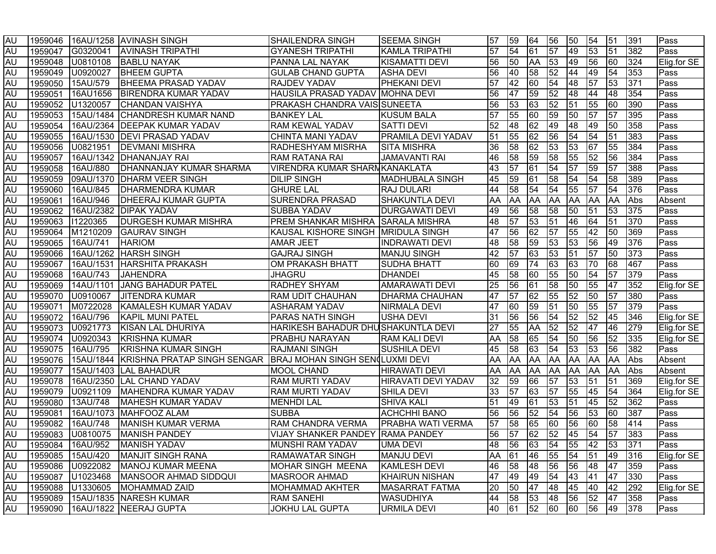| <b>AU</b> |         |                  | I1959046  I16AU/1258 IAVINASH SINGH    | <b>SHAILENDRA SINGH</b>                 | ISEEMA SINGH              | 57   | 59 | 64              | 56              | 50              | 54                                | 51              | 391 | Pass        |
|-----------|---------|------------------|----------------------------------------|-----------------------------------------|---------------------------|------|----|-----------------|-----------------|-----------------|-----------------------------------|-----------------|-----|-------------|
| <b>AU</b> | 1959047 |                  | G0320041 AVINASH TRIPATHI              | <b>GYANESH TRIPATHI</b>                 | <b>KAMLA TRIPATHI</b>     | 57   | 54 | 61              | $\overline{57}$ | 49              | 53                                | 51              | 382 | Pass        |
| <b>AU</b> | 1959048 | U0810108         | <b>BABLU NAYAK</b>                     | PANNA LAL NAYAK                         | <b>I</b> KISAMATTI DEVI   | 56   | 50 | <b>AA</b>       | 53              | 49              | 56                                | 60              | 324 | Elig.for SE |
| <b>AU</b> | 1959049 | U0920027         | <b>BHEEM GUPTA</b>                     | <b>GULAB CHAND GUPTA</b>                | <b>ASHA DEVI</b>          | 56   | 40 | 58              | 52              | 44              | 49                                | 54              | 353 | Pass        |
| <b>AU</b> |         | 1959050 15AU/579 | <b>BHEEMA PRASAD YADAV</b>             | <b>RAJDEV YADAV</b>                     | <b>PHEKANI DEVI</b>       | 57   | 42 | 60              | 54              | 48              | $\overline{57}$                   | 53              | 371 | Pass        |
| <b>AU</b> | 1959051 | 16AU1656         | <b>BIRENDRA KUMAR YADAV</b>            | HAUSILA PRASAD YADAV MOHNA DEVI         |                           | 56   | 47 | 59              | 52              | 48              | 44                                | 48              | 354 | Pass        |
| <b>AU</b> |         | 1959052 U1320057 | <b>CHANDAN VAISHYA</b>                 | <b>PRAKASH CHANDRA VAIS SUNEETA</b>     |                           | 56   | 53 | 63              | 52              | $\overline{51}$ | 55                                | 60              | 390 | Pass        |
| <b>AU</b> |         |                  | 1959053 15AU/1484 CHANDRESH KUMAR NAND | <b>BANKEY LAL</b>                       | <b>KUSUM BALA</b>         | 57   | 55 | 60              | 59              | 50              | $\sqrt{57}$                       | $\overline{57}$ | 395 | Pass        |
| <b>AU</b> | 1959054 |                  | 16AU/2364 DEEPAK KUMAR YADAV           | <b>RAM KEWAL YADAV</b>                  | <b>SATTI DEVI</b>         | 52   | 48 | $\overline{62}$ | 49              | 48              | 49                                | 50              | 358 | Pass        |
| <b>AU</b> | 1959055 |                  | 16AU/1530   DEVI PRASAD YADAV          | CHINTA MANI YADAV                       | <b>PRAMILA DEVI YADAV</b> | 51   | 55 | 62              | 56              | $\overline{54}$ | $\overline{54}$                   | 51              | 383 | Pass        |
| <b>AU</b> | 1959056 | U0821951         | <b>DEVMANI MISHRA</b>                  | <b>RADHESHYAM MISRHA</b>                | <b>SITA MISHRA</b>        | 36   | 58 | 62              | 53              | 53              | 67                                | 55              | 384 | Pass        |
| <b>AU</b> | 1959057 |                  | 16AU/1342   DHANANJAY RAI              | <b>RAM RATANA RAI</b>                   | <b>JAMAVANTI RAI</b>      | 46   | 58 | 59              | 58              | 55              | 52                                | 56              | 384 | Pass        |
| <b>AU</b> | 1959058 | 16AU/880         | <b>DHANNANJAY KUMAR SHARMA</b>         | <b>VIRENDRA KUMAR SHARMKANAKLATA</b>    |                           | 43   | 57 | 61              | 54              | $\overline{57}$ | $\overline{59}$                   | $\overline{57}$ | 388 | Pass        |
| AU        | 1959059 |                  | 09AU/1370   DHARM VEER SINGH           | <b>DILIP SINGH</b>                      | <b>MADHUBALA SINGH</b>    | 45   | 59 | 61              | 58              | 54              | 54                                | 58              | 389 | Pass        |
| <b>AU</b> | 1959060 | 16AU/845         | <b>DHARMENDRA KUMAR</b>                | <b>GHURE LAL</b>                        | <b>RAJ DULARI</b>         | 44   | 58 | 54              | 54              | 55              | 57                                | 54              | 376 | Pass        |
| <b>AU</b> | 1959061 | 16AU/946         | <b>DHEERAJ KUMAR GUPTA</b>             | <b>SURENDRA PRASAD</b>                  | SHAKUNTLA DEVI            | AA   | AA | AA              | <b>AA</b>       | <b>AA</b>       | <b>AA</b>                         | AA              | Abs | Absent      |
| <b>AU</b> | 1959062 |                  | 16AU/2382   DIPAK YADAV                | <b>SUBBA YADAV</b>                      | <b>DURGAWATI DEVI</b>     | 49   | 56 | 58              | 58              | 50              | 51                                | 53              | 375 | Pass        |
| <b>AU</b> | 1959063 | 11220365         | <b>DURGESH KUMAR MISHRA</b>            | PREM SHANKAR MISHRA SARALA MISHRA       |                           | 48   | 57 | 53              | $\overline{51}$ | 46              | 64                                | 51              | 370 | Pass        |
| <b>AU</b> | 1959064 | M1210209         | <b>GAURAV SINGH</b>                    | KAUSAL KISHORE SINGH MRIDULA SINGH      |                           | 47   | 56 | 62              | $\overline{57}$ | 55              | 42                                | $\overline{50}$ | 369 | Pass        |
| AU        | 1959065 | 16AU/741         | <b>HARIOM</b>                          | <b>AMAR JEET</b>                        | <b>INDRAWATI DEVI</b>     | 48   | 58 | 59              | 53              | 53              | 56                                | 49              | 376 | Pass        |
| <b>AU</b> | 1959066 |                  | 16AU/1262 HARSH SINGH                  | <b>GAJRAJ SINGH</b>                     | <b>MANJU SINGH</b>        | 42   | 57 | 63              | 53              | 51              | 57                                | 50              | 373 | Pass        |
| <b>AU</b> | 1959067 |                  | 16AU/1531 HARSHITA PRAKASH             | OM PRAKASH BHATT                        | <b>SUDHA BHATT</b>        | 60   | 69 | 74              | 63              | 63              | 70                                | 68              | 467 | Pass        |
| <b>AU</b> | 1959068 | 16AU/743         | <b>JAHENDRA</b>                        | JHAGRU                                  | <b>DHANDEI</b>            | 45   | 58 | 60              | 55              | 50              | 54                                | 57              | 379 | Pass        |
| <b>AU</b> | 1959069 | 14AU/1101        | JANG BAHADUR PATEL                     | RADHEY SHYAM                            | <b>AMARAWATI DEVI</b>     | 25   | 56 | 61              | 58              | 50              | 55                                | 47              | 352 | Elig.for SE |
| <b>AU</b> | 1959070 | U0910067         | <b>JITENDRA KUMAR</b>                  | <b>RAM UDIT CHAUHAN</b>                 | <b>DHARMA CHAUHAN</b>     | 47   | 57 | 62              | 55              | 52              | 50                                | 57              | 380 | Pass        |
| AU        | 1959071 | M0722028         | KAMALESH KUMAR YADAV                   | <b>ASHARAM YADAV</b>                    | <b>NIRMALA DEVI</b>       | 47   | 60 | 59              | 51              | 50              | 55                                | 57              | 379 | Pass        |
| AU        | 1959072 | 16AU/796         | <b>KAPIL MUNI PATEL</b>                | <b>PARAS NATH SINGH</b>                 | <b>USHA DEVI</b>          | 31   | 56 | 56              | 54              | $\overline{52}$ | $\overline{52}$                   | 45              | 346 | Elig.for SE |
| <b>AU</b> | 1959073 | U0921773         | KISAN LAL DHURIYA                      | HARIKESH BAHADUR DHUSHAKUNTLA DEVI      |                           | 27   | 55 | AA              | 52              | 52              | 47                                | 46              | 279 | Elig.for SE |
| <b>AU</b> | 1959074 | U0920343         | <b>KRISHNA KUMAR</b>                   | <b>PRABHU NARAYAN</b>                   | <b>RAM KALI DEVI</b>      | AA   | 58 | 65              | 54              | 50              | 56                                | 52              | 335 | Elig.for SE |
| <b>AU</b> | 1959075 | 16AU/795         | <b>KRISHNA KUMAR SINGH</b>             | <b>RAJMANI SINGH</b>                    | <b>SUSHILA DEVI</b>       | 45   | 58 | 63              | 54              | 53              | 53                                | 56              | 382 | Pass        |
| <b>AU</b> | 1959076 |                  | 15AU/1844 KRISHNA PRATAP SINGH SENGAR  | BRAJ MOHAN SINGH SEN LUXMI DEVI         |                           | AA   | AA | AA              | <b>AA</b>       | <b>AA</b>       | <b>AA</b>                         | AA              | Abs | Absent      |
| <b>AU</b> | 1959077 |                  | 15AU/1403 LAL BAHADUR                  | <b>MOOL CHAND</b>                       | <b>HIRAWATI DEVI</b>      | AA   | AA | AA              | <b>AA</b>       | <b>AA</b>       | <b>AA</b>                         | <b>AA</b>       | Abs | Absent      |
| <b>AU</b> | 1959078 |                  | 16AU/2350 LAL CHAND YADAV              | <b>RAM MURTI YADAV</b>                  | HIRAVATI DEVI YADAV       | 32   | 59 | 66              | $\overline{57}$ | $\overline{53}$ | $\sqrt{51}$                       | 51              | 369 | Elig.for SE |
| <b>AU</b> | 1959079 | U0921109         | MAHENDRA KUMAR YADAV                   | <b>RAM MURTI YADAV</b>                  | <b>SHILA DEVI</b>         | 33   | 57 | 63              | $\overline{57}$ | 55              | 45                                | 54              | 364 | Elig.for SE |
| <b>AU</b> | 1959080 | 13AU/748         | MAHESH KUMAR YADAV                     | <b>MENHDI LAL</b>                       | <b>SHIVA KALI</b>         | 51   | 49 | 61              | 53              | 51              | 45                                | 52              | 362 | Pass        |
| <b>AU</b> | 1959081 |                  | 16AU/1073   MAHFOOZ ALAM               | <b>SUBBA</b>                            | <b>ACHCHHI BANO</b>       | 56   | 56 | 52              | 54              | 56              | 53                                | 60              | 387 | Pass        |
| <b>AU</b> | 1959082 | 16AU/748         | MANISH KUMAR VERMA                     | RAM CHANDRA VERMA                       | <b>PRABHA WATI VERMA</b>  | 57   | 58 | 65              | 60              | 56              | 60                                | 58              | 414 | Pass        |
| <b>AU</b> | 1959083 | U0810075         | MANISH PANDEY                          | <b>VIJAY SHANKER PANDEY RAMA PANDEY</b> |                           | 56   | 57 | 62              | $\overline{52}$ | 45              | $\overline{54}$                   | 57              | 383 | Pass        |
| <b>AU</b> |         | 1959084 16AU/952 | <b>MANISH YADAV</b>                    | MUNSHI RAM YADAV                        | <b>UMA DEVI</b>           | 148. |    |                 |                 |                 | 56   63   54   55   42   53   371 |                 |     | <b>Pass</b> |
| <b>AU</b> |         | 1959085 15AU/420 | MANJIT SINGH RANA                      | <b>RAMAWATAR SINGH</b>                  | <b>MANJU DEVI</b>         | AA   | 61 | 46              | 55              | 54              | 51                                | 49              | 316 | Elig.for SE |
| <b>AU</b> |         | 1959086 U0922082 | <b>MANOJ KUMAR MEENA</b>               | <b>MOHAR SINGH MEENA</b>                | <b>KAMLESH DEVI</b>       | 46   | 58 | 48              | 56              | 56              | 48                                | 47              | 359 | Pass        |
| AU        |         | 1959087 U1023468 | MANSOOR AHMAD SIDDQUI                  | <b>MASROOR AHMAD</b>                    | <b>KHAIRUN NISHAN</b>     | 47   | 49 | 49              | 54              | 43              | 41                                | 47              | 330 | Pass        |
| <b>AU</b> |         | 1959088 U1330605 | MOHAMMAD ZAID                          | MOHAMMAD AKHTER                         | <b>MASARRAT FATMA</b>     | 20   | 50 | 47              | 48              | 45              | 40                                | 42              | 292 | Elig.for SE |
| AU        |         |                  | 1959089 15AU/1835 NARESH KUMAR         | <b>RAM SANEHI</b>                       | <b>WASUDHIYA</b>          | 44   | 58 | 53              | 48              | 56              | 52                                | 47              | 358 | Pass        |
| AU        |         |                  | 1959090 16AU/1822 NEERAJ GUPTA         | <b>JOKHU LAL GUPTA</b>                  | <b>URMILA DEVI</b>        | 40   | 61 | 52              | 60              | 60              | 56                                | 49 378          |     | Pass        |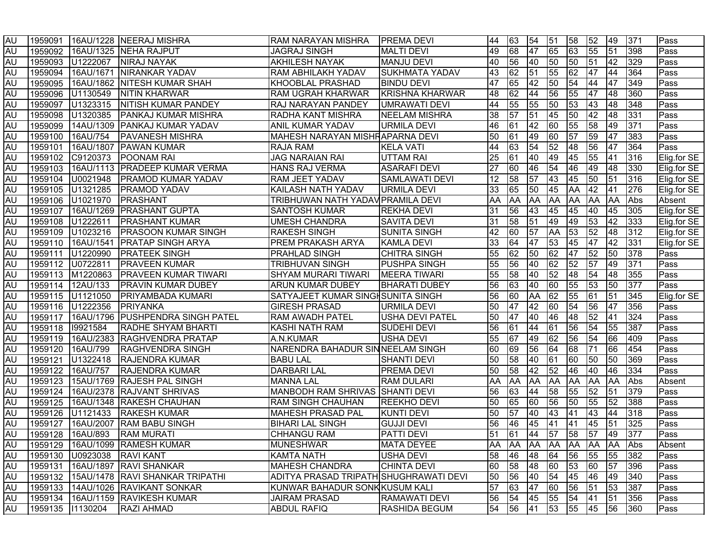| <b>AU</b> |                  |                  | 1959091 16AU/1228 NEERAJ MISHRA              | RAM NARAYAN MISHRA                     | <b>IPREMA DEVI</b>     | 44 | 63              | 54                              | 51              | 58              | 52              | 49               | 371 | Pass          |
|-----------|------------------|------------------|----------------------------------------------|----------------------------------------|------------------------|----|-----------------|---------------------------------|-----------------|-----------------|-----------------|------------------|-----|---------------|
| <b>AU</b> |                  |                  | 1959092 16AU/1325 NEHA RAJPUT                | <b>JAGRAJ SINGH</b>                    | <b>MALTI DEVI</b>      | 49 | $\overline{68}$ | 47                              | 65              | 63              | $\overline{55}$ | 51               | 398 | Pass          |
| <b>AU</b> |                  |                  | 1959093 U1222067 NIRAJ NAYAK                 | <b>AKHILESH NAYAK</b>                  | <b>MANJU DEVI</b>      | 40 | 56              | 40                              | 50              | 50              | 51              | $ 42\rangle$     | 329 | Pass          |
| <b>AU</b> | 1959094          |                  | 16AU/1671   NIRANKAR YADAV                   | <b>RAM ABHILAKH YADAV</b>              | <b>SUKHMATA YADAV</b>  | 43 | 62              | 51                              | 55              | $\overline{62}$ | 47              | 44               | 364 | Pass          |
| <b>AU</b> |                  |                  | 1959095   16AU/1862   NITESH KUMAR SHAH      | <b>KHOOBLAL PRASHAD</b>                | <b>BINDU DEVI</b>      | 47 | 65              | 42                              | 50              | 54              | 44              | 47               | 349 | Pass          |
| <b>AU</b> |                  |                  | 1959096 U1130549 NITIN KHARWAR               | <b>RAM UGRAH KHARWAR</b>               | <b>KRISHNA KHARWAR</b> | 48 | 62              | 44                              | 56              | 55              | 47              | 48               | 360 | Pass          |
| <b>AU</b> |                  |                  | 1959097 U1323315 NITISH KUMAR PANDEY         | <b>RAJ NARAYAN PANDEY</b>              | <b>UMRAWATI DEVI</b>   | 44 | 55              | 55                              | 50              | 53              | 43              | 48               | 348 | Pass          |
| <b>AU</b> |                  |                  | 1959098 U1320385 PANKAJ KUMAR MISHRA         | <b>RADHA KANT MISHRA</b>               | <b>NEELAM MISHRA</b>   | 38 | $\overline{57}$ | 51                              | 45              | 50              | $ 42\rangle$    | $ 48\rangle$     | 331 | Pass          |
| <b>AU</b> |                  |                  | 1959099   14AU/1309   PANKAJ KUMAR YADAV     | <b>ANIL KUMAR YADAV</b>                | <b>URMILA DEVI</b>     | 46 | 61              | 42                              | 60              | 55              | 58              | 49               | 371 | Pass          |
| <b>AU</b> | 1959100          |                  | 16AU/754   PAVANESH MISHRA                   | MAHESH NARAYAN MISHRAPARNA DEVI        |                        | 50 | 61              | 49                              | 60              | 57              | 59              | 47               | 383 | Pass          |
| <b>AU</b> |                  |                  | 1959101   16AU/1807   PAWAN KUMAR            | <b>RAJA RAM</b>                        | <b>KELA VATI</b>       | 44 | 63              | 54                              | 52              | 48              | 56              | 47               | 364 | Pass          |
| <b>AU</b> |                  |                  | 1959102 C9120373 POONAM RAI                  | <b>JAG NARAIAN RAI</b>                 | UTTAM RAI              | 25 | 61              | 40                              | 49              | 45              | 55              | 41               | 316 | Elig.for SE   |
| <b>AU</b> | 1959103          |                  | 16AU/1113   PRADEEP KUMAR VERMA              | <b>HANS RAJ VERMA</b>                  | <b>ASARAFI DEVI</b>    | 27 | 60              | 46                              | 54              | 46              | 49              | 48               | 330 | Elig.for SE   |
| <b>AU</b> |                  | 1959104 U0021948 | <b>PRAMOD KUMAR YADAV</b>                    | RAM JEET YADAV                         | <b>SAMLAWATI DEVI</b>  | 12 | 58              | 57                              | 43              | 45              | $\overline{50}$ | $\overline{51}$  | 316 | Elig.for SE   |
| <b>AU</b> |                  | 1959105 U1321285 | <b>PRAMOD YADAV</b>                          | KAILASH NATH YADAV                     | URMILA DEVI            | 33 | 65              | 50                              | 45              | AA              | 42              | 41               | 276 | Elig.for SE   |
| <b>AU</b> | 1959106          | U1021970         | <b>PRASHANT</b>                              | TRIBHUWAN NATH YADAV PRAMILA DEVI      |                        | AA | ΑA              | AA                              | AA              | AA              | <b>AA</b>       | <b>AA</b>        | Abs | Absent        |
| AU        | 1959107          |                  | 16AU/1269   PRASHANT GUPTA                   | <b>SANTOSH KUMAR</b>                   | <b>REKHA DEVI</b>      | 31 | 56              | 43                              | 45              | 45              | 40              | 45               | 305 | Elig.for SE   |
| <b>AU</b> | 1959108          | U1222611         | <b>PRASHANT KUMAR</b>                        | <b>UMESH CHANDRA</b>                   | <b>SAVITA DEVI</b>     | 31 | 58              | 51                              | 49              | 49              | 53              | 42               | 333 | Elig.for SE   |
| <b>AU</b> |                  | 1959109 U1023216 | <b>PRASOON KUMAR SINGH</b>                   | <b>RAKESH SINGH</b>                    | <b>SUNITA SINGH</b>    | 42 | 60              | 57                              | AA              | 53              | $\overline{52}$ | 48               | 312 | Elig.for SE   |
| AU        | 1959110          | 16AU/1541        | <b>PRATAP SINGH ARYA</b>                     | <b>PREM PRAKASH ARYA</b>               | <b>KAMLA DEVI</b>      | 33 | 64              | 47                              | 53              | 45              | 47              | 42               | 331 | Elig.for SE   |
| AU        | 1959111          | U1220990         | <b>PRATEEK SINGH</b>                         | <b>PRAHLAD SINGH</b>                   | <b>CHITRA SINGH</b>    | 55 | 62              | 50                              | 62              | 47              | 52              | 50               | 378 | Pass          |
| AU        |                  | 1959112 U0722811 | <b>PRAVEEN KUMAR</b>                         | TRIBHUVAN SINGH                        | <b>PUSHPA SINGH</b>    | 55 | 56              | 40                              | 62              | 52              | $\overline{57}$ | 49               | 371 | Pass          |
| <b>AU</b> |                  | 1959113 M1220863 | <b>PRAVEEN KUMAR TIWARI</b>                  | SHYAM MURARI TIWARI                    | <b>MEERA TIWARI</b>    | 55 | 58              | 40                              | 52              | 48              | 54              | 48               | 355 | Pass          |
| AU        |                  | 1959114 12AU/133 | <b>PRAVIN KUMAR DUBEY</b>                    | <b>ARUN KUMAR DUBEY</b>                | <b>BHARATI DUBEY</b>   | 56 | 63              | 40                              | 60              | 55              | $\overline{53}$ | 50               | 377 | Pass          |
| <b>AU</b> |                  | 1959115 U1121050 | <b>PRIYAMBADA KUMARI</b>                     | SATYAJEET KUMAR SINGHSUNITA SINGH      |                        | 56 | 60              | AA                              | 62              | 55              | 61              | 51               | 345 | Elig.for SE   |
| AU        |                  | 1959116 U1222356 | PRIYANKA                                     | <b>GIRESH PRASAD</b>                   | <b>URMILA DEVI</b>     | 50 | 47              | 42                              | 60              | 54              | 56              | 47               | 356 | Pass          |
| <b>AU</b> |                  |                  | 1959117   16AU/1796   PUSHPENDRA SINGH PATEL | <b>RAM AWADH PATEL</b>                 | <b>USHA DEVI PATEL</b> | 50 | 47              | 40                              | 46              | 48              | 52              | $\overline{141}$ | 324 | Pass          |
| <b>AU</b> | 1959118 19921584 |                  | <b>RADHE SHYAM BHARTI</b>                    | KASHI NATH RAM                         | <b>SUDEHI DEVI</b>     | 56 | 61              | 44                              | 61              | 56              | 54              | 55               | 387 | Pass          |
| AU        | 1959119          |                  | 16AU/2383 RAGHVENDRA PRATAP                  | A.N.KUMAR                              | <b>USHA DEVI</b>       | 55 | 67              | 49                              | 62              | 56              | 54              | 66               | 409 | Pass          |
| <b>AU</b> |                  | 1959120 16AU/799 | <b>RAGHVENDRA SINGH</b>                      | NARENDRA BAHADUR SINNEELAM SINGH       |                        | 60 | 69              | 56                              | 64              | 68              | 71              | 66               | 454 | Pass          |
| <b>AU</b> |                  |                  | 1959121 U1322418 RAJENDRA KUMAR              | <b>BABU LAL</b>                        | <b>SHANTI DEVI</b>     | 50 | 58              | 40                              | 61              | 60              | 50              | 50               | 369 | Pass          |
| <b>AU</b> |                  | 1959122 16AU/757 | <b>RAJENDRA KUMAR</b>                        | <b>DARBARI LAL</b>                     | <b>PREMA DEVI</b>      | 50 | 58              | 42                              | 52              | 46              | 40              | 46               | 334 | Pass          |
| <b>AU</b> |                  |                  | 1959123 15AU/1769 RAJESH PAL SINGH           | <b>MANNA LAL</b>                       | <b>RAM DULARI</b>      | AA | <b>AA</b>       | AA                              | AA              | <b>AA</b>       | AA AA           |                  | Abs | Absent        |
| <b>AU</b> | 1959124          |                  | 16AU/2378 RAJVANT SHRIVAS                    | MANBODH RAM SHRIVAS SHANTI DEVI        |                        | 56 | 63              | 44                              | 58              | 55              | 52              | 51               | 379 | Pass          |
| <b>AU</b> | 1959125          |                  | 16AU/1348 RAKESH CHAUHAN                     | <b>RAM SINGH CHAUHAN</b>               | <b>REEKHO DEVI</b>     | 50 | 65              | 60                              | 56              | 50              | 55              | 52               | 388 | Pass          |
| <b>AU</b> |                  |                  | 1959126 U1121433 RAKESH KUMAR                | <b>MAHESH PRASAD PAL</b>               | <b>KUNTI DEVI</b>      | 50 | 57              | 40                              | 43              | 41              | $\overline{43}$ | 44               | 318 | Pass          |
| AU        |                  |                  | 1959127   16AU/2007   RAM BABU SINGH         | <b>BIHARI LAL SINGH</b>                | <b>GUJJI DEVI</b>      | 56 | 46              | 45                              | 41              | 41              | 45              | 51               | 325 | Pass          |
| <b>AU</b> | 1959128          | 16AU/893         | <b>RAM MURATI</b>                            | <b>CHHANGU RAM</b>                     | <b>PATTI DEVI</b>      | 51 | 61              | 44                              | $\overline{57}$ | 58              | $\overline{57}$ | 49               | 377 | Pass          |
| IAU.      |                  |                  | 1959129 16AU/1099 RAMESH KUMAR               | <b>MUNESHWAR</b>                       | <b>MATA DEYEE</b>      |    |                 | AA  AA  AA  AA  AA  AA  AA  Abs |                 |                 |                 |                  |     | <b>Absent</b> |
| AU        |                  |                  | 1959130 U0923038 RAVI KANT                   | <b>KAMTA NATH</b>                      | USHA DEVI              | 58 | 146             | 48                              | 64              | 56              | 55              | 55               | 382 | Pass          |
| AU        |                  |                  | 1959131   16AU/1897   RAVI SHANKAR           | <b>MAHESH CHANDRA</b>                  | <b>CHINTA DEVI</b>     | 60 | 58              | 48                              | 60              | 53              | 60              | 57               | 396 | Pass          |
| AU        |                  |                  | 1959132 15AU/1478 RAVI SHANKAR TRIPATHI      | ADITYA PRASAD TRIPATH SHUGHRAWATI DEVI |                        | 50 | 56              | 40                              | 54              | 45              | 46              | 49               | 340 | Pass          |
| AU        |                  |                  | 1959133 14AU/1026 RAVIKANT SONKAR            | KUNWAR BAHADUR SONKKUSUM KALI          |                        | 57 | 63              | 47                              | 60              | 56              | 51              | 53               | 387 | Pass          |
| AU        |                  |                  | 1959134   16AU/1159   RAVIKESH KUMAR         | <b>JAIRAM PRASAD</b>                   | RAMAWATI DEVI          | 56 | 54              | 45                              | 55              | 54              | <b>41</b>       | 51               | 356 | Pass          |
| <b>AU</b> | 1959135 11130204 |                  | <b>RAZI AHMAD</b>                            | <b>ABDUL RAFIQ</b>                     | <b>RASHIDA BEGUM</b>   | 54 | 56              | 41                              | 53              | 55              | 45              | 56               | 360 | Pass          |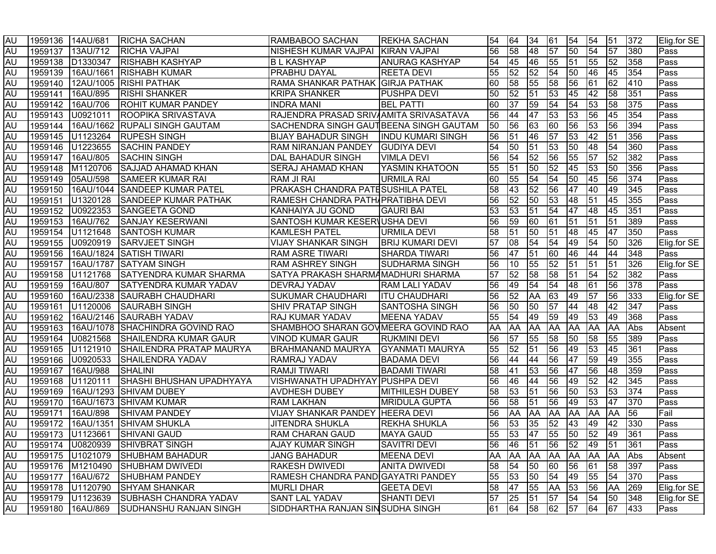| <b>AU</b> |         | 1959136 14AU/681 | <b>RICHA SACHAN</b>                   | RAMBABOO SACHAN                          | <b>IREKHA SACHAN</b>    | 54   | 64        | 34        | 61              | 54              | 54              | 51           | 372 | Elig.for SE |
|-----------|---------|------------------|---------------------------------------|------------------------------------------|-------------------------|------|-----------|-----------|-----------------|-----------------|-----------------|--------------|-----|-------------|
| <b>AU</b> |         | 1959137 13AU/712 | <b>RICHA VAJPAI</b>                   | NISHESH KUMAR VAJPAI KIRAN VAJPAI        |                         | 56   | 58        | 48        | $\overline{57}$ | $\overline{50}$ | 54              | 57           | 380 | Pass        |
| AU        |         | 1959138 D1330347 | <b>RISHABH KASHYAP</b>                | <b>BL KASHYAP</b>                        | <b>ANURAG KASHYAP</b>   | 54   | 45        | 46        | 55              | 51              | 55              | 52           | 358 | Pass        |
| AU        | 1959139 |                  | 16AU/1661 RISHABH KUMAR               | <b>PRABHU DAYAL</b>                      | <b>REETA DEVI</b>       | 55   | 52        | 52        | 54              | 50              | 46              | 45           | 354 | Pass        |
| AU        | 1959140 |                  | 12AU/1005 RISHI PATHAK                | RAMA SHANKAR PATHAK GIRJA PATHAK         |                         | 60   | 58        | 55        | 58              | 56              | $\overline{61}$ | 62           | 410 | Pass        |
| AU        | 1959141 | 16AU/895         | <b>RISHI SHANKER</b>                  | <b>KRIPA SHANKER</b>                     | <b>PUSHPA DEVI</b>      | 50   | 52        | 51        | 53              | 45              | 42              | 58           | 351 | Pass        |
| AU        | 1959142 | 16AU/706         | <b>ROHIT KUMAR PANDEY</b>             | <b>INDRA MANI</b>                        | <b>BEL PATTI</b>        | 60   | 37        | 59        | 54              | $\overline{54}$ | 53              | 58           | 375 | Pass        |
| <b>AU</b> |         | 1959143 U0921011 | <b>ROOPIKA SRIVASTAVA</b>             | RAJENDRA PRASAD SRIVAAMITA SRIVASATAVA   |                         | 56   | 44        | 47        | 53              | 53              | 56              | 45           | 354 | Pass        |
| AU        |         |                  | 1959144 16AU/1662 RUPALI SINGH GAUTAM | SACHENDRA SINGH GAUTBEENA SINGH GAUTAM   |                         | 50   | 56        | 63        | 60              | 56              | 53              | 56           | 394 | Pass        |
| <b>AU</b> |         | 1959145 U1123264 | <b>RUPESH SINGH</b>                   | BIJAY BAHADUR SINGH   INDU KUMARI SINGH  |                         | 56   | 51        | 46        | $\overline{57}$ | 53              | 42              | 51           | 356 | Pass        |
| <b>AU</b> | 1959146 | U1223655         | <b>SACHIN PANDEY</b>                  | RAM NIRANJAN PANDEY GUDIYA DEVI          |                         | 54   | 50        | 51        | 53              | 50              | 48              | 54           | 360 | Pass        |
| AU        | 1959147 | 16AU/805         | <b>SACHIN SINGH</b>                   | DAL BAHADUR SINGH                        | <b>VIMLA DEVI</b>       | 56   | 54        | 52        | 56              | 55              | $\overline{57}$ | 52           | 382 | Pass        |
| AU        | 1959148 | M1120706         | <b>SAJJAD AHAMAD KHAN</b>             | <b>SERAJ AHAMAD KHAN</b>                 | YASMIN KHATOON          | 55   | 51        | 50        | $\overline{52}$ | 45              | 53              | 50           | 356 | Pass        |
| <b>AU</b> | 1959149 | 05AU/598         | <b>SAMEER KUMAR RAI</b>               | RAM JI RAI                               | <b>URMILA RAI</b>       | 60   | 55        | 54        | 54              | 50              | 45              | 56           | 374 | Pass        |
| AU        | 1959150 | 16AU/1044        | <b>SANDEEP KUMAR PATEL</b>            | <b>PRAKASH CHANDRA PATESUSHILA PATEL</b> |                         | 58   | 43        | 52        | 56              | 47              | 40              | 49           | 345 | Pass        |
| AU        | 1959151 | U1320128         | <b>SANDEEP KUMAR PATHAK</b>           | RAMESH CHANDRA PATH/PRATIBHA DEVI        |                         | 56   | 52        | 50        | 53              | 48              | 51              | 45           | 355 | Pass        |
| AU        |         | 1959152 U0922353 | <b>SANGEETA GOND</b>                  | KANHAIYA JU GOND                         | <b>GAURI BAI</b>        | 53   | 53        | 51        | 54              | 47              | 48              | 45           | 351 | Pass        |
| AU        | 1959153 | 16AU/762         | <b>SANJAY KESERWANI</b>               | SANTOSH KUMAR KESERVUSHA DEVI            |                         | 56   | 59        | 60        | 61              | 51              | $\overline{51}$ | 51           | 389 | Pass        |
| AU        | 1959154 | U1121648         | <b>SANTOSH KUMAR</b>                  | <b>KAMLESH PATEL</b>                     | URMILA DEVI             | 58   | 51        | 50        | 51              | 48              | 45              | 47           | 350 | Pass        |
| AU        | 1959155 | U0920919         | <b>SARVJEET SINGH</b>                 | <b>VIJAY SHANKAR SINGH</b>               | <b>BRIJ KUMARI DEVI</b> | 57   | 08        | 54        | 54              | 49              | 54              | 50           | 326 | Elig.for SE |
| AU        | 1959156 |                  | 16AU/1824 SATISH TIWARI               | <b>RAM ASRE TIWARI</b>                   | <b>SHARDA TIWARI</b>    | 56   | 47        | 51        | 60              | 46              | 44              | 44           | 348 | Pass        |
| AU        | 1959157 |                  | 16AU/1787 SATYAM SINGH                | <b>RAM ASHREY SINGH</b>                  | SUDHARMA SINGH          | 56   | 10        | 55        | 52              | 51              | 51              | 51           | 326 | Elig.for SE |
| AU        | 1959158 | U1121768         | <b>SATYENDRA KUMAR SHARMA</b>         | SATYA PRAKASH SHARMAMADHURI SHARMA       |                         | 57   | 52        | 58        | 58              | 51              | 54              | 52           | 382 | Pass        |
| AU        | 1959159 | 16AU/807         | <b>SATYENDRA KUMAR YADAV</b>          | <b>DEVRAJ YADAV</b>                      | <b>RAM LALI YADAV</b>   | 56   | 49        | 54        | $\overline{54}$ | 48              | 61              | 56           | 378 | Pass        |
| AU        | 1959160 |                  | 16AU/2338 SAURABH CHAUDHARI           | <b>SUKUMAR CHAUDHARI</b>                 | <b>ITU CHAUDHARI</b>    | 56   | 52        | AA        | 63              | 49              | 57              | 56           | 333 | Elig.for SE |
| AU        | 1959161 | U1120006         | <b>SAURABH SINGH</b>                  | <b>SHIV PRATAP SINGH</b>                 | <b>SANTOSHA SINGH</b>   | 56   | 50        | 50        | $\overline{57}$ | 44              | 48              | 42           | 347 | Pass        |
| <b>AU</b> | 1959162 |                  | 16AU/2146 SAURABH YADAV               | <b>RAJ KUMAR YADAV</b>                   | <b>MEENA YADAV</b>      | 55   | 54        | 49        | 59              | 49              | 53              | 49           | 368 | Pass        |
| AU        | 1959163 |                  | 16AU/1078 SHACHINDRA GOVIND RAO       | SHAMBHOO SHARAN GOV MEERA GOVIND RAO     |                         | AA   | AA        | <b>AA</b> | <b>AA</b>       | <b>AA</b>       | <b>AA</b>       | AA           | Abs | Absent      |
| AU        |         | 1959164 U0821568 | <b>SHAILENDRA KUMAR GAUR</b>          | <b>VINOD KUMAR GAUR</b>                  | <b>RUKMINI DEVI</b>     | 56   | 57        | 55        | 58              | 50              | 58              | 55           | 389 | Pass        |
| AU        | 1959165 | U1121910         | SHAILENDRA PRATAP MAURYA              | <b>BRAHMANAND MAURYA</b>                 | <b>GYANMATI MAURYA</b>  | 55   | 52        | 51        | 56              | 49              | 53              | 45           | 361 | Pass        |
| <b>AU</b> | 1959166 | U0920533         | <b>SHAILENDRA YADAV</b>               | RAMRAJ YADAV                             | <b>BADAMA DEVI</b>      | 56   | 44        | 44        | 56              | 47              | 59              | 49           | 355 | Pass        |
| <b>AU</b> |         | 1959167 16AU/988 | <b>SHALINI</b>                        | <b>RAMJI TIWARI</b>                      | <b>BADAMI TIWARI</b>    | 58   | 41        | 53        | 56              | 47              | 56              | 48           | 359 | Pass        |
| <b>AU</b> | 1959168 | U1120111         | SHASHI BHUSHAN UPADHYAYA              | VISHWANATH UPADHYAY PUSHPA DEVI          |                         | 56   | 46        | 44        | 56              | 49              | $\overline{52}$ | $ 42\rangle$ | 345 | Pass        |
| AU        | 1959169 |                  | 16AU/1293 SHIVAM DUBEY                | <b>AVDHESH DUBEY</b>                     | <b>MITHILESH DUBEY</b>  | 58   | 53        | 51        | 56              | 50              | 53              | 53           | 374 | Pass        |
| <b>AU</b> | 1959170 |                  | 16AU/1673 SHIVAM KUMAR                | <b>RAM LAKHAN</b>                        | <b>MRIDULA GUPTA</b>    | 56   | 58        | 51        | 56              | 49              | 53              | 47           | 370 | Pass        |
| <b>AU</b> | 1959171 | 16AU/898         | <b>SHIVAM PANDEY</b>                  | VIJAY SHANKAR PANDEY HEERA DEVI          |                         | 56   | AA        | AA        | <b>AA</b>       | <b>AA</b>       | AA              | <b>AA</b>    | 56  | Fail        |
| AU        | 1959172 | 16AU/1351        | <b>SHIVAM SHUKLA</b>                  | <b>JITENDRA SHUKLA</b>                   | <b>REKHA SHUKLA</b>     | 56   | 53        | 35        | 52              | 43              | 49              | 42           | 330 | Pass        |
| <b>AU</b> |         | 1959173 U1123661 | <b>SHIVANI GAUD</b>                   | <b>RAM CHARAN GAUD</b>                   | <b>MAYA GAUD</b>        | 55   | 53        | 47        | 55              | 50              | 52              | 49           | 361 | Pass        |
| IAU.      |         |                  | 1959174   U0820939 SHIVBRAT SINGH     | <b>AJAY KUMAR SINGH</b>                  | <b>SAVITRI DEVI</b>     | I56. |           |           |                 | 46 51 56 52 49  |                 | 51 361       |     | Pass        |
| <b>AU</b> |         | 1959175 U1021079 | <b>SHUBHAM BAHADUR</b>                | <b>JANG BAHADUR</b>                      | <b>MEENA DEVI</b>       | AA   | <b>AA</b> | <b>AA</b> |                 | AA AA AA AA     |                 |              | Abs | Absent      |
| AU        |         |                  | 1959176 M1210490 SHUBHAM DWIVEDI      | <b>RAKESH DWIVEDI</b>                    | <b>ANITA DWIVEDI</b>    | 58   | 54        | 50        | <b>60</b>       | 56              | 61              | 58           | 397 | Pass        |
| AU        |         | 1959177 16AU/672 | <b>SHUBHAM PANDEY</b>                 | RAMESH CHANDRA PANDIGAYATRI PANDEY       |                         | 55   | 53        | 50        | 54              | 49              | 55              | 54           | 370 | Pass        |
| AU        |         | 1959178 U1120790 | <b>SHYAM SHANKAR</b>                  | <b>MURLI DHAR</b>                        | <b>GEETA DEVI</b>       | 58   | 47        | 55        | AA              | 53              | 56              | AA           | 269 | Elig.for SE |
| AU        |         | 1959179 U1123639 | <b>SUBHASH CHANDRA YADAV</b>          | SANT LAL YADAV                           | SHANTI DEVI             | 57   | 25        | 51        | 57              | 54              | 54              | 50           | 348 | Elig.for SE |
| AU        |         | 1959180 16AU/869 | <b>SUDHANSHU RANJAN SINGH</b>         | SIDDHARTHA RANJAN SINSUDHA SINGH         |                         | 61   | 64        | 58        | 62              | 57              | 64              | 67           | 433 | Pass        |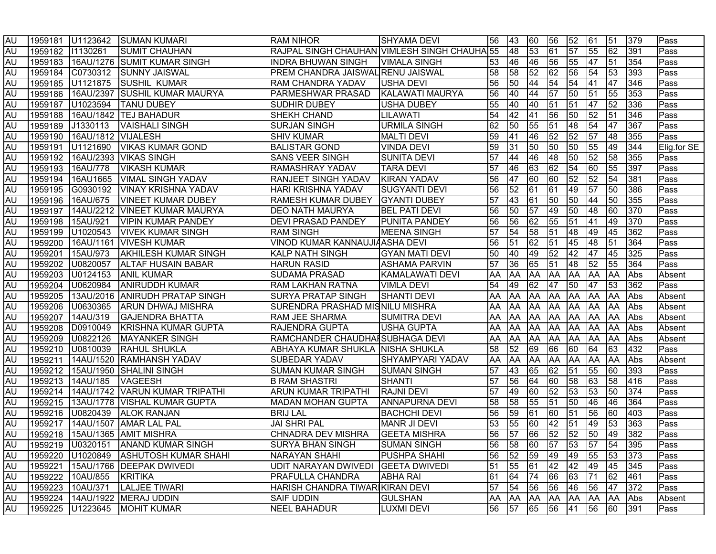| AU         |                  |                            | 1959181 U1123642 SUMAN KUMARI              | <b>RAM NIHOR</b>                             | <b>SHYAMA DEVI</b>      | 56   | <b>43</b>       | 60              | 56              | 52              | 61               | 51              | 379 | Pass        |
|------------|------------------|----------------------------|--------------------------------------------|----------------------------------------------|-------------------------|------|-----------------|-----------------|-----------------|-----------------|------------------|-----------------|-----|-------------|
| <b>AU</b>  | 1959182 11130261 |                            | <b>SUMIT CHAUHAN</b>                       | RAJPAL SINGH CHAUHAN VIMLESH SINGH CHAUHA 55 |                         |      | 48              | $\overline{53}$ | 61              | $\overline{57}$ | 55               | $\overline{62}$ | 391 | Pass        |
| AU         |                  |                            | 1959183 16AU/1276 SUMIT KUMAR SINGH        | <b>INDRA BHUWAN SINGH</b>                    | <b>VIMALA SINGH</b>     | 53   | 46              | 46              | 56              | 55              | 47               | 51              | 354 | Pass        |
| AU         |                  |                            |                                            | PREM CHANDRA JAISWAL RENU JAISWAL            |                         | 58   | 58              | 52              | $\overline{62}$ | 56              | 54               | 53              | 393 | Pass        |
| AU         |                  |                            | 1959185 U1121875 SUSHIL KUMAR              | <b>RAM CHANDRA YADAV</b>                     | <b>USHA DEVI</b>        | 56   | $\overline{50}$ | 44              | 54              | 54              | $\overline{141}$ | $\overline{47}$ | 346 | Pass        |
| <b>AU</b>  |                  |                            | 1959186 16AU/2397 SUSHIL KUMAR MAURYA      | PARMESHWAR PRASAD                            | KALAWATI MAURYA         | 56   | 40              | 44              | $\overline{57}$ | 50              | 51               | 55              | 353 | Pass        |
| <b>AU</b>  |                  | 1959187 U1023594           | <b>TANU DUBEY</b>                          | <b>SUDHIR DUBEY</b>                          | <b>USHA DUBEY</b>       | 55   | 40              | 40              | $\overline{51}$ | $\overline{51}$ | 47               | 52              | 336 | Pass        |
| <b>AU</b>  |                  |                            | 1959188 16AU/1842 TEJ BAHADUR              | <b>SHEKH CHAND</b>                           | LILAWATI                | 54   | 42              | 41              | 56              | 50              | 52               | $\sqrt{51}$     | 346 | Pass        |
| <b>AU</b>  |                  | 1959189 J1330113           | <b>VAISHALI SINGH</b>                      | <b>SURJAN SINGH</b>                          | <b>URMILA SINGH</b>     | 62   | 50              | 55              | $\overline{51}$ | 48              | $\overline{54}$  | 47              | 367 | Pass        |
| <b>AU</b>  |                  | 1959190 16AU/1812 VIJALESH |                                            | <b>SHIV KUMAR</b>                            | <b>MALTI DEVI</b>       | 59   | 41              | 46              | 52              | $\overline{52}$ | 57               | 48              | 355 | Pass        |
| <b>AU</b>  |                  | 1959191 U1121690           | <b>VIKAS KUMAR GOND</b>                    | <b>BALISTAR GOND</b>                         | <b>VINDA DEVI</b>       | 59   | 31              | 50              | 50              | 50              | 55               | 49              | 344 | Elig.for SE |
| <b>AU</b>  |                  |                            | 1959192 16AU/2393 VIKAS SINGH              | <b>SANS VEER SINGH</b>                       | <b>SUNITA DEVI</b>      | 57   | 44              | 46              | 48              | 50              | 52               | 58              | 355 | Pass        |
| AU         | 1959193          | 16AU/778                   | <b>VIKASH KUMAR</b>                        | <b>RAMASHRAY YADAV</b>                       | <b>TARA DEVI</b>        | 57   | 46              | 63              | $\overline{62}$ | $\overline{54}$ | 60               | 55              | 397 | Pass        |
| AU         | 1959194          | 16AU1665                   | <b>VIMAL SINGH YADAV</b>                   | <b>RANJEET SINGH YADAV</b>                   | <b>KIRAN YADAV</b>      | 56   | 47              | 60              | 60              | $\overline{52}$ | $\overline{52}$  | 54              | 381 | Pass        |
| <b>AU</b>  | 1959195          | G0930192                   | <b>VINAY KRISHNA YADAV</b>                 | HARI KRISHNA YADAV                           | <b>SUGYANTI DEVI</b>    | 56   | 52              | 61              | 61              | 49              | 57               | 50              | 386 | Pass        |
| <b>AU</b>  | 1959196          | 16AU/675                   | <b>VINEET KUMAR DUBEY</b>                  | <b>RAMESH KUMAR DUBEY</b>                    | <b>GYANTI DUBEY</b>     | 57   | 43              | 61              | 50              | $\overline{50}$ | 44               | 50              | 355 | Pass        |
| <b>AU</b>  | 1959197          |                            | 14AU/2212 VINEET KUMAR MAURYA              | <b>DEO NATH MAURYA</b>                       | <b>BEL PATI DEVI</b>    | 56   | 50              | 57              | 49              | 50              | 48               | 60              | 370 | Pass        |
| <b>AU</b>  | 1959198          | 15AU/921                   | VIPIN KUMAR PANDEY                         | <b>DEVI PRASAD PANDEY</b>                    | <b>PUNITA PANDEY</b>    | 56   | 56              | 62              | 55              | 51              | 41               | 49              | 370 | Pass        |
| <b>AU</b>  | 1959199          | U1020543                   | <b>VIVEK KUMAR SINGH</b>                   | <b>RAM SINGH</b>                             | <b>MEENA SINGH</b>      | 57   | 54              | 58              | 51              | 48              | 49               | 45              | 362 | Pass        |
| <b>AU</b>  | 1959200          | 16AU/1161                  | <b>VIVESH KUMAR</b>                        | VINOD KUMAR KANNAUJIAASHA DEVI               |                         | 56   | 51              | 62              | 51              | 45              | 48               | 51              | 364 | Pass        |
| <b>AU</b>  | 1959201          | 15AU/973                   | <b>AKHILESH KUMAR SINGH</b>                | <b>KALP NATH SINGH</b>                       | <b>GYAN MATI DEVI</b>   | 50   | 40              | 49              | 52              | 42              | 47               | 45              | 325 | Pass        |
| <b>AU</b>  | 1959202          | U0820057                   | <b>ALTAF HUSAIN BABAR</b>                  | <b>HARUN RASID</b>                           | <b>ASHAMA PARVIN</b>    | 57   | 36              | 65              | 51              | 48              | 52               | 55              | 364 | Pass        |
| <b>AU</b>  | 1959203          | U0124153                   | <b>ANIL KUMAR</b>                          | SUDAMA PRASAD                                | KAMALAWATI DEVI         | AA   | AA              | AA              | AA              | <b>AA</b>       | <b>AA</b>        | <b>AA</b>       | Abs | Absent      |
| AU         | 1959204          | U0620984                   | <b>ANIRUDDH KUMAR</b>                      | RAM LAKHAN RATNA                             | <b>VIMLA DEVI</b>       | 54   | 49              | 62              | 47              | $\overline{50}$ | 47               | 53              | 362 | Pass        |
| <b>AU</b>  | 1959205          |                            | 13AU/2016 ANIRUDH PRATAP SINGH             | <b>SURYA PRATAP SINGH</b>                    | <b>SHANTI DEVI</b>      | AA   | <b>AA</b>       | AA              | AA              | <b>AA</b>       | <b>AA</b>        | <b>AA</b>       | Abs | Absent      |
| <b>AU</b>  | 1959206          | U0630365                   | <b>ARUN DHWAJ MISHRA</b>                   | SURENDRA PRASHAD MISNILU MISHRA              |                         | AA   | <b>AA</b>       | AA              | <b>AA</b>       | <b>AA</b>       | <b>AA</b>        | <b>AA</b>       | Abs | Absent      |
| <b>AU</b>  | 1959207          | 14AU/319                   | <b>GAJENDRA BHATTA</b>                     | RAM JEE SHARMA                               | <b>SUMITRA DEVI</b>     | AA   | <b>AA</b>       | <b>AA</b>       | <b>AA</b>       | <b>AA</b>       | <b>AA</b>        | AA              | Abs | Absent      |
| <b>AU</b>  | 1959208          | D0910049                   | <b>KRISHNA KUMAR GUPTA</b>                 | RAJENDRA GUPTA                               | <b>USHA GUPTA</b>       | AA   | <b>AA</b>       | <b>AA</b>       | <b>AA</b>       | <b>AA</b>       | <b>AA</b>        | AA              | Abs | Absent      |
| <b>AU</b>  | 1959209          | U0822126                   | <b>MAYANKER SINGH</b>                      | RAMCHANDER CHAUDHAISUBHAGA DEVI              |                         | AA   | AA              | <b>AA</b>       | <b>AA</b>       | <b>AA</b>       | <b>AA</b>        | AA              | Abs | Absent      |
| <b>AU</b>  | 1959210          |                            | U0810039 RAHUL SHUKLA                      | ABHAYA KUMAR SHUKLA NISHA SHUKLA             |                         | 58   | 52              | 69              | 66              | 60              | 64               | 63              | 432 | Pass        |
| <b>AU</b>  |                  |                            | 1959211   14AU/1520   RAMHANSH YADAV       | <b>SUBEDAR YADAV</b>                         | <b>SHYAMPYARI YADAV</b> | AA   | AA              | <b>AA</b>       | <b>AA</b>       | <b>AA</b>       | AA               | AA              | Abs | Absent      |
| <b>AU</b>  |                  |                            | 1959212 15AU/1950 SHALINI SINGH            | <b>SUMAN KUMAR SINGH</b>                     | <b>SUMAN SINGH</b>      | 57   | 43              | 65              | 62              | 51              | 55               | 60              | 393 | Pass        |
| <b>AU</b>  |                  | 1959213 14AU/185           | <b>VAGEESH</b>                             | <b>B RAM SHASTRI</b>                         | <b>SHANTI</b>           | 57   | 56              | 64              | 60              | 58              | $\sqrt{63}$      | $\overline{58}$ | 416 | Pass        |
| <b>AU</b>  |                  |                            | 1959214   14AU/1742   VARUN KUMAR TRIPATHI | <b>ARUN KUMAR TRIPATHI</b>                   | <b>RAJNI DEVI</b>       | 57   | 49              | 60              | 52              | 53              | 53               | 50              | 374 | Pass        |
| <b>AU</b>  |                  |                            | 1959215   13AU/1778   VISHAL KUMAR GUPTA   | <b>MADAN MOHAN GUPTA</b>                     | <b>ANNAPURNA DEVI</b>   | 58   | 58              | 55              | $\overline{51}$ | 50              | 46               | 46              | 364 | Pass        |
| <b>AU</b>  |                  |                            | 1959216 U0820439 ALOK RANJAN               | <b>BRIJ LAL</b>                              | <b>BACHCHI DEVI</b>     | 56   | 59              | 61              | 60              | 51              | 56               | 60              | 403 | Pass        |
| <b>AU</b>  |                  |                            | 1959217   14AU/1507   AMAR LAL PAL         | <b>JAI SHRI PAL</b>                          | <b>MANR JI DEVI</b>     | 53   | 55              | 60              | 42              | 51              | 49               | 53              | 363 | Pass        |
| AU         |                  |                            | 1959218   15AU/1365   AMIT MISHRA          | CHNADRA DEV MISHRA                           | <b>GEETA MISHRA</b>     | 56   | 57              | 66              | 52              | $\overline{52}$ | $\overline{50}$  | 49              | 382 | Pass        |
| <b>JAU</b> |                  |                            | 1959219   U0320151   ANAND KUMAR SINGH     | SURYA BHAN SINGH                             | <b>SUMAN SINGH</b>      | I56. |                 | 58  60  57      |                 | 53              | <b>57</b>        | 54              | 395 | Pass        |
| AU         | 1959220          |                            | U1020849 ASHUTOSH KUMAR SHAHI              | <b>NARAYAN SHAHI</b>                         | <b>PUSHPA SHAHI</b>     | 56   | 52              | 59              | 49              | 49              | 55               | 53              | 373 | Pass        |
| AU         | 1959221          |                            | 15AU/1766   DEEPAK DWIVEDI                 | UDIT NARAYAN DWIVEDI                         | <b>GEETA DWIVEDI</b>    | 51   | 55              | 61              | 42              | 42              | 49               | 45              | 345 | Pass        |
| AU         |                  | 1959222 10AU/855 KRITIKA   |                                            | <b>PRAFULLA CHANDRA</b>                      | <b>ABHA RAI</b>         | 61   | 64              | 74              | 66              | 63              | 71               | 62              | 461 | Pass        |
| AU         | 1959223          | 10AU/371                   | LALJEE TIWARI                              | HARISH CHANDRA TIWARIKIRAN DEVI              |                         | 57   | 54              | 56              | 56              | 46              | 56               | 47              | 372 | Pass        |
| AU         | 1959224          |                            | 14AU/1922 MERAJ UDDIN                      | <b>SAIF UDDIN</b>                            | <b>GULSHAN</b>          | AA   | AA              | AA              | <b>AA</b>       |                 | AA AA AA Abs     |                 |     | Absent      |
| <b>AU</b>  |                  | 1959225 U1223645           | <b>MOHIT KUMAR</b>                         | <b>NEEL BAHADUR</b>                          | <b>LUXMI DEVI</b>       | 56   | 57              | 65              | 56              | 41              | 56               | 60              | 391 | Pass        |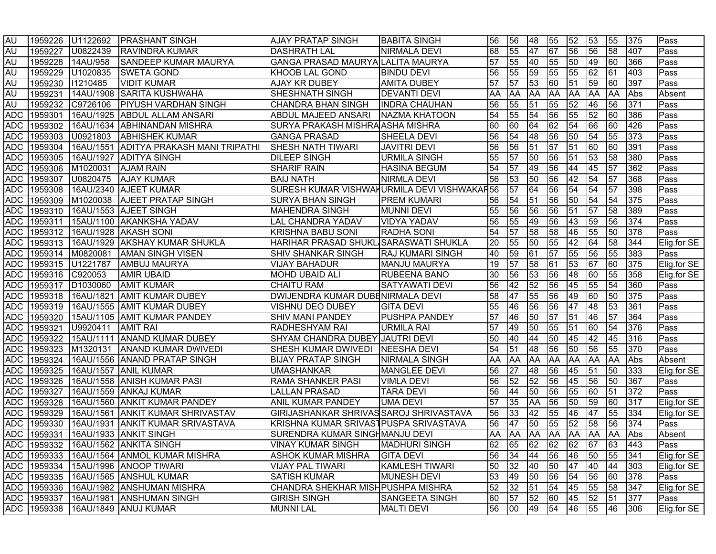| <b>AU</b>  | 1959226 | U1122692             | <b>PRASHANT SINGH</b>                      | <b>AJAY PRATAP SINGH</b>                    | <b>BABITA SINGH</b>     | 56              | 56    | 48        | 55              | 52              | 53              | 55              | 375    | Pass        |
|------------|---------|----------------------|--------------------------------------------|---------------------------------------------|-------------------------|-----------------|-------|-----------|-----------------|-----------------|-----------------|-----------------|--------|-------------|
| AU         | 1959227 | U0822439             | <b>RAVINDRA KUMAR</b>                      | <b>DASHRATH LAL</b>                         | NIRMALA DEVI            | 68              | 55    | 47        | 67              | 56              | 56              | 58              | 407    | Pass        |
| AU         | 1959228 | 14AU/958             | <b>SANDEEP KUMAR MAURYA</b>                | GANGA PRASAD MAURYA LALITA MAURYA           |                         | $\overline{57}$ | 55    | 40        | 55              | 50              | 49              | 60              | 366    | Pass        |
| AU         | 1959229 | U1020835             | <b>SWETA GOND</b>                          | KHOOB LAL GOND                              | <b>BINDU DEVI</b>       | 56              | 55    | 59        | 55              | 55              | 62              | 61              | 403    | Pass        |
| AU         | 1959230 | 11210485             | <b>VIDIT KUMAR</b>                         | <b>AJAY KR DUBEY</b>                        | <b>AMITA DUBEY</b>      | 57              | 57    | 53        | 60              | $\overline{51}$ | $\overline{59}$ | 60              | 397    | Pass        |
| <b>AU</b>  | 1959231 |                      | 14AU/1908 SARITA KUSHWAHA                  | <b>SHESHNATH SINGH</b>                      | <b>DEVANTI DEVI</b>     | AA              | AA    | AA        | <b>AA</b>       | <b>AA</b>       | <b>AA</b>       | <b>AA</b>       | Abs    | Absent      |
| AU         | 1959232 | C9726106             | <b>PIYUSH VARDHAN SINGH</b>                | <b>CHANDRA BHAN SINGH</b>                   | <b>INDRA CHAUHAN</b>    | 56              | 55    | 51        | 55              | 52              | 46              | 56              | 371    | Pass        |
| <b>ADC</b> | 1959301 |                      | 16AU/1925 ABDUL ALLAM ANSARI               | ABDUL MAJEED ANSARI                         | NAZMA KHATOON           | 54              | 55    | 54        | 56              | 55              | 52              | 60              | 386    | Pass        |
| <b>ADC</b> | 1959302 |                      | 16AU/1634 ABHINANDAN MISHRA                | SURYA PRAKASH MISHRA ASHA MISHRA            |                         | 60              | 60    | 64        | $\overline{62}$ | $\overline{54}$ | 66              | 60              | 426    | Pass        |
| <b>ADC</b> | 1959303 | U0921803             | <b>ABHISHEK KUMAR</b>                      | <b>GANGA PRASAD</b>                         | <b>SHEELA DEVI</b>      | 56              | 54    | 48        | 56              | 50              | 54              | 55              | 373    | Pass        |
| <b>ADC</b> | 1959304 | 16AU/1551            | ADITYA PRAKASH MANI TRIPATHI               | <b>SHESH NATH TIWARI</b>                    | <b>JAVITRI DEVI</b>     | 56              | 56    | 51        | $\overline{57}$ | $\overline{51}$ | 60              | 60              | 391    | Pass        |
| <b>ADC</b> | 1959305 |                      | 16AU/1927 ADITYA SINGH                     | <b>DILEEP SINGH</b>                         | <b>URMILA SINGH</b>     | 55              | 57    | 50        | 56              | 51              | 53              | 58              | 380    | Pass        |
| <b>ADC</b> | 1959306 | M1020031             | <b>AJAM RAIN</b>                           | <b>SHARIF RAIN</b>                          | <b>HASINA BEGUM</b>     | 54              | 57    | 49        | 56              | 44              | 45              | $\overline{57}$ | 362    | Pass        |
| <b>ADC</b> | 1959307 | U0820475             | <b>AJAY KUMAR</b>                          | <b>BAIJ NATH</b>                            | NIRMLA DEVI             | 56              | 53    | 50        | 56              | 42              | $\overline{54}$ | 57              | 368    | Pass        |
| <b>ADC</b> | 1959308 |                      | 16AU/2340 AJEET KUMAR                      | SURESH KUMAR VISHWAHURMILA DEVI VISHWAKAR56 |                         |                 | 57    | 64        | 56              | 54              | 54              | 57              | 398    | Pass        |
| ADC        | 1959309 | M1020038             | <b>AJEET PRATAP SINGH</b>                  | SURYA BHAN SINGH                            | <b>PREM KUMARI</b>      | 56              | 54    | 51        | 56              | 50              | $\overline{54}$ | 54              | 375    | Pass        |
| ADC        | 1959310 |                      | 16AU/1553 AJEET SINGH                      | <b>MAHENDRA SINGH</b>                       | <b>MUNNI DEVI</b>       | 55              | 56    | 56        | 56              | 51              | 57              | 58              | 389    | Pass        |
| ADC        | 1959311 |                      | 15AU/1100 AKANKSHA YADAV                   | <b>LAL CHANDRA YADAV</b>                    | <b>VIDYA YADAV</b>      | 56              | 55    | 49        | 56              | 43              | 59              | 56              | 374    | Pass        |
| ADC        | 1959312 |                      | 16AU/1928 AKASH SONI                       | <b>KRISHNA BABU SONI</b>                    | <b>RADHA SONI</b>       | 54              | 57    | 58        | 58              | 46              | 55              | 50              | 378    | Pass        |
| ADC        | 1959313 |                      | 16AU/1929 AKSHAY KUMAR SHUKLA              | HARIHAR PRASAD SHUKL SARASWATI SHUKLA       |                         | 20              | 55    | 50        | 55              | 42              | 64              | 58              | 344    | Elig.for SE |
| <b>ADC</b> | 1959314 | M0820081             | <b>AMAN SINGH VISEN</b>                    | <b>SHIV SHANKAR SINGH</b>                   | <b>RAJ KUMARI SINGH</b> | 40              | 59    | 61        | 57              | 55              | 56              | 55              | 383    | Pass        |
| ADC        | 1959315 | U1221787             | AMBUJ MAURYA                               | VIJAY BAHADUR                               | <b>MANJU MAURYA</b>     | 19              | 57    | 58        | 61              | 53              | 67              | 60              | 375    | Elig.for SE |
| <b>ADC</b> | 1959316 | C920053              | <b>AMIR UBAID</b>                          | <b>MOHD UBAID ALI</b>                       | <b>RUBEENA BANO</b>     | 30              | 56    | 53        | 56              | 48              | 60              | 55              | 358    | Elig.for SE |
| <b>ADC</b> | 1959317 | D <sub>1030060</sub> | <b>AMIT KUMAR</b>                          | <b>CHAITU RAM</b>                           | <b>SATYAWATI DEVI</b>   | 56              | 42    | 52        | 56              | 45              | 55              | 54              | 360    | Pass        |
| <b>ADC</b> | 1959318 | 16AU/1821            | <b>AMIT KUMAR DUBEY</b>                    | <b>DWIJENDRA KUMAR DUBENIRMALA DEVI</b>     |                         | 58              | 47    | 55        | 56              | 49              | 60              | 50              | 375    | Pass        |
| <b>ADC</b> | 1959319 |                      | 16AU/1555 AMIT KUMAR DUBEY                 | <b>VISHNU DEO DUBEY</b>                     | <b>GITA DEVI</b>        | 55              | 46    | 56        | 56              | 47              | 48              | 53              | 361    | Pass        |
| <b>ADC</b> | 1959320 |                      | 15AU/1105 AMIT KUMAR PANDEY                | SHIV MANI PANDEY                            | <b>PUSHPA PANDEY</b>    | 57              | 46    | 50        | $\overline{57}$ | $\overline{51}$ | $ 46\rangle$    | $\overline{57}$ | 364    | Pass        |
| <b>ADC</b> | 1959321 | U9920411             | <b>AMIT RAI</b>                            | <b>RADHESHYAM RAI</b>                       | <b>URMILA RAI</b>       | 57              | 49    | 50        | 55              | 51              | 60              | 54              | 376    | Pass        |
| <b>ADC</b> | 1959322 |                      | 15AU/1111 ANAND KUMAR DUBEY                | SHYAM CHANDRA DUBEY JAUTRI DEVI             |                         | 50              | 40    | 44        | 50              | 45              | 42              | 45              | 316    | Pass        |
| <b>ADC</b> | 1959323 |                      | M1320131 ANAND KUMAR DWIVEDI               | SHESH KUMAR DWIVEDI NEESHA DEVI             |                         | 54              | 51    | 48        | 56              | $\overline{50}$ | $\overline{56}$ | 55              | 370    | Pass        |
| <b>ADC</b> |         |                      | 1959324 16AU/1556 ANAND PRATAP SINGH       | <b>BIJAY PRATAP SINGH</b>                   | <b>NIRMALA SINGH</b>    | AA              | AA    | <b>AA</b> | <b>AA</b>       | <b>AA</b>       | <b>AA</b>       | <b>AA</b>       | Abs    | Absent      |
| <b>ADC</b> | 1959325 |                      | 16AU/1557 ANIL KUMAR                       | <b>UMASHANKAR</b>                           | <b>MANGLEE DEVI</b>     | 56              | 27    | 48        | 56              | 45              | 51              | 50              | 333    | Elig.for SE |
| <b>ADC</b> | 1959326 |                      | 16AU/1558 ANISH KUMAR PASI                 | <b>RAMA SHANKER PASI</b>                    | <b>VIMLA DEVI</b>       | 56              | 52    | 52        | 56              | 45              | 56              | $\overline{50}$ | 367    | Pass        |
| <b>ADC</b> | 1959327 |                      | 16AU/1559 ANKAJ KUMAR                      | <b>LALLAN PRASAD</b>                        | <b>TARA DEVI</b>        | 56              | 44    | 50        | 56              | 55              | 60              | 51              | 372    | Pass        |
| <b>ADC</b> | 1959328 |                      | 16AU/1560 ANKIT KUMAR PANDEY               | <b>ANIL KUMAR PANDEY</b>                    | <b>UMA DEVI</b>         | 57              | 35    | AA        | 56              | 50              | 59              | 60              | 317    | Elig.for SE |
| <b>ADC</b> | 1959329 | 16AU/1561            | <b>ANKIT KUMAR SHRIVASTAV</b>              | GIRIJASHANKAR SHRIVAS SAROJ SHRIVASTAVA     |                         | 56              | 33    | 42        | 55              | 46              | 47              | 55              | 334    | Elig.for SE |
| <b>ADC</b> | 1959330 | 16AU/1931            | <b>ANKIT KUMAR SRIVASTAVA</b>              | KRISHNA KUMAR SRIVASTPUSPA SRIVASTAVA       |                         | 56              | 47    | 50        | 55              | 52              | $\overline{58}$ | 56              | 374    | Pass        |
| <b>ADC</b> | 1959331 |                      | 16AU/1933 ANKIT SINGH                      | SURENDRA KUMAR SINGHMANJU DEVI              |                         | AA              | AA    | <b>AA</b> | <b>AA</b>       | AA              | <b>AA</b>       | <b>AA</b>       | Abs    | Absent      |
|            |         |                      | ADC 1959332 16AU/1562 ANKITA SINGH         | <b>VINAY KUMAR SINGH</b>                    | <b>MADHURI SINGH</b>    | 62              | 65 62 |           |                 | 62 62 67        |                 |                 | 63 443 | Pass        |
|            |         |                      | ADC 1959333 16AU/1564 ANMOL KUMAR MISHRA   | <b>ASHOK KUMAR MISHRA</b>                   | <b>GITA DEVI</b>        | 56              | 34    | 44        | 56              | 46              | 50              | 55              | 341    | Elig.for SE |
|            |         |                      | ADC 1959334 15AU/1996 ANOOP TIWARI         | <b>VIJAY PAL TIWARI</b>                     | <b>KAMLESH TIWARI</b>   | 50              | 32    | 40        | 50              | 47              | $ 40\rangle$    | 44              | 303    | Elig.for SE |
|            |         |                      | ADC   1959335   16AU/1565   ANSHUL KUMAR   | <b>SATISH KUMAR</b>                         | MUNESH DEVI             | 53              | 49    | 50        | 56              | 54              | 56              | 60              | 378    | Pass        |
|            |         |                      | ADC 1959336 16AU/1982 ANSHUMAN MISHRA      | CHANDRA SHEKHAR MISHPUSHPA MISHRA           |                         | 52              | 32    | 51        | 54              | 45              | 55              | 58              | 347    | Elig.for SE |
|            |         |                      | ADC   1959337   16AU/1981   ANSHUMAN SINGH | <b>GIRISH SINGH</b>                         | <b>SANGEETA SINGH</b>   | 60              | 57    | 52        | 60              | 45              | 52              | 51              | 377    | Pass        |
|            |         |                      | ADC   1959338   16AU/1849   ANUJ KUMAR     | <b>MUNNI LAL</b>                            | <b>MALTI DEVI</b>       | 56              | 00    | 49        | 54              | 46              | 55              | 46              | 306    | Elig.for SE |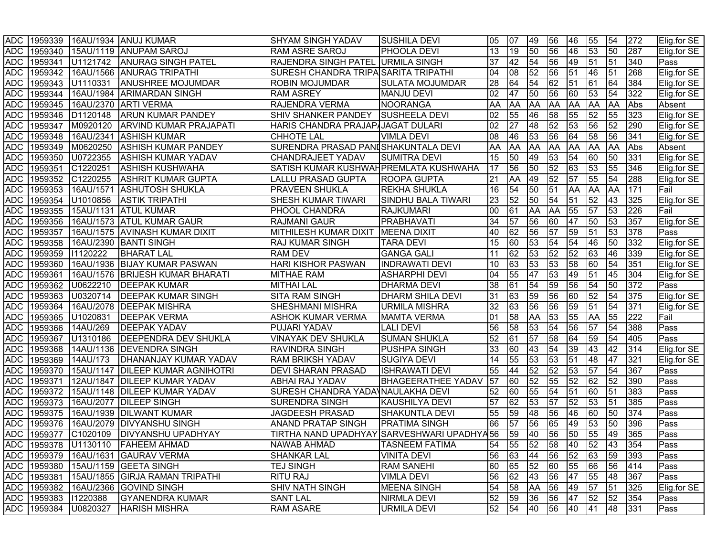|            |                      |                      | ADC 1959339 16AU/1934 ANUJ KUMAR   | <b>SHYAM SINGH YADAV</b>                    | <b>SUSHILA DEVI</b>       | 05              | 07              | 49              | 56              | 46              | 55              | 54                      | 272              | Elig.for SE |
|------------|----------------------|----------------------|------------------------------------|---------------------------------------------|---------------------------|-----------------|-----------------|-----------------|-----------------|-----------------|-----------------|-------------------------|------------------|-------------|
| <b>ADC</b> |                      |                      | 1959340 15AU/1119 ANUPAM SAROJ     | <b>RAM ASRE SAROJ</b>                       | <b>PHOOLA DEVI</b>        | 13              | 19              | 50              | 56              | 46              | $\overline{53}$ | 50                      | 287              | Elig.for SE |
| <b>ADC</b> | 1959341              |                      | U1121742 ANURAG SINGH PATEL        | RAJENDRA SINGH PATEL URMILA SINGH           |                           | 37              | 42              | 54              | 56              | 49              | 51              | 51                      | 340              | Pass        |
| <b>ADC</b> | 1959342              |                      | 16AU/1566 ANURAG TRIPATHI          | <b>SURESH CHANDRA TRIPA SARITA TRIPATHI</b> |                           | 04              | 08              | 52              | 56              | 51              | 46              | 51                      | 268              | Elig.for SE |
| <b>ADC</b> | 1959343              | U1110331             | <b>ANUSHREE MOJUMDAR</b>           | <b>ROBIN MOJUMDAR</b>                       | <b>SULATA MOJUMDAR</b>    | 28              | 64              | 54              | 62              | 51              | 61              | 64                      | 384              | Elig.for SE |
| <b>ADC</b> | 1959344              |                      | 16AU/1984 ARIMARDAN SINGH          | <b>RAM ASREY</b>                            | <b>MANJU DEVI</b>         | 02              | 47              | 50              | 56              | 60              | 53              | 54                      | 322              | Elig.for SE |
| <b>ADC</b> |                      |                      | 1959345   16AU/2370   ARTI VERMA   | RAJENDRA VERMA                              | <b>NOORANGA</b>           | AA              | AA              | AA              | <b>AA</b>       | <b>AA</b>       | <b>AA</b>       | <b>AA</b>               | Abs              | Absent      |
| <b>ADC</b> | 1959346              | D1120148             | <b>ARUN KUMAR PANDEY</b>           | SHIV SHANKER PANDEY SUSHEELA DEVI           |                           | 02              | 55              | 46              | 58              | 55              | $\overline{52}$ | 55                      | 323              | Elig.for SE |
| <b>ADC</b> | 1959347              | M0920120             | <b>ARVIND KUMAR PRAJAPATI</b>      | HARIS CHANDRA PRAJAP JAGAT DULARI           |                           | 02              | $\overline{27}$ | 48              | 52              | 53              | 56              | 52                      | 290              | Elig.for SE |
| <b>ADC</b> | 1959348              |                      | 16AU/2341 ASHISH KUMAR             | <b>CHHOTE LAL</b>                           | <b>VIMLA DEVI</b>         | 08              | 46              | 53              | 56              | 64              | 58              | 56                      | 341              | Elig.for SE |
| <b>ADC</b> | 1959349              | M0620250             | <b>ASHISH KUMAR PANDEY</b>         | SURENDRA PRASAD PANISHAKUNTALA DEVI         |                           | AA              | AA              | AA              | <b>AA</b>       | <b>AA</b>       | AA              | AA                      | Abs              | Absent      |
| <b>ADC</b> | 1959350              | U0722355             | <b>ASHISH KUMAR YADAV</b>          | <b>CHANDRAJEET YADAV</b>                    | <b>SUMITRA DEVI</b>       | 15              | 50              | 49              | 53              | 54              | 60              | 50                      | 331              | Elig.for SE |
| <b>ADC</b> | 1959351              | C1220251             | <b>ASHISH KUSHWAHA</b>             | SATISH KUMAR KUSHWAH PREMLATA KUSHWAHA      |                           | 17              | 56              | 50              | 52              | 63              | $\overline{53}$ | 55                      | 346              | Elig.for SE |
| <b>ADC</b> | 1959352              | C1220255             | <b>ASHRIT KUMAR GUPTA</b>          | <b>LALLU PRASAD GUPTA</b>                   | <b>ROOPA GUPTA</b>        | 21              | AA              | 49              | 52              | 57              | 55              | 54                      | 288              | Elig.for SE |
| <b>ADC</b> | 1959353              | 16AU/1571            | <b>ASHUTOSH SHUKLA</b>             | <b>PRAVEEN SHUKLA</b>                       | <b>REKHA SHUKLA</b>       | 16              | 54              | 50              | $\overline{51}$ | <b>AA</b>       | <b>AA</b>       | AA                      | 171              | Fail        |
| <b>ADC</b> | 1959354              | U1010856             | <b>ASTIK TRIPATHI</b>              | <b>SHESH KUMAR TIWARI</b>                   | SINDHU BALA TIWARI        | 23              | 52              | 50              | 54              | 51              | $\overline{52}$ | 43                      | 325              | Elig.for SE |
| <b>ADC</b> | 1959355              |                      | 15AU/1131 ATUL KUMAR               | <b>PHOOL CHANDRA</b>                        | RAJKUMARI                 | 00              | 61              | AA              | AA              | 55              | $\overline{57}$ | 53                      | 226              | Fail        |
| <b>ADC</b> | 1959356              |                      | 16AU/1573 ATUL KUMAR GAUR          | <b>RAJMANI GAUR</b>                         | PRABHAVATI                | 34              | 57              | 56              | 60              | 47              | 50              | 53                      | 357              | Elig.for SE |
| <b>ADC</b> | 1959357              |                      | 16AU/1575 AVINASH KUMAR DIXIT      | <b>MITHILESH KUMAR DIXIT</b>                | <b>MEENA DIXIT</b>        | 40              | 62              | 56              | 57              | 59              | $\overline{51}$ | 53                      | 378              | Pass        |
| <b>ADC</b> | 1959358              |                      | 16AU/2390 BANTI SINGH              | <b>RAJ KUMAR SINGH</b>                      | TARA DEVI                 | 15              | 60              | 53              | 54              | 54              | 46              | 50                      | 332              | Elig.for SE |
| <b>ADC</b> | 1959359              | 11120222             | <b>BHARAT LAL</b>                  | <b>RAM DEV</b>                              | <b>GANGA GALI</b>         | 11              | 62              | 53              | 52              | 52              | 63              | 46                      | 339              | Elig.for SE |
| <b>ADC</b> | 1959360              |                      | 16AU/1936 BIJAY KUMAR PASWAN       | <b>HARI KISHOR PASWAN</b>                   | <b>INDRAWATI DEVI</b>     | 10              | 63              | 53              | 53              | 58              | 60              | 54                      | 351              | Elig.for SE |
| <b>ADC</b> | 1959361              |                      | 16AU/1576 BRIJESH KUMAR BHARATI    | <b>MITHAE RAM</b>                           | <b>ASHARPHI DEVI</b>      | 04              | 55              | 47              | 53              | 49              | $\overline{51}$ | 45                      | 304              | Elig.for SE |
| <b>ADC</b> | 1959362              | U0622210             | <b>DEEPAK KUMAR</b>                | <b>MITHAI LAL</b>                           | <b>DHARMA DEVI</b>        | 38              | 61              | 54              | 59              | 56              | $\overline{54}$ | 50                      | 372              | Pass        |
| <b>ADC</b> | 1959363              | U0320714             | <b>DEEPAK KUMAR SINGH</b>          | <b>SITA RAM SINGH</b>                       | <b>DHARM SHILA DEVI</b>   | 31              | 63              | 59              | 56              | 60              | $\overline{52}$ | 54                      | 375              | Elig.for SE |
| <b>ADC</b> | 1959364              |                      | 16AU/2078   DEEPAK MISHRA          | <b>SHESHMANI MISHRA</b>                     | <b>URMILA MISHRA</b>      | 32              | 63              | 56              | 56              | 59              | $\overline{51}$ | 54                      | 371              | Elig.for SE |
| <b>ADC</b> | 1959365              | U1020831             | <b>DEEPAK VERMA</b>                | <b>ASHOK KUMAR VERMA</b>                    | <b>MAMTA VERMA</b>        | 01              | 58              | AA              | 53              | 55              | <b>AA</b>       | 55                      | $\overline{222}$ | Fail        |
| <b>ADC</b> | 1959366              | 14AU/269             | <b>DEEPAK YADAV</b>                | <b>PUJARI YADAV</b>                         | <b>LALI DEVI</b>          | 56              | 58              | 53              | 54              | 56              | $\overline{57}$ | 54                      | 388              | Pass        |
| <b>ADC</b> | 1959367              | U1310186             | <b>DEEPENDRA DEV SHUKLA</b>        | <b>VINAYAK DEV SHUKLA</b>                   | <b>SUMAN SHUKLA</b>       | 52              | 61              | $\overline{57}$ | 58              | 64              | 59              | 54                      | 405              | Pass        |
| <b>ADC</b> | 1959368              |                      | 14AU/1136   DEVENDRA SINGH         | <b>RAVINDRA SINGH</b>                       | <b>PUSHPA SINGH</b>       | 33              | 60              | 43              | 54              | 39              | $\overline{43}$ | 42                      | 314              | Elig.for SE |
| <b>ADC</b> | 1959369              | 14AU/173             | <b>DHANANJAY KUMAR YADAV</b>       | <b>RAM BRIKSH YADAV</b>                     | <b>SUGIYA DEVI</b>        | 14              | 55              | 53              | 53              | 51              | 48              | 47                      | 321              | Elig.for SE |
| <b>ADC</b> | 1959370              |                      | 15AU/1147 DILEEP KUMAR AGNIHOTRI   | <b>DEVI SHARAN PRASAD</b>                   | <b>ISHRAWATI DEVI</b>     | 55              | 44              | 52              | 52              | 53              | 57              | 54                      | 367              | <b>Pass</b> |
| <b>ADC</b> | 1959371              |                      | 12AU/1847 DILEEP KUMAR YADAV       | <b>ABHAI RAJ YADAV</b>                      | <b>BHAGEERATHEE YADAV</b> | $\overline{57}$ | 60              | 52              | 55              | 52              | 62              | 52                      | 390              | Pass        |
| <b>ADC</b> | 1959372              |                      | 15AU/1148   DILEEP KUMAR YADAV     | SURESH CHANDRA YADA NAULAKHA DEVI           |                           | 52              | 60              | 55              | 54              | $\overline{51}$ | 60              | 51                      | 383              | Pass        |
| <b>ADC</b> | 1959373              |                      | 16AU/2077   DILEEP SINGH           | <b>SURENDRA SINGH</b>                       | KAUSHILYA DEVI            | 57              | 62              | 53              | 57              | 52              | 53              | 51                      | 385              | Pass        |
| <b>ADC</b> | 1959375              |                      | 16AU/1939   DILWANT KUMAR          | <b>JAGDEESH PRASAD</b>                      | SHAKUNTLA DEVI            | 55              | 59              | 48              | 56              | 46              | 60              | 50                      | 374              | Pass        |
| <b>ADC</b> | 1959376              |                      | 16AU/2079   DIVYANSHU SINGH        | <b>ANAND PRATAP SINGH</b>                   | <b>PRATIMA SINGH</b>      | 66              | 57              | 56              | 65              | 49              | 53              | 50                      | 396              | Pass        |
| <b>ADC</b> | 1959377              |                      | C1020109   DIVYANSHU UPADHYAY      | TIRTHA NAND UPADHYAY SARVESHWARI UPADHYA56  |                           |                 | 59              | 40              | 56              | $\overline{50}$ | 55              | 49                      | 365              | Pass        |
|            |                      |                      | ADC 1959378 U1130110 FAHEEM AHMAD  | <b>NAWAB AHMAD</b>                          | <b>TASNEEM FATIMA</b>     | 54              | 55 52           |                 |                 |                 |                 | 58   40   52   43   354 |                  | <b>Pass</b> |
|            |                      |                      | ADC 1959379 16AU/1631 GAURAV VERMA | <b>SHANKAR LAL</b>                          | <b>VINITA DEVI</b>        | 56              | 63              | 44              | 56              | 52              | 63              | 59                      | 393              | Pass        |
|            |                      |                      | ADC 1959380 15AU/1159 GEETA SINGH  | <b>TEJ SINGH</b>                            | <b>RAM SANEHI</b>         | 60              | 65              | $\overline{52}$ | 60              | $\sqrt{55}$     | 66              | 56                      | 414              | Pass        |
|            | ADC 1959381          |                      | 15AU/1855 GIRJA RAMAN TRIPATHI     | <b>RITU RAJ</b>                             | <b>VIMLA DEVI</b>         | 56              | 62              | 43              | 56              | 47              | 55              | 48                      | 367              | Pass        |
|            | ADC 1959382          |                      | 16AU/2366 GOVIND SINGH             | <b>SHIV NATH SINGH</b>                      | <b>MEENA SINGH</b>        | 54              | 58              | AA              | 56              | 49              | 57              | 51                      | 325              | Elig.for SE |
|            | ADC 1959383 11220388 |                      | <b>GYANENDRA KUMAR</b>             | <b>SANT LAL</b>                             | <b>NIRMLA DEVI</b>        | 52              | 59              | 36              | 56              | 47              | 52              | 52                      | 354              | <b>Pass</b> |
|            |                      | ADC 1959384 U0820327 | <b>HARISH MISHRA</b>               | <b>RAM ASARE</b>                            | <b>URMILA DEVI</b>        | 52              | 54              | 40              | 56              | 40              | 41              | 48                      | 331              | Pass        |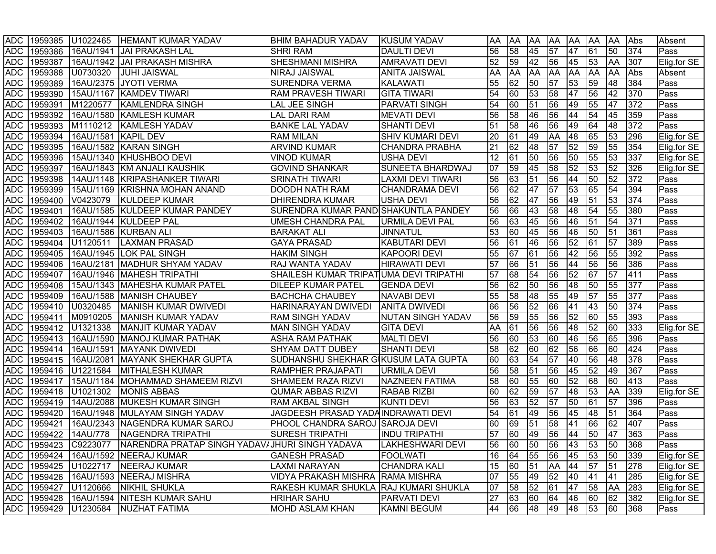|            |         |                      | ADC 1959385 U1022465 HEMANT KUMAR YADAV        | <b>BHIM BAHADUR YADAV</b>              | <b>IKUSUM YADAV</b>      | <b>AA</b> | AA              | AA              |                 | AA AA AA AA     |                 |                 | Abs | Absent      |
|------------|---------|----------------------|------------------------------------------------|----------------------------------------|--------------------------|-----------|-----------------|-----------------|-----------------|-----------------|-----------------|-----------------|-----|-------------|
| <b>ADC</b> | 1959386 |                      | 16AU/1941 JAI PRAKASH LAL                      | <b>SHRI RAM</b>                        | <b>DAULTI DEVI</b>       | 56        | $\overline{58}$ | 45              | $\overline{57}$ | 47              | $\overline{61}$ | 50              | 374 | Pass        |
| <b>ADC</b> | 1959387 |                      | 16AU/1942   JAI PRAKASH MISHRA                 | <b>SHESHMANI MISHRA</b>                | <b>AMRAVATI DEVI</b>     | 52        | 59              | 42              | 56              | 45              | 53              | <b>AA</b>       | 307 | Elig.for SE |
| <b>ADC</b> | 1959388 | U0730320             | <b>JUHI JAISWAL</b>                            | <b>NIRAJ JAISWAL</b>                   | <b>ANITA JAISWAL</b>     | AA        | <b>AA</b>       | AA              | <b>AA</b>       | <b>AA</b>       | <b>AA</b>       | <b>AA</b>       | Abs | Absent      |
| <b>ADC</b> | 1959389 |                      | 16AU/2375 JYOTI VERMA                          | <b>SURENDRA VERMA</b>                  | <b>KALAWATI</b>          | 55        | 62              | 50              | $\overline{57}$ | $\overline{53}$ | $\overline{59}$ | 48              | 384 | Pass        |
| <b>ADC</b> | 1959390 |                      | 15AU/1167 KAMDEV TIWARI                        | <b>RAM PRAVESH TIWARI</b>              | <b>GITA TIWARI</b>       | 54        | 60              | 53              | 58              | 47              | 56              | 42              | 370 | Pass        |
| <b>ADC</b> | 1959391 | M1220577             | KAMLENDRA SINGH                                | <b>LAL JEE SINGH</b>                   | <b>PARVATI SINGH</b>     | 54        | 60              | $\overline{51}$ | 56              | 49              | 55              | 47              | 372 | Pass        |
| <b>ADC</b> |         |                      | 1959392 16AU/1580 KAMLESH KUMAR                | <b>LAL DARI RAM</b>                    | <b>MEVATI DEVI</b>       | 56        | 58              | 46              | 56              | 44              | $\overline{54}$ | 45              | 359 | Pass        |
| <b>ADC</b> |         |                      | 1959393 M1110212 KAMLESH YADAV                 | <b>BANKE LAL YADAV</b>                 | <b>SHANTI DEVI</b>       | 51        | 58              | 46              | 56              | 49              | 64              | 48              | 372 | Pass        |
| <b>ADC</b> | 1959394 | 16AU/1581 KAPIL DEV  |                                                | <b>RAM MILAN</b>                       | <b>SHIV KUMARI DEVI</b>  | 20        | 61              | 49              | <b>AA</b>       | 48              | 65              | 53              | 296 | Elig.for SE |
| <b>ADC</b> | 1959395 |                      | 16AU/1582 KARAN SINGH                          | <b>ARVIND KUMAR</b>                    | <b>CHANDRA PRABHA</b>    | 21        | 62              | 48              | 57              | $\overline{52}$ | 59              | 55              | 354 | Elig.for SE |
| <b>ADC</b> | 1959396 |                      | 15AU/1340 KHUSHBOO DEVI                        | <b>VINOD KUMAR</b>                     | <b>USHA DEVI</b>         | 12        | 61              | 50              | 56              | 50              | 55              | 53              | 337 | Elig.for SE |
| <b>ADC</b> | 1959397 |                      | 16AU/1843 KM ANJALI KAUSHIK                    | <b>GOVIND SHANKAR</b>                  | <b>SUNEETA BHARDWAJ</b>  | 07        | 59              | 45              | 58              | $\overline{52}$ | $\overline{53}$ | 52              | 326 | Elig.for SE |
| <b>ADC</b> | 1959398 |                      | 14AU/1148 KRIPASHANKER TIWARI                  | <b>SRINATH TIWARI</b>                  | LAXMI DEVI TIWARI        | 56        | 63              | $\overline{51}$ | 56              | 44              | 50              | $\overline{52}$ | 372 | Pass        |
| <b>ADC</b> | 1959399 |                      | 15AU/1169 KRISHNA MOHAN ANAND                  | <b>DOODH NATH RAM</b>                  | <b>CHANDRAMA DEVI</b>    | 56        | 62              | 47              | 57              | 53              | 65              | 54              | 394 | Pass        |
| <b>ADC</b> | 1959400 | V0423079             | <b>KULDEEP KUMAR</b>                           | <b>DHIRENDRA KUMAR</b>                 | <b>USHA DEVI</b>         | 56        | 62              | 47              | 56              | 49              | 51              | 53              | 374 | Pass        |
| <b>ADC</b> | 1959401 |                      | 16AU/1585 KULDEEP KUMAR PANDEY                 | SURENDRA KUMAR PANDISHAKUNTLA PANDEY   |                          | 56        | 66              | 43              | 58              | 48              | 54              | 55              | 380 | Pass        |
| <b>ADC</b> | 1959402 |                      | 16AU/1944 KULDEEP PAL                          | <b>UMESH CHANDRA PAL</b>               | URMILA DEVI PAL          | 56        | 63              | 45              | 56              | 46              | 51              | 54              | 371 | Pass        |
| <b>ADC</b> | 1959403 |                      | 16AU/1586 KURBAN ALI                           | <b>BARAKAT ALI</b>                     | <b>JINNATUL</b>          | 53        | 60              | 45              | 56              | 46              | 50              | 51              | 361 | Pass        |
| <b>ADC</b> | 1959404 | U1120511             | <b>LAXMAN PRASAD</b>                           | <b>GAYA PRASAD</b>                     | <b>KABUTARI DEVI</b>     | 56        | 61              | 46              | 56              | 52              | 61              | 57              | 389 | Pass        |
| ADC        | 1959405 |                      | 16AU/1945 LOK PAL SINGH                        | <b>HAKIM SINGH</b>                     | <b>KAPOORI DEVI</b>      | 55        | 67              | 61              | 56              | 42              | 56              | 55              | 392 | Pass        |
| <b>ADC</b> | 1959406 |                      | 16AU/2181   MADHUR SHYAM YADAV                 | <b>RAJ WANTA YADAV</b>                 | <b>HIRAWATI DEVI</b>     | 57        | 66              | 51              | 56              | 44              | 56              | 56              | 386 | Pass        |
| <b>ADC</b> | 1959407 |                      | 16AU/1946  MAHESH TRIPATHI                     | SHAILESH KUMAR TRIPATUMA DEVI TRIPATHI |                          | 57        | 68              | 54              | 56              | 52              | 67              | 57              | 411 | Pass        |
| <b>ADC</b> | 1959408 |                      | 15AU/1343   MAHESHA KUMAR PATEL                | <b>DILEEP KUMAR PATEL</b>              | <b>GENDA DEVI</b>        | 56        | 62              | 50              | 56              | 48              | $\overline{50}$ | 55              | 377 | Pass        |
| <b>ADC</b> | 1959409 |                      | 16AU/1588 MANISH CHAUBEY                       | <b>BACHCHA CHAUBEY</b>                 | <b>NAVABI DEVI</b>       | 55        | 58              | 48              | 55              | 49              | 57              | 55              | 377 | Pass        |
| <b>ADC</b> | 1959410 | U0320485             | MANISH KUMAR DWIVEDI                           | <b>HARINARAYAN DWIVEDI</b>             | <b>ANITA DWIVEDI</b>     | 66        | 56              | 52              | 66              | 41              | 43              | 50              | 374 | Pass        |
| <b>ADC</b> | 1959411 | M0910205             | MANISH KUMAR YADAV                             | <b>RAM SINGH YADAV</b>                 | <b>NUTAN SINGH YADAV</b> | 56        | 59              | 55              | 56              | 52              | 60              | 55              | 393 | Pass        |
| <b>ADC</b> | 1959412 | U1321338             | MANJIT KUMAR YADAV                             | <b>MAN SINGH YADAV</b>                 | <b>GITA DEVI</b>         | AA        | 61              | 56              | 56              | 48              | 52              | 60              | 333 | Elig.for SE |
| <b>ADC</b> | 1959413 |                      | 16AU/1590   MANOJ KUMAR PATHAK                 | <b>ASHA RAM PATHAK</b>                 | <b>MALTI DEVI</b>        | 56        | 60              | 53              | 60              | 46              | 56              | 65              | 396 | Pass        |
| <b>ADC</b> | 1959414 |                      | 16AU/1591   MAYANK DWIVEDI                     | <b>SHYAM DATT DUBEY</b>                | <b>SHANTI DEVI</b>       | 58        | $\overline{62}$ | 60              | 62              | 56              | $\overline{66}$ | 60              | 424 | Pass        |
| <b>ADC</b> |         |                      | 1959415 16AU/2081 MAYANK SHEKHAR GUPTA         | SUDHANSHU SHEKHAR GIKUSUM LATA GUPTA   |                          | 60        | 63              | 54              | 57              | 40              | 56              | 48              | 378 | Pass        |
| <b>ADC</b> | 1959416 | U1221584             | MITHALESH KUMAR                                | <b>RAMPHER PRAJAPATI</b>               | <b>URMILA DEVI</b>       | 56        | 58              | $\overline{51}$ | 56              | 45              | 52              | 49              | 367 | Pass        |
| <b>ADC</b> | 1959417 |                      | 15AU/1184   MOHAMMAD SHAMEEM RIZVI             | <b>SHAMEEM RAZA RIZVI</b>              | <b>NAZNEEN FATIMA</b>    | 58        | 60              | 55              | 60              | 52              | $\overline{68}$ | 60              | 413 | Pass        |
| <b>ADC</b> |         | 1959418 U1021302     | <b>MONIS ABBAS</b>                             | <b>QUMAR ABBAS RIZVI</b>               | <b>RABAB RIZBI</b>       | 60        | 62              | 59              | $\overline{57}$ | 48              | 53              | <b>AA</b>       | 339 | Elig.for SE |
| <b>ADC</b> | 1959419 |                      | 14AU/2088 MUKESH KUMAR SINGH                   | <b>RAM AKBAL SINGH</b>                 | <b>KUNTI DEVI</b>        | 56        | 63              | 52              | 57              | 50              | 61              | 57              | 396 | Pass        |
| <b>ADC</b> | 1959420 |                      | 16AU/1948 MULAYAM SINGH YADAV                  | JAGDEESH PRASAD YADAINDRAWATI DEVI     |                          | 54        | 61              | 49              | 56              | 45              | 48              | 51              | 364 | Pass        |
| <b>ADC</b> | 1959421 |                      | 16AU/2343 NAGENDRA KUMAR SAROJ                 | <b>PHOOL CHANDRA SAROJ SAROJA DEVI</b> |                          | 60        | 69              | 51              | 58              | 41              | 66              | 62              | 407 | Pass        |
| <b>ADC</b> | 1959422 | 14AU/778             | <b>NAGENDRA TRIPATHI</b>                       | SURESH TRIPATHI                        | IINDU TRIPATHI           | 57        | 60              | 49              | 56              | 44              | 50              | 47              | 363 | <b>Pass</b> |
|            |         | ADC 1959423 C9223077 | NARENDRA PRATAP SINGH YADAVAJHURI SINGH YADAVA |                                        | <b>LAKHESHWARI DEVI</b>  | I56.      |                 |                 |                 | 60 50 56 43 53  |                 | 50              | 368 | <b>Pass</b> |
|            |         |                      | ADC 1959424 16AU/1592 NEERAJ KUMAR             | <b>GANESH PRASAD</b>                   | <b>FOOLWATI</b>          | 16        | 64              | 55              | 56              | 45              | 53              | 50              | 339 | Elig.for SE |
|            |         |                      | ADC 1959425 U1022717 NEERAJ KUMAR              | LAXMI NARAYAN                          | <b>CHANDRA KALI</b>      | 15        | 60              | 51              | AA 44           |                 | 57              | 51              | 278 | Elig.for SE |
|            |         |                      | ADC 1959426 16AU/1593 NEERAJ MISHRA            | VIDYA PRAKASH MISHRA RAMA MISHRA       |                          | 07        | 55              | 49              | 52              | 40              | 41              | 41              | 285 | Elig.for SE |
|            |         | ADC 1959427 U1120666 | NIKHIL SHUKLA                                  | RAKESH KUMAR SHUKLA RAJ KUMARI SHUKLA  |                          | 07        | 58              | 52              | 61              | 47              | 58              | AA              | 283 | Elig.for SE |
|            |         |                      | ADC   1959428   16AU/1594 NITESH KUMAR SAHU    | <b>HRIHAR SAHU</b>                     | <b>PARVATI DEVI</b>      | 27        | 63              | 60              | 64              | 46              | 60              | 62              | 382 | Elig.for SE |
|            |         | ADC 1959429 U1230584 | NUZHAT FATIMA                                  | <b>MOHD ASLAM KHAN</b>                 | <b>KAMNI BEGUM</b>       | 44        | 66              | 48              | 49              | 48              | 53              | 60              | 368 | Pass        |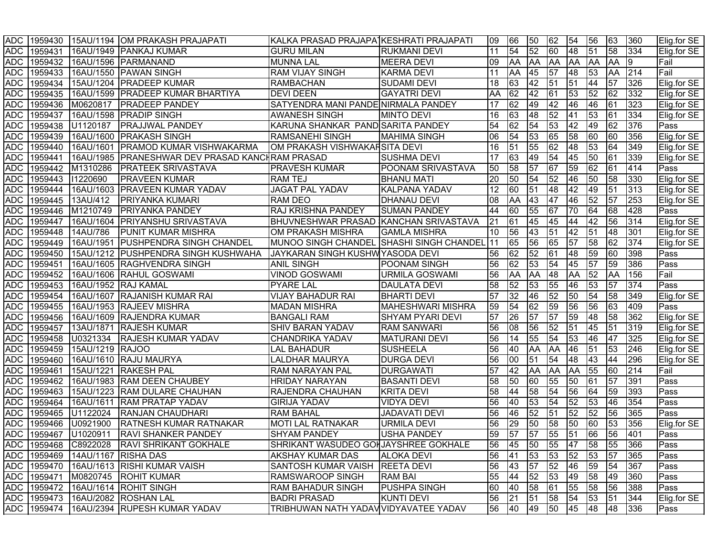|            |             |                 | ADC 1959430 15AU/1194 OM PRAKASH PRAJAPATI      | KALKA PRASAD PRAJAPA KESHRATI PRAJAPATI  |                          | 09              | 66         | 50        | 62               | 54              | 56              | 63              | 360  | Elig.for SE |
|------------|-------------|-----------------|-------------------------------------------------|------------------------------------------|--------------------------|-----------------|------------|-----------|------------------|-----------------|-----------------|-----------------|------|-------------|
| <b>ADC</b> | 1959431     |                 | 16AU/1949   PANKAJ KUMAR                        | <b>GURU MILAN</b>                        | <b>RUKMANI DEVI</b>      | 11              | 54         | 52        | $\overline{60}$  | 48              | $\overline{51}$ | $\overline{58}$ | 334  | Elig.for SE |
| <b>ADC</b> | 1959432     |                 | 16AU/1596 PARMANAND                             | <b>MUNNA LAL</b>                         | <b>MEERA DEVI</b>        | 09              | <b>AA</b>  | AA        | AA               | AA              | <b>AA</b>       | <b>AA</b>       | Ι9   | Fail        |
| <b>ADC</b> | 1959433     |                 | 16AU/1550 PAWAN SINGH                           | RAM VIJAY SINGH                          | <b>KARMA DEVI</b>        | 11              | <b>AA</b>  | 45        | 57               | 48              | 53              | AA              | 214  | Fail        |
| <b>ADC</b> | 1959434     |                 | 15AU/1204 PRADEEP KUMAR                         | <b>RAMBACHAN</b>                         | <b>SUDAMI DEVI</b>       | $\overline{18}$ | 63         | 42        | $\sqrt{51}$      | $\overline{51}$ | 44              | 57              | 326  | Elig.for SE |
| <b>ADC</b> | 1959435     |                 | 16AU/1599 PRADEEP KUMAR BHARTIYA                | <b>DEVI DEEN</b>                         | <b>GAYATRI DEVI</b>      | AA              | 62         | 42        | 61               | $\sqrt{53}$     | 52              | $\overline{62}$ | 332  | Elig.for SE |
| <b>ADC</b> | 1959436     | M0620817        | <b>PRADEEP PANDEY</b>                           | SATYENDRA MANI PANDE NIRMALA PANDEY      |                          | 17              | 62         | 49        | 42               | 46              | 46              | 61              | 323  | Elig.for SE |
| <b>ADC</b> | 1959437     |                 | 16AU/1598 PRADIP SINGH                          | <b>AWANESH SINGH</b>                     | <b>MINTO DEVI</b>        | 16              | 63         | 48        | 52               | 41              | 53              | 61              | 334  | Elig.for SE |
| <b>ADC</b> | 1959438     | U1120187        | <b>PRAJJWAL PANDEY</b>                          | KARUNA SHANKAR PAND SARITA PANDEY        |                          | 54              | 62         | 54        | 53               | 42              | 49              | 62              | 376  | Pass        |
| <b>ADC</b> | 1959439     |                 | 16AU/1600 PRAKASH SINGH                         | <b>RAMSANEHI SINGH</b>                   | <b>MAHIMA SINGH</b>      | 06              | 54         | 53        | 65               | 58              | 60              | 60              | 356  | Elig.for SE |
| <b>ADC</b> | 1959440     |                 | 16AU/1601 PRAMOD KUMAR VISHWAKARMA              | OM PRAKASH VISHWAKARSITA DEVI            |                          | 16              | 51         | 55        | 62               | 48              | 53              | 64              | 349  | Elig.for SE |
| <b>ADC</b> | 1959441     |                 | 16AU/1985 PRANESHWAR DEV PRASAD KANCHRAM PRASAD |                                          | <b>SUSHMA DEVI</b>       | 17              | 63         | 49        | 54               | 45              | 50              | 61              | 339  | Elig.for SE |
| <b>ADC</b> | 1959442     | M1310286        | <b>PRATEEK SRIVASTAVA</b>                       | PRAVESH KUMAR                            | POONAM SRIVASTAVA        | 50              | 58         | 57        | $\overline{67}$  | 59              | 62              | 61              | 414  | Pass        |
| <b>ADC</b> | 1959443     | 11220690        | <b>PRAVEEN KUMAR</b>                            | <b>RAM TEJ</b>                           | <b>BHANU MATI</b>        | 20              | 50         | 54        | $\overline{52}$  | 46              | 50              | 58              | 330  | Elig.for SE |
| <b>ADC</b> | 1959444     |                 | 16AU/1603 PRAVEEN KUMAR YADAV                   | JAGAT PAL YADAV                          | KALPANA YADAV            | 12              | 60         | 51        | 48               | 42              | 49              | 51              | 313  | Elig.for SE |
| <b>ADC</b> | 1959445     | 13AU/412        | PRIYANKA KUMARI                                 | RAM DEO                                  | DHANAU DEVI              | 08              | AA         | 43        | $\overline{147}$ | 46              | 52              | 57              | 253  | Elig.for SE |
| <b>ADC</b> | 1959446     | M1210749        | <b>PRIYANKA PANDEY</b>                          | RAJ KRISHNA PANDEY                       | <b>SUMAN PANDEY</b>      | 44              | 60         | 55        | 67               | 70              | 64              | 68              | 428  | Pass        |
| <b>ADC</b> | 1959447     |                 | 16AU/1604   PRIYANSHU SRIVASTAVA                | BHUVNESHWAR PRASAD KANCHAN SRIVASTAVA    |                          | 21              | 61         | 45        | $\overline{45}$  | 44              | 42              | 56              | 314  | Elig.for SE |
| <b>ADC</b> | 1959448     | 14AU/786        | <b>PUNIT KUMAR MISHRA</b>                       | OM PRAKASH MISHRA                        | <b>GAMLA MISHRA</b>      | 10              | 56         | 43        | $\overline{51}$  | 42              | 51              | 48              | 301  | Elig.for SE |
| <b>ADC</b> | 1959449     |                 | 16AU/1951   PUSHPENDRA SINGH CHANDEL            | MUNOO SINGH CHANDEL SHASHI SINGH CHANDEL |                          | 11              | 65         | 56        | 65               | 57              | 58              | 62              | 374  | Elig.for SE |
| <b>ADC</b> | 1959450     |                 | 15AU/1212  PUSHPENDRA SINGH KUSHWAHA            | JAYKARAN SINGH KUSHWYASODA DEVI          |                          | 56              | 62         | 52        | 61               | 48              | 59              | 60              | 398  | Pass        |
| <b>ADC</b> | 1959451     |                 | 16AU/1605 RAGHVENDRA SINGH                      | <b>ANIL SINGH</b>                        | POONAM SINGH             | 56              | 62         | 53        | 54               | 45              | 57              | 59              | 386  | Pass        |
| <b>ADC</b> | 1959452     |                 | 16AU/1606 RAHUL GOSWAMI                         | VINOD GOSWAMI                            | URMILA GOSWAMI           | 56              | AA         | AA        | $\overline{48}$  | AA              | 52              | <b>AA</b>       | 156  | Fail        |
| <b>ADC</b> | 1959453     |                 | 16AU/1952 RAJ KAMAL                             | <b>PYARE LAL</b>                         | <b>DAULATA DEVI</b>      | 58              | 52         | 53        | 55               | 46              | 53              | 57              | 374  | Pass        |
| <b>ADC</b> | 1959454     |                 | 16AU/1607 RAJANISH KUMAR RAI                    | <b>VIJAY BAHADUR RAI</b>                 | <b>BHARTI DEVI</b>       | 57              | 32         | 46        | $\overline{52}$  | 50              | 54              | 58              | 349  | Elig.for SE |
| <b>ADC</b> | 1959455     |                 | 16AU/1953 RAJEEV MISHRA                         | <b>MADAN MISHRA</b>                      | <b>MAHESHWARI MISHRA</b> | 59              | 54         | 62        | 59               | 56              | 56              | 63              | 409  | Pass        |
| <b>ADC</b> | 1959456     |                 | 16AU/1609 RAJENDRA KUMAR                        | <b>BANGALI RAM</b>                       | <b>SHYAM PYARI DEVI</b>  | 57              | 26         | 57        | 57               | 59              | 48              | 58              | 362  | Elig.for SE |
| <b>ADC</b> | 1959457     |                 | 13AU/1871 RAJESH KUMAR                          | SHIV BARAN YADAV                         | <b>RAM SANWARI</b>       | 56              | 08         | 56        | 52               | 51              | 45              | 51              | 319  | Elig.for SE |
| <b>ADC</b> | 1959458     | U0321334        | <b>RAJESH KUMAR YADAV</b>                       | CHANDRIKA YADAV                          | <b>MATURANI DEVI</b>     | 56              | 14         | 55        | 54               | 53              | 46              | 47              | 325  | Elig.for SE |
| <b>ADC</b> | 1959459     | 15AU/1219 RAJOO |                                                 | <b>LAL BAHADUR</b>                       | <b>SUSHEELA</b>          | 56              | 40         | <b>AA</b> | <b>AA</b>        | 46              | 51              | $\overline{53}$ | 246  | Elig.for SE |
| <b>ADC</b> | 1959460     |                 | 16AU/1610 RAJU MAURYA                           | <b>LALDHAR MAURYA</b>                    | <b>DURGA DEVI</b>        | 56              | 00         | 51        | 54               | 48              | 43              | 44              | 296  | Elig.for SE |
| <b>ADC</b> | 1959461     |                 | 15AU/1221 RAKESH PAL                            | RAM NARAYAN PAL                          | <b>DURGAWATI</b>         | 57              | 42         | AA        | <b>AA</b>        | <b>AA</b>       | 55              | 60              | 214  | Fail        |
| <b>ADC</b> | 1959462     |                 | 16AU/1983 RAM DEEN CHAUBEY                      | <b>HRIDAY NARAYAN</b>                    | <b>BASANTI DEVI</b>      | 58              | 50         | 60        | 55               | 50              | 61              | 57              | 391  | Pass        |
| <b>ADC</b> | 1959463     |                 | 15AU/1223 RAM DULARE CHAUHAN                    | RAJENDRA CHAUHAN                         | <b>KRITA DEVI</b>        | 58              | 44         | 58        | 54               | 56              | 64              | 59              | 393  | Pass        |
| <b>ADC</b> | 1959464     |                 | 16AU/1611 RAM PRATAP YADAV                      | <b>GIRIJA YADAV</b>                      | <b>VIDYA DEVI</b>        | 56              | 40         | 53        | 54               | 52              | 53              | 46              | 354  | Pass        |
| <b>ADC</b> | 1959465     | U1122024        | <b>RANJAN CHAUDHARI</b>                         | <b>RAM BAHAL</b>                         | <b>JADAVATI DEVI</b>     | 56              | 46         | 52        | 51               | 52              | 52              | 56              | 365  | Pass        |
| <b>ADC</b> | 1959466     | U0921900        | <b>RATNESH KUMAR RATNAKAR</b>                   | <b>MOTI LAL RATNAKAR</b>                 | <b>URMILA DEVI</b>       | 56              | 29         | 50        | 58               | 50              | 60              | 53              | 356  | Elig.for SE |
| <b>ADC</b> | 1959467     | U1020911        | <b>RAVI SHANKER PANDEY</b>                      | <b>SHYAM PANDEY</b>                      | <b>USHA PANDEY</b>       | 59              | 57         | 57        | $\overline{55}$  | $\overline{51}$ | $\overline{66}$ | 56              | 401  | <b>Pass</b> |
|            |             |                 | ADC 1959468 C8922028 RAVI SHRIKANT GOKHALE      | SHRIKANT WASUDEO GOHJAYSHREE GOKHALE     |                          | I56             | l 45       |           |                  |                 | 50 55 47 58 55  |                 | 1366 | <b>Pass</b> |
|            |             |                 | ADC 1959469 14AU/1167 RISHA DAS                 | <b>AKSHAY KUMAR DAS</b>                  | <b>ALOKA DEVI</b>        | 56              | <b>141</b> | 53        | 53               | 52              | 53              | 57              | 365  | Pass        |
|            |             |                 | ADC 1959470 16AU/1613 RISHI KUMAR VAISH         | SANTOSH KUMAR VAISH REETA DEVI           |                          | 56              | 43         | 57        | 52               | 46              | 59              | 54              | 367  | Pass        |
|            | ADC 1959471 |                 | M0820745 ROHIT KUMAR                            | RAMSWAROOP SINGH                         | <b>RAM BAI</b>           | 55              | 44         | 52        | 53               | 49              | 58              | 49              | 360  | Pass        |
|            |             |                 | ADC   1959472   16AU/1614   ROHIT SINGH         | RAM BAHADUR SINGH                        | <b>PUSHPA SINGH</b>      | 60              | 40         | 58        | 61               | 55              | 58              | 56              | 388  | Pass        |
|            |             |                 | ADC 1959473 16AU/2082 ROSHAN LAL                | <b>BADRI PRASAD</b>                      | <b>KUNTI DEVI</b>        | 56              | 21         | 51        | 58               | 54              | 53              | 51              | 344  | Elig.for SE |
|            |             |                 | ADC 1959474 16AU/2394 RUPESH KUMAR YADAV        | TRIBHUWAN NATH YADAV VIDYAVATEE YADAV    |                          | 56              | 40         | 49        | 50               | 45              | 48              | 48              | 336  | Pass        |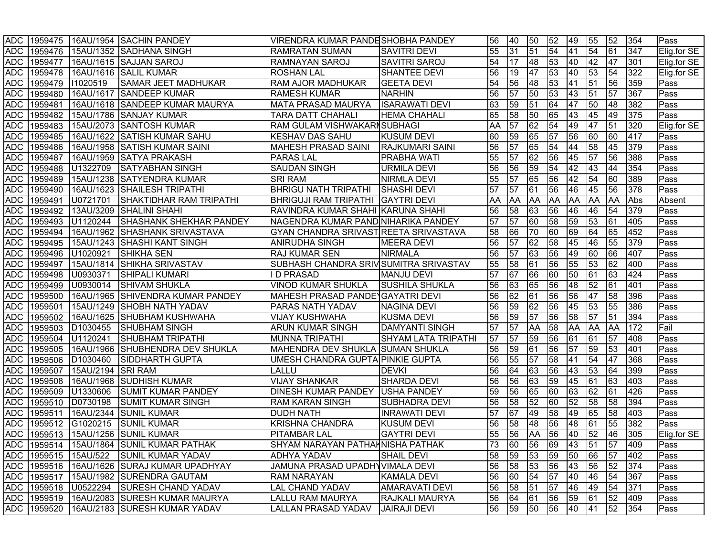|            |         |                   | ADC 1959475 16AU/1954 SACHIN PANDEY            | VIRENDRA KUMAR PANDESHOBHA PANDEY      |                            | 56 | 40        | 50                              | 52              | 49              | 55              | 52        | 354 | Pass        |
|------------|---------|-------------------|------------------------------------------------|----------------------------------------|----------------------------|----|-----------|---------------------------------|-----------------|-----------------|-----------------|-----------|-----|-------------|
| <b>ADC</b> |         |                   | 1959476 15AU/1352 SADHANA SINGH                | <b>RAMRATAN SUMAN</b>                  | <b>SAVITRI DEVI</b>        | 55 | 31        | $\overline{51}$                 | $\overline{54}$ | 41              | $\overline{54}$ | 61        | 347 | Elig.for SE |
| <b>ADC</b> | 1959477 |                   | 16AU/1615 SAJJAN SAROJ                         | <b>RAMNAYAN SAROJ</b>                  | <b>SAVITRI SAROJ</b>       | 54 | 17        | 48                              | 53              | 40              | 42              | 47        | 301 | Elig.for SE |
| <b>ADC</b> | 1959478 |                   | 16AU/1616 SALIL KUMAR                          | <b>ROSHAN LAL</b>                      | <b>SHANTEE DEVI</b>        | 56 | 19        | 47                              | 53              | 40              | 53              | 54        | 322 | Elig.for SE |
| <b>ADC</b> | 1959479 | 11020519          | <b>SAMAR JEET MADHUKAR</b>                     | <b>RAM AJOR MADHUKAR</b>               | <b>GEETA DEVI</b>          | 54 | 56        | 48                              | 53              | 41              | 51              | 56        | 359 | Pass        |
| <b>ADC</b> | 1959480 |                   | 16AU/1617 SANDEEP KUMAR                        | <b>RAMESH KUMAR</b>                    | <b>NARHIN</b>              | 56 | 57        | 50                              | 53              | 43              | 51              | 57        | 367 | Pass        |
| <b>ADC</b> | 1959481 |                   | 16AU/1618 SANDEEP KUMAR MAURYA                 | MATA PRASAD MAURYA                     | <b>ISARAWATI DEVI</b>      | 63 | 59        | $\overline{51}$                 | 64              | 47              | 50              | 48        | 382 | Pass        |
| <b>ADC</b> | 1959482 |                   | 15AU/1786 SANJAY KUMAR                         | <b>TARA DATT CHAHALI</b>               | <b>HEMA CHAHALI</b>        | 65 | 58        | 50                              | 65              | $ 43\rangle$    | 45              | 49        | 375 | Pass        |
| <b>ADC</b> | 1959483 |                   | 15AU/2073 SANTOSH KUMAR                        | <b>RAM GULAM VISHWAKARNSUBHAGI</b>     |                            | AA | 57        | $\overline{62}$                 | 54              | 49              | 47              | 51        | 320 | Elig.for SE |
| <b>ADC</b> | 1959485 |                   | 16AU/1622 SATISH KUMAR SAHU                    | <b>KESHAV DAS SAHU</b>                 | <b>KUSUM DEVI</b>          | 60 | 59        | 65                              | 57              | 56              | 60              | 60        | 417 | Pass        |
| <b>ADC</b> | 1959486 |                   | 16AU/1958 SATISH KUMAR SAINI                   | MAHESH PRASAD SAINI                    | <b>RAJKUMARI SAINI</b>     | 56 | 57        | 65                              | $\overline{54}$ | 44              | 58              | 45        | 379 | Pass        |
| <b>ADC</b> | 1959487 |                   | 16AU/1959 SATYA PRAKASH                        | <b>PARAS LAL</b>                       | <b>PRABHA WATI</b>         | 55 | 57        | 62                              | 56              | 45              | $\overline{57}$ | 56        | 388 | Pass        |
| <b>ADC</b> | 1959488 | U1322709          | <b>SATYABHAN SINGH</b>                         | <b>SAUDAN SINGH</b>                    | <b>URMILA DEVI</b>         | 56 | 56        | 59                              | 54              | 42              | $ 43\rangle$    | 44        | 354 | Pass        |
| <b>ADC</b> | 1959489 |                   | 15AU/1238 SATYENDRA KUMAR                      | <b>SRI RAM</b>                         | <b>NIRMLA DEVI</b>         | 55 | 57        | 65                              | 56              | 42              | 54              | 60        | 389 | Pass        |
| <b>ADC</b> | 1959490 |                   | 16AU/1623 SHAILESH TRIPATHI                    | <b>BHRIGU NATH TRIPATHI</b>            | <b>SHASHI DEVI</b>         | 57 | 57        | 61                              | 56              | 46              | 45              | 56        | 378 | Pass        |
| <b>ADC</b> | 1959491 | U0721701          | SHAKTIDHAR RAM TRIPATHI                        | BHRIGUJI RAM TRIPATHI GAYTRI DEVI      |                            | AA | <b>AA</b> | AA                              | <b>AA</b>       | <b>AA</b>       | <b>AA</b>       | AA        | Abs | Absent      |
| <b>ADC</b> | 1959492 |                   | 13AU/3209 SHALINI SHAHI                        | RAVINDRA KUMAR SHAHI KARUNA SHAHI      |                            | 56 | 58        | 63                              | 56              | 46              | 46              | 54        | 379 | Pass        |
| <b>ADC</b> | 1959493 | U1120244          | <b>SHASHANK SHEKHAR PANDEY</b>                 | NAGENDRA KUMAR PAND NIHARIKA PANDEY    |                            | 57 | 57        | 60                              | 58              | 59              | 53              | 61        | 405 | Pass        |
| <b>ADC</b> | 1959494 |                   | 16AU/1962 SHASHANK SRIVASTAVA                  | GYAN CHANDRA SRIVAST REETA SRIVASTAVA  |                            | 58 | 66        | 70                              | 60              | 69              | 64              | 65        | 452 | Pass        |
| <b>ADC</b> | 1959495 |                   | 15AU/1243 SHASHI KANT SINGH                    | <b>ANIRUDHA SINGH</b>                  | <b>MEERA DEVI</b>          | 56 | 57        | 62                              | 58              | 45              | 46              | 55        | 379 | Pass        |
| <b>ADC</b> | 1959496 | U1020921          | <b>SHIKHA SEN</b>                              | RAJ KUMAR SEN                          | <b>NIRMALA</b>             | 56 | 57        | 63                              | 56              | 49              | 60              | 66        | 407 | Pass        |
| <b>ADC</b> | 1959497 |                   | 15AU/1814 SHIKHA SRIVASTAV                     | SUBHASH CHANDRA SRIV SUMITRA SRIVASTAV |                            | 55 | 58        | 61                              | 56              | 55              | 53              | 62        | 400 | Pass        |
| <b>ADC</b> | 1959498 | U0930371          | <b>SHIPALI KUMARI</b>                          | <b>D PRASAD</b>                        | <b>MANJU DEVI</b>          | 57 | 67        | 66                              | 60              | 50              | 61              | 63        | 424 | Pass        |
| <b>ADC</b> | 1959499 | U0930014          | <b>SHIVAM SHUKLA</b>                           | <b>VINOD KUMAR SHUKLA</b>              | <b>SUSHILA SHUKLA</b>      | 56 | 63        | 65                              | 56              | 48              | $\overline{52}$ | 61        | 401 | Pass        |
| <b>ADC</b> | 1959500 |                   | 16AU/1965 SHIVENDRA KUMAR PANDEY               | MAHESH PRASAD PANDE GAYATRI DEVI       |                            | 56 | 62        | 61                              | 56              | 56              | 47              | 58        | 396 | Pass        |
| <b>ADC</b> | 1959501 |                   | 15AU/1249 SHOBH NATH YADAV                     | <b>PARAS NATH YADAV</b>                | <b>NAGINA DEVI</b>         | 56 | 59        | 62                              | 56              | 45              | 53              | 55        | 386 | Pass        |
| <b>ADC</b> | 1959502 |                   | 16AU/1625 SHUBHAM KUSHWAHA                     | <b>VIJAY KUSHWAHA</b>                  | <b>KUSMA DEVI</b>          | 56 | 59        | 57                              | 56              | 58              | 57              | 51        | 394 | Pass        |
| <b>ADC</b> | 1959503 | D1030455          | <b>SHUBHAM SINGH</b>                           | <b>ARUN KUMAR SINGH</b>                | <b>DAMYANTI SINGH</b>      | 57 | 57        | AA                              | 58              | <b>AA</b>       | <b>AA</b>       | <b>AA</b> | 172 | Fail        |
| <b>ADC</b> | 1959504 | U1120241          | <b>SHUBHAM TRIPATHI</b>                        | <b>MUNNA TRIPATHI</b>                  | <b>SHYAM LATA TRIPATHI</b> | 57 | 57        | 59                              | 56              | 61              | 61              | 57        | 408 | <b>Pass</b> |
| <b>ADC</b> | 1959505 |                   | 16AU/1966 SHUBHENDRA DEV SHUKLA                | MAHENDRA DEV SHUKLA SUMAN SHUKLA       |                            | 56 | 59        | 61                              | 56              | $\overline{57}$ | 59              | 53        | 401 | Pass        |
| <b>ADC</b> | 1959506 | D1030460          | <b>SIDDHARTH GUPTA</b>                         | UMESH CHANDRA GUPTA PINKIE GUPTA       |                            | 56 | 55        | $\overline{57}$                 | 58              | 41              | 54              | 47        | 368 | Pass        |
| <b>ADC</b> | 1959507 | 15AU/2194 SRI RAM |                                                | LALLU                                  | <b>DEVKI</b>               | 56 | 64        | 63                              | 56              | 43              | 53              | 64        | 399 | Pass        |
| <b>ADC</b> | 1959508 |                   | 16AU/1968 SUDHISH KUMAR                        | <b>VIJAY SHANKAR</b>                   | <b>SHARDA DEVI</b>         | 56 | 56        | 63                              | 59              | 45              | $\overline{61}$ | 63        | 403 | Pass        |
| <b>ADC</b> | 1959509 | U1330606          | <b>SUMIT KUMAR PANDEY</b>                      | DINESH KUMAR PANDEY USHA PANDEY        |                            | 59 | 56        | 65                              | 60              | 63              | 62              | 61        | 426 | Pass        |
| <b>ADC</b> | 1959510 | D0730198          | <b>SUMIT KUMAR SINGH</b>                       | RAM KARAN SINGH                        | <b>SUBHADRA DEVI</b>       | 56 | 58        | 52                              | 60              | 52              | 58              | 58        | 394 | Pass        |
| <b>ADC</b> | 1959511 |                   | 16AU/2344 SUNIL KUMAR                          | <b>DUDH NATH</b>                       | <b>INRAWATI DEVI</b>       | 57 | 67        | 49                              | 58              | 49              | 65              | 58        | 403 | Pass        |
| <b>ADC</b> |         | 1959512 G1020215  | <b>SUNIL KUMAR</b>                             | <b>KRISHNA CHANDRA</b>                 | <b>KUSUM DEVI</b>          | 56 | 58        | 48                              | 56              | 48              | 61              | 55        | 382 | Pass        |
| <b>ADC</b> |         |                   | 1959513 15AU/1256 SUNIL KUMAR                  | <b>PITAMBAR LAL</b>                    | <b>GAYTRI DEVI</b>         | 55 | 56        | AA                              | 56              | 40              | $\overline{52}$ | 46        | 305 | Elig.for SE |
|            |         |                   | ADC 1959514 15AU/1864 SUNIL KUMAR PATHAK       | SHYAM NARAYAN PATHAHNISHA PATHAK       |                            |    |           | 73  60  56  69  43  51  57  409 |                 |                 |                 |           |     | <b>Pass</b> |
|            |         |                   | ADC 1959515 15AU/522 SUNIL KUMAR YADAV         | <b>ADHYA YADAV</b>                     | <b>SHAIL DEVI</b>          | 58 | 59        | 53                              | 59              | 50              | 66              | 57        | 402 | Pass        |
|            |         |                   | ADC 1959516 16AU/1626 SURAJ KUMAR UPADHYAY     | JAMUNA PRASAD UPADHYVIMALA DEVI        |                            | 56 | 58        | 53                              | 56              | 43              | 56              | 52        | 374 | Pass        |
|            |         |                   | ADC   1959517   15AU/1982   SURENDRA GAUTAM    | <b>RAM NARAYAN</b>                     | <b>KAMALA DEVI</b>         | 56 | 60        | 54                              | 57              | 40              | 46              | 54        | 367 | Pass        |
|            |         |                   | ADC 1959518 U0522294 SURESH CHAND YADAV        | LAL CHAND YADAV                        | <b>AMARAVATI DEVI</b>      | 56 | 58        | 51                              | 57              | 46              | 49              | 54        | 371 | Pass        |
|            |         |                   | ADC  1959519  16AU/2083  SURESH KUMAR MAURYA   | LALLU RAM MAURYA                       | <b>RAJKALI MAURYA</b>      | 56 | 64        | 61                              | 56              | 59              | 61              | 52        | 409 | Pass        |
|            |         |                   | ADC   1959520   16AU/2183   SURESH KUMAR YADAV | LALLAN PRASAD YADAV JAIRAJI DEVI       |                            | 56 | 59        | 50                              | 56              | 40              | 41              | 52 354    |     | Pass        |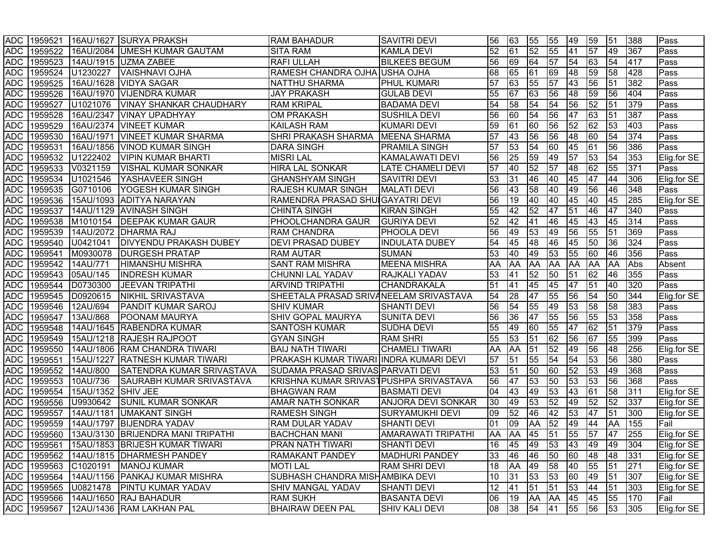|            | <b>ADC 1959521</b> |                    | 16AU/1627 SURYA PRAKSH                           | <b>RAM BAHADUR</b>                     | <b>SAVITRI DEVI</b>       | 56         | 63                     | 55         | 55              | 49              | 59              | 51              | 388    | Pass        |
|------------|--------------------|--------------------|--------------------------------------------------|----------------------------------------|---------------------------|------------|------------------------|------------|-----------------|-----------------|-----------------|-----------------|--------|-------------|
| <b>ADC</b> | 1959522            |                    | 16AU/2084   UMESH KUMAR GAUTAM                   | <b>SITA RAM</b>                        | <b>KAMLA DEVI</b>         | 52         | 61                     | 52         | 55              | 41              | $\overline{57}$ | 49              | 367    | Pass        |
| <b>ADC</b> | 1959523            |                    | 14AU/1915   UZMA ZABEE                           | <b>RAFI ULLAH</b>                      | <b>BILKEES BEGUM</b>      | 56         | 69                     | 64         | $\overline{57}$ | 54              | 63              | 54              | 417    | Pass        |
| <b>ADC</b> | 1959524            | U1230227           | VAISHNAVI OJHA                                   | RAMESH CHANDRA OJHA USHA OJHA          |                           | 68         | 65                     | 61         | 69              | 48              | 59              | 58              | 428    | Pass        |
| <b>ADC</b> | 1959525            |                    | 16AU/1628 VIDYA SAGAR                            | NATTHU SHARMA                          | <b>PHUL KUMARI</b>        | 57         | 63                     | 55         | $\overline{57}$ | $\overline{43}$ | 56              | 51              | 382    | Pass        |
| <b>ADC</b> | 1959526            |                    | 16AU/1970   VIJENDRA KUMAR                       | <b>JAY PRAKASH</b>                     | <b>GULAB DEVI</b>         | 55         | 67                     | 63         | 56              | 48              | 59              | 56              | 404    | Pass        |
| <b>ADC</b> | 1959527            | U1021076           | <b>VINAY SHANKAR CHAUDHARY</b>                   | <b>RAM KRIPAL</b>                      | <b>BADAMA DEVI</b>        | 54         | 58                     | 54         | $\overline{54}$ | 56              | 52              | 51              | 379    | Pass        |
| <b>ADC</b> | 1959528            |                    | 16AU/2347   VINAY UPADHYAY                       | <b>OM PRAKASH</b>                      | <b>SUSHILA DEVI</b>       | 56         | 60                     | 54         | 56              | 47              | $\overline{63}$ | 51              | 387    | Pass        |
| <b>ADC</b> | 1959529            |                    | 16AU/2374   VINEET KUMAR                         | <b>KAILASH RAM</b>                     | <b>KUMARI DEVI</b>        | 59         | 61                     | 60         | 56              | 52              | 62              | 53              | 403    | Pass        |
| <b>ADC</b> | 1959530            | 16AU/1971          | <b>VINEET KUMAR SHARMA</b>                       | <b>SHRI PRAKASH SHARMA</b>             | <b>MEENA SHARMA</b>       | 57         | 43                     | 56         | 56              | 48              | 60              | 54              | 374    | Pass        |
| <b>ADC</b> | 1959531            |                    | 16AU/1856   VINOD KUMAR SINGH                    | <b>DARA SINGH</b>                      | <b>PRAMILA SINGH</b>      | 57         | 53                     | 54         | 60              | 45              | 61              | 56              | 386    | Pass        |
| <b>ADC</b> | 1959532            | U1222402           | <b>VIPIN KUMAR BHARTI</b>                        | <b>MISRI LAL</b>                       | <b>KAMALAWATI DEVI</b>    | 56         | 25                     | 59         | 49              | $\overline{57}$ | 53              | 54              | 353    | Elig.for SE |
| <b>ADC</b> | 1959533            | V0321159           | <b>VISHAL KUMAR SONKAR</b>                       | HIRA LAL SONKAR                        | <b>LATE CHAMELI DEVI</b>  | 57         | 40                     | 52         | $\overline{57}$ | 48              | 62              | 55              | 371    | Pass        |
| <b>ADC</b> | 1959534            | U1021546           | YASHAVEER SINGH                                  | <b>GHANSHYAM SINGH</b>                 | <b>SAVITRI DEVI</b>       | 53         | 31                     | 46         | 40              | 45              | 47              | 44              | 306    | Elig.for SE |
| ADC        | 1959535            | G0710106           | YOGESH KUMAR SINGH                               | <b>RAJESH KUMAR SINGH</b>              | <b>MALATI DEVI</b>        | 56         | 43                     | 58         | 40              | 49              | 56              | 46              | 348    | Pass        |
| ADC        | 1959536            |                    | 15AU/1093 ADITYA NARAYAN                         | RAMENDRA PRASAD SHUIGAYATRI DEVI       |                           | 56         | 19                     | 40         | 40              | 45              | 40              | 45              | 285    | Elig.for SE |
| ADC        | 1959537            |                    | 14AU/1129 AVINASH SINGH                          | <b>CHINTA SINGH</b>                    | <b>KIRAN SINGH</b>        | 55         | 42                     | 52         | 47              | 51              | 46              | 47              | 340    | Pass        |
| ADC        | 1959538            | M1010154           | <b>DEEPAK KUMAR GAUR</b>                         | <b>PHOOLCHANDRA GAUR</b>               | <b>GURIYA DEVI</b>        | 52         | 42                     | 41         | 46              | 45              | 43              | 45              | 314    | Pass        |
| ADC        | 1959539            |                    | 14AU/2072 DHARMA RAJ                             | <b>RAM CHANDRA</b>                     | <b>PHOOLA DEVI</b>        | 56         | 49                     | 53         | 49              | 56              | 55              | 51              | 369    | Pass        |
| <b>ADC</b> | 1959540            | U0421041           | <b>DIVYENDU PRAKASH DUBEY</b>                    | <b>DEVI PRASAD DUBEY</b>               | <b>INDULATA DUBEY</b>     | 54         | 45                     | 48         | 46              | 45              | 50              | 36              | 324    | Pass        |
| <b>ADC</b> | 1959541            | M0930078           | <b>DURGESH PRATAP</b>                            | <b>RAM AUTAR</b>                       | <b>SUMAN</b>              | 53         | 40                     | 49         | 53              | 55              | 60              | 46              | 356    | Pass        |
| ADC        | 1959542            | 14AU/771           | <b>HIMANSHU MISHRA</b>                           | <b>SANT RAM MISHRA</b>                 | <b>MEENA MISHRA</b>       | AA         | AA                     | AA         | <b>AA</b>       | <b>AA</b>       | <b>AA</b>       | <b>AA</b>       | Abs    | Absent      |
| ADC        | 1959543            | 05AU/145           | <b>INDRESH KUMAR</b>                             | <b>CHUNNI LAL YADAV</b>                | RAJKALI YADAV             | 53         | 41                     | 52         | 50              | 51              | 62              | 46              | 355    | Pass        |
| <b>ADC</b> | 1959544            | D0730300           | <b>JEEVAN TRIPATHI</b>                           | <b>ARVIND TRIPATHI</b>                 | <b>CHANDRAKALA</b>        | 51         | 41                     | 45         | 45              | 47              | 51              | 40              | 320    | Pass        |
| <b>ADC</b> | 1959545            | D0920615           | NIKHIL SRIVASTAVA                                | SHEETALA PRASAD SRIVANEELAM SRIVASTAVA |                           | 54         | $\overline{\text{28}}$ | 47         | 55              | 56              | 54              | 50              | 344    | Elig.for SE |
| <b>ADC</b> | 1959546            | 12AU/694           | <b>PANDIT KUMAR SAROJ</b>                        | <b>SHIV KUMAR</b>                      | <b>SHANTI DEVI</b>        | 56         | 54                     | 55         | 49              | 53              | 58              | 58              | 383    | Pass        |
| ADC        | 1959547            | 13AU/868           | <b>POONAM MAURYA</b>                             | <b>SHIV GOPAL MAURYA</b>               | <b>SUNITA DEVI</b>        | 56         | 36                     | 47         | 55              | 56              | 55              | 53              | 358    | Pass        |
| <b>ADC</b> | 1959548            |                    | 14AU/1645 RABENDRA KUMAR                         | SANTOSH KUMAR                          | <b>SUDHA DEVI</b>         | 55         | 49                     | 60         | 55              | 47              | 62              | 51              | 379    | Pass        |
| <b>ADC</b> | 1959549            |                    | 15AU/1218 RAJESH RAJPOOT                         | <b>GYAN SINGH</b>                      | <b>RAM SHRI</b>           | 55         | 53                     | 51         | $\overline{62}$ | 56              | 67              | 55              | 399    | Pass        |
| <b>ADC</b> | 1959550            |                    | 14AU/1806 RAM CHANDRA TIWARI                     | <b>BAIJ NATH TIWARI</b>                | <b>CHAMELI TIWARI</b>     | AA         | AA                     | 51         | $\overline{52}$ | 49              | 56              | 48              | 256    | Elig.for SE |
| <b>ADC</b> | 1959551            |                    | 15AU/1227 RATNESH KUMAR TIWARI                   | PRAKASH KUMAR TIWARI INDRA KUMARI DEVI |                           | 57         | 51                     | 55         | 54              | 54              | 53              | 56              | 380    | Pass        |
| <b>ADC</b> | 1959552            | 14AU/800           | SATENDRA KUMAR SRIVASTAVA                        | SUDAMA PRASAD SRIVAS PARVATI DEVI      |                           | 53         | 51                     | 50         | 60              | 52              | 53              | 49              | 368    | Pass        |
| <b>ADC</b> | 1959553            | 10AU/736           | SAURABH KUMAR SRIVASTAVA                         | KRISHNA KUMAR SRIVASTPUSHPA SRIVASTAVA |                           | 56         | 47                     | 53         | 50              | 53              | $\sqrt{53}$     | 56              | 368    | Pass        |
| <b>ADC</b> | 1959554            | 15AU/1352 SHIV JEE |                                                  | <b>BHAGWAN RAM</b>                     | <b>BASMATI DEVI</b>       | 04         | 43                     | 49         | 53              | 43              | 61              | 58              | 311    | Elig.for SE |
| <b>ADC</b> | 1959556            | U9930642           | <b>SUNIL KUMAR SONKAR</b>                        | <b>AMAR NATH SONKAR</b>                | <b>ANJORA DEVI SONKAR</b> | 30         | 49                     | 53         | $\overline{52}$ | 49              | 52              | 52              | 337    | Elig.for SE |
| <b>ADC</b> | 1959557            | 14AU/1181          | <b>UMAKANT SINGH</b>                             | <b>RAMESH SINGH</b>                    | <b>SURYAMUKHI DEVI</b>    | 09         | 52                     | 46         | 42              | 53              | 47              | 51              | 300    | Elig.for SE |
| <b>ADC</b> | 1959559            |                    | 14AU/1797 BIJENDRA YADAV                         | <b>RAM DULAR YADAV</b>                 | <b>SHANTI DEVI</b>        | 01         | 09                     | AA         | 52              | 49              | 44              | AA              | 155    | Fail        |
| <b>ADC</b> | 1959560            |                    | 13AU/3130 BRIJENDRA MANI TRIPATHI                | <b>BACHCHAN MANI</b>                   | <b>AMARAWATI TRIPATHI</b> | AA         | AA                     | 45         | $\overline{51}$ | 55              | $\overline{57}$ | 47              | 255    | Elig.for SE |
|            |                    |                    | ADC   1959561   15AU/1853   BRIJESH KUMAR TIWARI | <b>PRAN NATH TIWARI</b>                | <b>SHANTI DEVI</b>        | <u> 16</u> |                        | 45  49  53 |                 | 43 49           |                 |                 | 49 304 | Elig.for SE |
|            |                    |                    | ADC   1959562   14AU/1815   DHARMESH PANDEY      | <b>RAMAKANT PANDEY</b>                 | <b>MADHURI PANDEY</b>     | 33         | 46                     | 46         | 50              | 60              | 48              | 48              | 331    | Elig.for SE |
|            |                    |                    | ADC 1959563 C1020191 MANOJ KUMAR                 | <b>MOTI LAL</b>                        | <b>RAM SHRI DEVI</b>      | 18         | AA                     | 49         | 58              | 40              | 55              | $\overline{51}$ | 271    | Elig.for SE |
|            |                    |                    | ADC   1959564   14AU/1156   PANKAJ KUMAR MISHRA  | SUBHASH CHANDRA MISHAMBIKA DEVI        |                           | 10         | 31                     | 53         | 53              | 60              | 49              | 51              | 307    | Elig.for SE |
|            |                    |                    | ADC 1959565 U0821478 PINTU KUMAR YADAV           | <b>SHIV MANGAL YADAV</b>               | SHANTI DEVI               | 12         | 41                     | 51         | 51              | 53              | 44              | 51              | 303    | Elig.for SE |
|            |                    |                    | ADC 1959566 14AU/1650 RAJ BAHADUR                | <b>RAM SUKH</b>                        | <b>BASANTA DEVI</b>       | 06         | 19                     | <b>AA</b>  | AA              | 45              | 45              | 55              | 170    | Fail        |
|            |                    |                    | ADC 1959567 12AU/1436 RAM LAKHAN PAL             | <b>BHAIRAW DEEN PAL</b>                | <b>SHIV KALI DEVI</b>     | 08         | 38                     | 54         | 41              | 55              | 56              | 53              | 305    | Elig.for SE |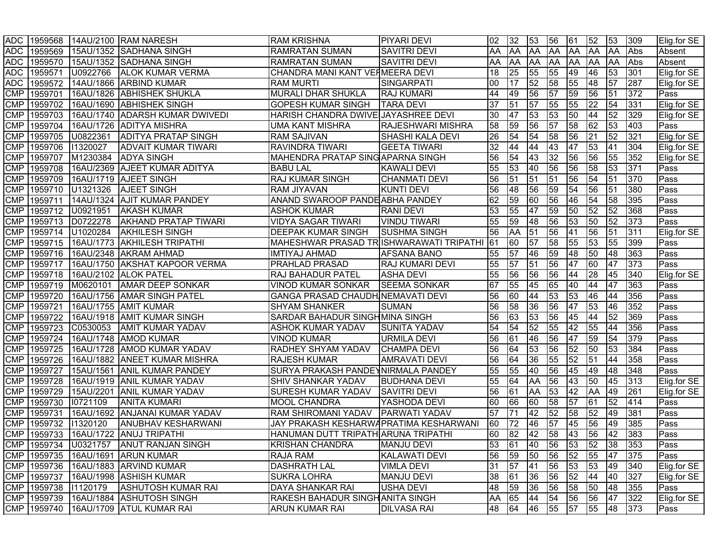|            |                      |                  | ADC 1959568 14AU/2100 RAM NARESH           | <b>RAM KRISHNA</b>                       | <b>PIYARI DEVI</b>       | 02  | 32        | 53              | 56              | 61              | 52              | 53                           | 309        | Elig.for SE |
|------------|----------------------|------------------|--------------------------------------------|------------------------------------------|--------------------------|-----|-----------|-----------------|-----------------|-----------------|-----------------|------------------------------|------------|-------------|
| <b>ADC</b> |                      |                  | 1959569 15AU/1352 SADHANA SINGH            | <b>RAMRATAN SUMAN</b>                    | <b>SAVITRI DEVI</b>      | AA  | AA        | AA              | <b>AA</b>       | <b>AA</b>       | <b>AA</b>       | <b>AA</b>                    | <b>Abs</b> | Absent      |
| <b>ADC</b> | 1959570              |                  | 15AU/1352 SADHANA SINGH                    | <b>RAMRATAN SUMAN</b>                    | <b>SAVITRI DEVI</b>      | AA  | <b>AA</b> | AA              | <b>AA</b>       | <b>AA</b>       | AA              | AA                           | Abs        | Absent      |
| <b>ADC</b> | 1959571              | U0922766         | <b>ALOK KUMAR VERMA</b>                    | CHANDRA MANI KANT VEHMEERA DEVI          |                          | 18  | 25        | 55              | 55              | 49              | 46              | 53                           | 301        | Elig.for SE |
| <b>ADC</b> | 1959572              |                  | 14AU/1866 ARBIND KUMAR                     | <b>RAM MURTI</b>                         | SINGARPATI               | 00  | 17        | 52              | $\overline{58}$ | 55              | 48              | 57                           | 287        | Elig.for SE |
| <b>CMP</b> | 1959701              |                  | 16AU/1826 ABHISHEK SHUKLA                  | MURALI DHAR SHUKLA                       | <b>RAJ KUMARI</b>        | 44  | 49        | 56              | $\overline{57}$ | 59              | 56              | 51                           | 372        | Pass        |
| <b>CMP</b> |                      |                  | 1959702 16AU/1690 ABHISHEK SINGH           | <b>GOPESH KUMAR SINGH</b>                | <b>TARA DEVI</b>         | 37  | 51        | 57              | 55              | 55              | 22              | 54                           | 331        | Elig.for SE |
| <b>CMP</b> |                      |                  | 1959703 16AU/1740 ADARSH KUMAR DWIVEDI     | HARISH CHANDRA DWIVE JAYASHREE DEVI      |                          | 30  | 47        | 53              | 53              | $\overline{50}$ | 44              | 52                           | 329        | Elig.for SE |
| <b>CMP</b> |                      |                  | 1959704 16AU/1726 ADITYA MISHRA            | <b>UMA KANT MISHRA</b>                   | <b>RAJESHWARI MISHRA</b> | 58  | 59        | 56              | $\overline{57}$ | 58              | 62              | 53                           | 403        | <b>Pass</b> |
| <b>CMP</b> |                      | 1959705 U0822361 | <b>ADITYA PRATAP SINGH</b>                 | <b>RAM SAJIVAN</b>                       | <b>SHASHI KALA DEVI</b>  | 26  | 54        | 54              | 58              | 56              | 21              | 52                           | 321        | Elig.for SE |
| <b>CMP</b> | 1959706 11320027     |                  | <b>ADVAIT KUMAR TIWARI</b>                 | <b>RAVINDRA TIWARI</b>                   | <b>GEETA TIWARI</b>      | 32  | 44        | 44              | 43              | 47              | 53              | 41                           | 304        | Elig.for SE |
| <b>CMP</b> |                      | 1959707 M1230384 | <b>ADYA SINGH</b>                          | <b>MAHENDRA PRATAP SING APARNA SINGH</b> |                          | 56  | 54        | 43              | 32              | 56              | 56              | 55                           | 352        | Elig.for SE |
| <b>CMP</b> |                      |                  | 1959708   16AU/2369   AJEET KUMAR ADITYA   | <b>BABU LAL</b>                          | <b>KAWALI DEVI</b>       | 55  | 53        | 40              | 56              | 56              | $\overline{58}$ | 53                           | 371        | Pass        |
| <b>CMP</b> |                      |                  | 1959709 16AU/1719 AJEET SINGH              | <b>RAJ KUMAR SINGH</b>                   | <b>CHANMATI DEVI</b>     | 56  | 51        | 51              | 51              | 56              | 54              | 51                           | 370        | Pass        |
| <b>CMP</b> |                      | 1959710 U1321326 | <b>AJEET SINGH</b>                         | <b>RAM JIYAVAN</b>                       | <b>KUNTI DEVI</b>        | 56  | 48        | 56              | 59              | 54              | 56              | 51                           | 380        | Pass        |
| <b>CMP</b> | 1959711              |                  | 14AU/1324 AJIT KUMAR PANDEY                | ANAND SWAROOP PANDE ABHA PANDEY          |                          | 62  | 59        | 60              | 56              | 46              | 54              | 58                           | 395        | Pass        |
| <b>CMP</b> |                      | 1959712 U0921951 | <b>AKASH KUMAR</b>                         | <b>ASHOK KUMAR</b>                       | <b>RANI DEVI</b>         | 53  | 55        | 47              | 59              | 50              | 52              | 52                           | 368        | Pass        |
| <b>CMP</b> |                      | 1959713 D0722278 | <b>AKHAND PRATAP TIWARI</b>                | VIDYA SAGAR TIWARI                       | <b>VINDU TIWARI</b>      | 55  | 59        | 48              | 56              | 53              | 50              | 52                           | 373        | Pass        |
| <b>CMP</b> |                      | 1959714 U1020284 | <b>AKHILESH SINGH</b>                      | <b>DEEPAK KUMAR SINGH</b>                | <b>SUSHMA SINGH</b>      | 56  | AA        | $\overline{51}$ | 56              | 41              | 56              | 51                           | 311        | Elig.for SE |
| <b>CMP</b> |                      |                  | 1959715  16AU/1773  AKHILESH TRIPATHI      | MAHESHWAR PRASAD TRISHWARAWATI TRIPATHI  |                          | 61  | 60        | 57              | 58              | 55              | $\overline{53}$ | 55                           | 399        | Pass        |
| <b>CMP</b> | 1959716              |                  | 16AU/2348 AKRAM AHMAD                      | <b>IMTIYAJ AHMAD</b>                     | <b>AFSANA BANO</b>       | 55  | 57        | 46              | 59              | 48              | 50              | 48                           | 363        | Pass        |
| <b>CMP</b> | 1959717              |                  | 16AU/1750 AKSHAT KAPOOR VERMA              | <b>PRAHLAD PRASAD</b>                    | <b>RAJ KUMARI DEVI</b>   | 55  | 57        | 51              | 56              | 47              | 60              | 47                           | 373        | Pass        |
| <b>CMP</b> | 1959718              |                  | 16AU/2102 ALOK PATEL                       | <b>RAJ BAHADUR PATEL</b>                 | <b>ASHA DEVI</b>         | 55  | 56        | 56              | 56              | 44              | 28              | 45                           | 340        | Elig.for SE |
| <b>CMP</b> |                      | 1959719 M0620101 | <b>AMAR DEEP SONKAR</b>                    | VINOD KUMAR SONKAR                       | <b>SEEMA SONKAR</b>      | 67  | 55        | 45              | 65              | 40              | 44              | 47                           | 363        | Pass        |
| <b>CMP</b> | 1959720              |                  | 16AU/1756 AMAR SINGH PATEL                 | GANGA PRASAD CHAUDH NEMAVATI DEVI        |                          | 56  | 60        | 44              | 53              | 53              | 46              | 44                           | 356        | Pass        |
| <b>CMP</b> | 1959721              |                  | 16AU/1755 AMIT KUMAR                       | <b>SHYAM SHANKER</b>                     | <b>SUMAN</b>             | 56  | 58        | 36              | 56              | 47              | 53              | 46                           | 352        | Pass        |
| <b>CMP</b> | 1959722              |                  | 16AU/1918 AMIT KUMAR SINGH                 | <b>SARDAR BAHADUR SINGHMINA SINGH</b>    |                          | 56  | 63        | 53              | 56              | 45              | 44              | 52                           | 369        | Pass        |
| <b>CMP</b> | 1959723              | C0530053         | <b>AMIT KUMAR YADAV</b>                    | <b>ASHOK KUMAR YADAV</b>                 | <b>SUNITA YADAV</b>      | 54  | 54        | 52              | 55              | 42              | 55              | 44                           | 356        | Pass        |
| <b>CMP</b> |                      |                  | 1959724   16AU/1748   AMOD KUMAR           | <b>VINOD KUMAR</b>                       | <b>URMILA DEVI</b>       | 56  | 61        | 46              | 56              | 47              | 59              | 54                           | 379        | Pass        |
| <b>CMP</b> | 1959725              |                  | 16AU/1728 AMOD KUMAR YADAV                 | <b>RADHEY SHYAM YADAV</b>                | <b>CHAMPA DEVI</b>       | 56  | 64        | 53              | 56              | 52              | $\overline{50}$ | 53                           | 384        | Pass        |
| <b>CMP</b> | 1959726              |                  | 16AU/1882 ANEET KUMAR MISHRA               | <b>RAJESH KUMAR</b>                      | <b>AMRAVATI DEVI</b>     | 56  | 64        | 36              | 55              | 52              | 51              | 44                           | 358        | Pass        |
| <b>CMP</b> | 1959727              |                  | 15AU/1561 ANIL KUMAR PANDEY                | SURYA PRAKASH PANDEYNIRMALA PANDEY       |                          | 55  | 55        | 40              | 56              | 45              | 49              | 48                           | 348        | Pass        |
| <b>CMP</b> | 1959728              |                  | 16AU/1919 ANIL KUMAR YADAV                 | <b>SHIV SHANKAR YADAV</b>                | <b>BUDHANA DEVI</b>      | 55  | 64        | AA              | 56              | 43              | $\overline{50}$ | 45                           | 313        | Elig.for SE |
| <b>CMP</b> | 1959729              |                  | 15AU/2201 ANIL KUMAR YADAV                 | <b>SURESH KUMAR YADAV</b>                | <b>SAVITRI DEVI</b>      | 56  | 61        | AA              | 53              | 42              | <b>AA</b>       | 49                           | 261        | Elig.for SE |
| <b>CMP</b> | 1959730 10721109     |                  | <b>ANITA KUMARI</b>                        | <b>MOOL CHANDRA</b>                      | YASHODA DEVI             | 60  | 66        | 60              | 58              | $\overline{57}$ | 61              | 52                           | 414        | Pass        |
| <b>CMP</b> | 1959731              |                  | 16AU/1692 ANJANAI KUMAR YADAV              | RAM SHIROMANI YADAV   PARWATI YADAV      |                          | 57  | 71        | 42              | 52              | 58              | 52              | 49                           | 381        | Pass        |
| <b>CMP</b> | 1959732 11320120     |                  | <b>ANUBHAV KESHARWANI</b>                  | JAY PRAKASH KESHARWAPRATIMA KESHARWANI   |                          | 60  | 72        | 46              | 57              | 45              | 56              | 49                           | 385        | Pass        |
| <b>CMP</b> |                      |                  | 1959733 16AU/1722 ANUJ TRIPATHI            | HANUMAN DUTT TRIPATH ARUNA TRIPATHI      |                          | 60  | 82        | $ 42\rangle$    | 58              | $\overline{43}$ | $\overline{56}$ | 42                           | 383        | Pass        |
|            |                      |                  | CMP 1959734   U0321757   ANUT RANJAN SINGH | <b>KRISHAN CHANDRA</b>                   | <b>MANJU DEVI</b>        | 53. | 61        |                 |                 |                 |                 | 40   56   53   52   38   353 |            | <b>Pass</b> |
|            |                      |                  | CMP 1959735 16AU/1691 ARUN KUMAR           | <b>RAJA RAM</b>                          | <b>KALAWATI DEVI</b>     | 56  | 59        | 50              | 56              | 52              | 55              | 47                           | 375        | Pass        |
|            |                      |                  | CMP 1959736 16AU/1883 ARVIND KUMAR         | <b>DASHRATH LAL</b>                      | <b>VIMLA DEVI</b>        | 31  | 57        | 41              | 56              | 53              | 53              | 49                           | 340        | Elig.for SE |
|            |                      |                  | CMP 1959737 16AU/1998 ASHISH KUMAR         | <b>SUKRA LOHRA</b>                       | <b>MANJU DEVI</b>        | 38  | 61        | 36              | 56              | 52              | 44              | 40                           | 327        | Elig.for SE |
|            | CMP 1959738 11120179 |                  | <b>ASHUTOSH KUMAR RAI</b>                  | <b>DAYA SHANKAR RAI</b>                  | <b>USHA DEVI</b>         | 48  | 59        | 36              | 56              | 58              | 50              | 48                           | 355        | Pass        |
|            |                      |                  | CMP   1959739   16AU/1884   ASHUTOSH SINGH | <b>RAKESH BAHADUR SINGHANITA SINGH</b>   |                          | AA  | 65        | 44              | 54              | 56              | 56              | 47                           | 322        | Elig.for SE |
|            |                      |                  | CMP   1959740   16AU/1709   ATUL KUMAR RAI | <b>ARUN KUMAR RAI</b>                    | <b>DILVASA RAI</b>       | 48  | 64        | 46              | 55              | 57              | 55              | 48 373                       |            | Pass        |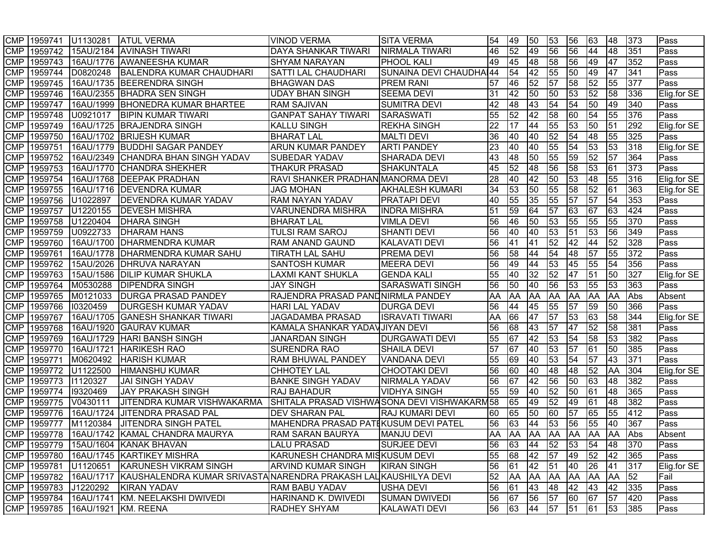|            |                  | CMP 1959741 U1130281     | <b>ATUL VERMA</b>                                                                         | <b>VINOD VERMA</b>                          | <b>SITA VERMA</b>       | 54              | 49 | 50          | 53              | 56              | 63           | 48        | 373 | Pass        |
|------------|------------------|--------------------------|-------------------------------------------------------------------------------------------|---------------------------------------------|-------------------------|-----------------|----|-------------|-----------------|-----------------|--------------|-----------|-----|-------------|
| <b>CMP</b> |                  |                          | 1959742 15AU/2184 AVINASH TIWARI                                                          | <b>DAYA SHANKAR TIWARI</b>                  | NIRMALA TIWARI          | 46              | 52 | 49          | 56              | 56              | 44           | 48        | 351 | Pass        |
| <b>CMP</b> | 1959743          |                          | 16AU/1776 AWANEESHA KUMAR                                                                 | <b>SHYAM NARAYAN</b>                        | <b>PHOOL KALI</b>       | 49              | 45 | 48          | 58              | 56              | 49           | 47        | 352 | Pass        |
| <b>CMP</b> | 1959744          | D0820248                 | <b>BALENDRA KUMAR CHAUDHARI</b>                                                           | <b>SATTI LAL CHAUDHARI</b>                  | SUNAINA DEVI CHAUDHAI44 |                 | 54 | 42          | 55              | 50              | 49           | 47        | 341 | Pass        |
| <b>CMP</b> | 1959745          |                          | 16AU/1735 BEERENDRA SINGH                                                                 | <b>BHAGWAN DAS</b>                          | <b>PREM RANI</b>        | 57              | 46 | 52          | $\overline{57}$ | 58              | 52           | 55        | 377 | Pass        |
| <b>CMP</b> | 1959746          |                          | 16AU/2355 BHADRA SEN SINGH                                                                | <b>UDAY BHAN SINGH</b>                      | <b>SEEMA DEVI</b>       | 31              | 42 | 50          | 50              | 53              | 52           | 58        | 336 | Elig.for SE |
| <b>CMP</b> | 1959747          |                          | 16AU/1999   BHONEDRA KUMAR BHARTEE                                                        | <b>RAM SAJIVAN</b>                          | <b>SUMITRA DEVI</b>     | 42              | 48 | 43          | 54              | 54              | 50           | 49        | 340 | Pass        |
| <b>CMP</b> | 1959748          | U0921017                 | <b>BIPIN KUMAR TIWARI</b>                                                                 | <b>GANPAT SAHAY TIWARI</b>                  | <b>SARASWATI</b>        | 55              | 52 | 42          | $\overline{58}$ | 60              | 54           | 55        | 376 | Pass        |
| <b>CMP</b> | 1959749          |                          | 16AU/1725 BRAJENDRA SINGH                                                                 | <b>KALLU SINGH</b>                          | <b>REKHA SINGH</b>      | $\overline{22}$ | 17 | 44          | 55              | 53              | 50           | 51        | 292 | Elig.for SE |
| <b>CMP</b> | 1959750          |                          | 16AU/1702 BRIJESH KUMAR                                                                   | <b>BHARAT LAL</b>                           | MALTI DEVI              | 36              | 40 | 40          | 52              | 54              | 48           | 55        | 325 | Pass        |
| <b>CMP</b> | 1959751          |                          | 16AU/1779 BUDDHI SAGAR PANDEY                                                             | <b>ARUN KUMAR PANDEY</b>                    | <b>ARTI PANDEY</b>      | 23              | 40 | 40          | 55              | 54              | 53           | 53        | 318 | Elig.for SE |
| <b>CMP</b> | 1959752          |                          | 16AU/2349 CHANDRA BHAN SINGH YADAV                                                        | <b>SUBEDAR YADAV</b>                        | SHARADA DEVI            | 43              | 48 | 50          | 55              | 59              | 52           | 57        | 364 | Pass        |
| <b>CMP</b> | 1959753          |                          | 16AU/1770 CHANDRA SHEKHER                                                                 | <b>THAKUR PRASAD</b>                        | <b>SHAKUNTALA</b>       | 45              | 52 | 48          | 56              | 58              | 53           | 61        | 373 | Pass        |
| <b>CMP</b> | 1959754          |                          | 16AU/1768   DEEPAK PRADHAN                                                                | RAVI SHANKER PRADHAN MANORMA DEVI           |                         | 28              | 40 | 42          | 50              | 53              | 48           | 55        | 316 | Elig.for SE |
| <b>CMP</b> | 1959755          |                          | 16AU/1716   DEVENDRA KUMAR                                                                | <b>JAG MOHAN</b>                            | <b>AKHALESH KUMARI</b>  | 34              | 53 | 50          | 55              | 58              | 52           | 61        | 363 | Elig.for SE |
| <b>CMP</b> | 1959756          | U1022897                 | <b>DEVENDRA KUMAR YADAV</b>                                                               | RAM NAYAN YADAV                             | <b>PRATAPI DEVI</b>     | 40              | 55 | 35          | 55              | 57              | 57           | 54        | 353 | Pass        |
| <b>CMP</b> | 1959757          | U1220155                 | <b>DEVESH MISHRA</b>                                                                      | <b>VARUNENDRA MISHRA</b>                    | INDRA MISHRA            | 51              | 59 | 64          | 57              | 63              | 67           | 63        | 424 | Pass        |
| <b>CMP</b> |                  | 1959758 U1220404         | <b>DHARA SINGH</b>                                                                        | <b>BHARAT LAL</b>                           | <b>VIMLA DEVI</b>       | 56              | 46 | 50          | 53              | 55              | 55           | 55        | 370 | Pass        |
| <b>CMP</b> | 1959759          | U0922733                 | <b>DHARAM HANS</b>                                                                        | <b>TULSI RAM SAROJ</b>                      | <b>SHANTI DEVI</b>      | 56              | 40 | 40          | 53              | 51              | 53           | 56        | 349 | Pass        |
| <b>CMP</b> | 1959760          |                          | 16AU/1700   DHARMENDRA KUMAR                                                              | <b>RAM ANAND GAUND</b>                      | <b>KALAVATI DEVI</b>    | 56              | 41 | 41          | 52              | 42              | 44           | 52        | 328 | Pass        |
| <b>CMP</b> | 1959761          | 16AU/1778                | <b>DHARMENDRA KUMAR SAHU</b>                                                              | <b>TIRATH LAL SAHU</b>                      | <b>PREMA DEVI</b>       | 56              | 58 | 44          | 54              | 48              | 57           | 55        | 372 | Pass        |
| <b>CMP</b> | 1959762          | 15AU/2026                | <b>DHRUVA NARAYAN</b>                                                                     | <b>SANTOSH KUMAR</b>                        | <b>MEERA DEVI</b>       | 56              | 49 | 44          | 53              | 45              | 55           | 54        | 356 | Pass        |
| <b>CMP</b> | 1959763          | 15AU/1586                | <b>DILIP KUMAR SHUKLA</b>                                                                 | AXMI KANT SHUKLA                            | <b>GENDA KALI</b>       | 55              | 40 | 32          | 52              | 47              | 51           | 50        | 327 | Elig.for SE |
| <b>CMP</b> | 1959764          | M0530288                 | <b>DIPENDRA SINGH</b>                                                                     | <b>JAY SINGH</b>                            | <b>SARASWATI SINGH</b>  | 56              | 50 | 40          | 56              | 53              | 55           | 53        | 363 | Pass        |
| <b>CMP</b> | 1959765          | M0121033                 | <b>DURGA PRASAD PANDEY</b>                                                                | RAJENDRA PRASAD PANDNIRMLA PANDEY           |                         | AA              | AA | AA          | AA              | AA              | AA           | <b>AA</b> | Abs | Absent      |
| <b>CMP</b> | 1959766          | 10320459                 | <b>DURGESH KUMAR YADAV</b>                                                                | <b>HARI LAL YADAV</b>                       | <b>DURGA DEVI</b>       | 56              | 44 | 45          | 55              | 57              | 59           | 50        | 366 | Pass        |
| <b>CMP</b> | 1959767          |                          | 16AU/1705 GANESH SHANKAR TIWARI                                                           | JAGADAMBA PRASAD                            | <b>ISRAVATI TIWARI</b>  | AA              | 66 | 47          | 57              | 53              | 63           | 58        | 344 | Elig.for SE |
| <b>CMP</b> | 1959768          |                          | 16AU/1920 GAURAV KUMAR                                                                    | KAMALA SHANKAR YADAV JIYAN DEVI             |                         | 56              | 68 | 43          | 57              | 47              | 52           | 58        | 381 | Pass        |
| <b>CMP</b> | 1959769          |                          | 16AU/1729 HARI BANSH SINGH                                                                | <b>JANARDAN SINGH</b>                       | DURGAWATI DEVI          | 55              | 67 | 42          | 53              | 54              | 58           | 53        | 382 | Pass        |
| <b>CMP</b> | 1959770          |                          | 16AU/1721 HARIKESH RAO                                                                    | <b>SURENDRA RAO</b>                         | <b>SHAILA DEVI</b>      | 57              | 67 | 40          | $\overline{53}$ | $\overline{57}$ | 61           | 50        | 385 | Pass        |
| <b>CMP</b> | 1959771          | M0620492                 | <b>HARISH KUMAR</b>                                                                       | RAM BHUWAL PANDEY                           | VANDANA DEVI            | 55              | 69 | 40          | 53              | 54              | 57           | 43        | 371 | Pass        |
| <b>CMP</b> |                  | 1959772 U1122500         | <b>HIMANSHU KUMAR</b>                                                                     | <b>CHHOTEY LAL</b>                          | <b>CHOOTAKI DEVI</b>    | 56              | 60 | 40          | 48              | 48              | 52           | <b>AA</b> | 304 | Elig.for SE |
| <b>CMP</b> | 1959773 11120327 |                          | <b>JAI SINGH YADAV</b>                                                                    | <b>BANKE SINGH YADAV</b>                    | NIRMALA YADAV           | 56              | 67 | 42          | 56              | 50              | 63           | 48        | 382 | Pass        |
| <b>CMP</b> | 1959774          | 19320469                 | <b>JAY PRAKASH SINGH</b>                                                                  | <b>RAJ BAHADUR</b>                          | VIDHYA SINGH            | 55              | 59 | 40          | $\overline{52}$ | 50              | 61           | 48        | 365 | Pass        |
| <b>CMP</b> | 1959775          | V0430111                 | <b>JITENDRA KUMAR VISHWAKARMA</b>                                                         | SHITALA PRASAD VISHWASONA DEVI VISHWAKARM58 |                         |                 | 65 | 49          | 52              | 49              | 61           | 48        | 382 | Pass        |
| <b>CMP</b> | 1959776          | 16AU/1724                | <b>JITENDRA PRASAD PAL</b>                                                                | <b>DEV SHARAN PAL</b>                       | <b>RAJ KUMARI DEVI</b>  | 60              | 65 | 50          | 60              | 57              | 65           | 55        | 412 | Pass        |
| <b>CMP</b> | 1959777          | M1120384                 | <b>JITENDRA SINGH PATEL</b>                                                               | MAHENDRA PRASAD PATIKUSUM DEVI PATEL        |                         | 56              | 63 | 44          | 53              | 56              | 55           | 40        | 367 | Pass        |
| <b>CMP</b> | 1959778          |                          | 16AU/1742 KAMAL CHANDRA MAURYA                                                            | <b>RAM SARAN BAURYA</b>                     | <b>MANJU DEVI</b>       | AA              | AA | <b>AA</b>   | <b>AA</b>       | AA              | AA           | <b>AA</b> | Abs | Absent      |
|            |                  |                          | CMP 1959779 15AU/1604 KANAK BHAVAN                                                        | <b>LALU PRASAD</b>                          | <b>SURJEE DEVI</b>      | 56              |    | 63 44 52 53 |                 |                 | 54           | 48 370    |     | <b>Pass</b> |
|            |                  |                          | CMP 1959780 16AU/1745 KARTIKEY MISHRA                                                     | KARUNESH CHANDRA MISKUSUM DEVI              |                         | 55              | 68 | 42          | 57              | 49              | 52           | 42        | 365 | Pass        |
|            |                  |                          | CMP 1959781 U1120651 KARUNESH VIKRAM SINGH                                                | <b>ARVIND KUMAR SINGH</b>                   | <b>KIRAN SINGH</b>      | 56              | 61 | 42          | 51              | 40              | $ 26\rangle$ | 41        | 317 | Elig.for SE |
|            |                  |                          | CMP  1959782   16AU/1717  KAUSHALENDRA KUMAR SRIVASTA NARENDRA PRAKASH LAL∣KAUSHILYA DEVI |                                             |                         | 52              | AA | <b>AA</b>   | AA              | <b>AA</b>       | AA           | AA 52     |     | Fail        |
|            |                  | CMP   1959783   J1220292 | KIRAN YADAV                                                                               | <b>RAM BABU YADAV</b>                       | <b>USHA DEVI</b>        | 56              | 61 | 43          | 48              | 42              | 43           | 42        | 335 | Pass        |
|            |                  |                          | CMP   1959784   16AU/1741 KM. NEELAKSHI DWIVEDI                                           | HARINAND K. DWIVEDI                         | <b>SUMAN DWIVEDI</b>    | 56              | 67 | 56          | 57              | 60              | 67           | 57        | 420 | Pass        |
|            |                  |                          | CMP 1959785 16AU/1921 KM. REENA                                                           | <b>RADHEY SHYAM</b>                         | <b>KALAWATI DEVI</b>    | 56              | 63 | 44          | 57              | 51              | 61           | 53        | 385 | Pass        |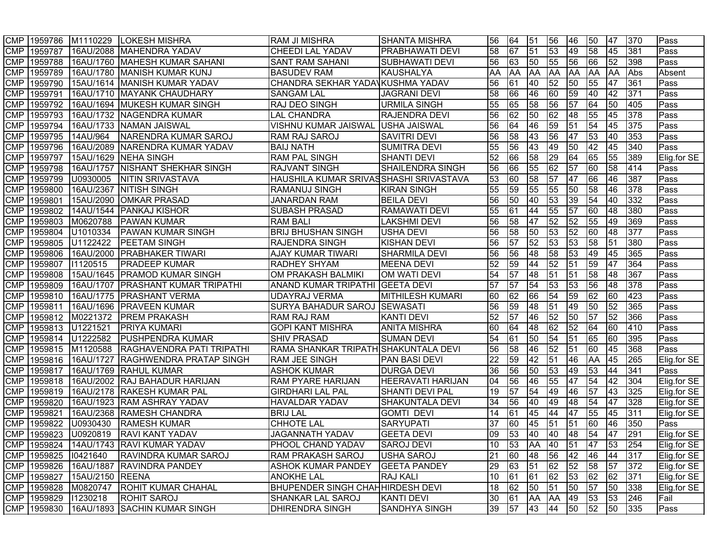|            |                          | CMP 1959786 M1110229        | <b>LOKESH MISHRA</b>                     | <b>RAM JI MISHRA</b>                     | SHANTA MISHRA            | 56             | 64              | 51              | 56              | 46              | 50                                | 47          | 370 | Pass        |
|------------|--------------------------|-----------------------------|------------------------------------------|------------------------------------------|--------------------------|----------------|-----------------|-----------------|-----------------|-----------------|-----------------------------------|-------------|-----|-------------|
| <b>CMP</b> |                          |                             | 1959787 16AU/2088 MAHENDRA YADAV         | <b>CHEEDI LAL YADAV</b>                  | <b>PRABHAWATI DEVI</b>   | 58             | 67              | 51              | 53              | 49              | $\overline{58}$                   | 45          | 381 | Pass        |
| <b>CMP</b> | 1959788                  |                             | 16AU/1760 MAHESH KUMAR SAHANI            | <b>SANT RAM SAHANI</b>                   | <b>SUBHAWATI DEVI</b>    | 56             | 63              | 50              | 55              | 56              | $\overline{66}$                   | 52          | 398 | Pass        |
| <b>CMP</b> | 1959789                  |                             | 16AU/1780 MANISH KUMAR KUNJ              | <b>BASUDEV RAM</b>                       | KAUSHALYA                | AA             | AA              | <b>AA</b>       | <b>AA</b>       | <b>AA</b>       | <b>AA</b>                         | <b>AA</b>   | Abs | Absent      |
| <b>CMP</b> | 1959790                  |                             | 15AU/1614   MANISH KUMAR YADAV           | CHANDRA SEKHAR YADAVKUSHMA YADAV         |                          | 56             | 61              | 40              | 52              | $\overline{50}$ | 55                                | 47          | 361 | Pass        |
| <b>CMP</b> | 1959791                  |                             | 16AU/1710 MAYANK CHAUDHARY               | <b>SANGAM LAL</b>                        | <b>JAGRANI DEVI</b>      | 58             | 66              | 46              | 60              | 59              | 40                                | 42          | 371 | Pass        |
| <b>CMP</b> | 1959792                  |                             | 16AU/1694 MUKESH KUMAR SINGH             | <b>RAJ DEO SINGH</b>                     | <b>URMILA SINGH</b>      | 55             | 65              | 58              | 56              | $\overline{57}$ | 64                                | 50          | 405 | Pass        |
| <b>CMP</b> | 1959793                  |                             | 16AU/1732 NAGENDRA KUMAR                 | <b>LAL CHANDRA</b>                       | <b>RAJENDRA DEVI</b>     | 56             | 62              | 50              | 62              | 48              | 55                                | 45          | 378 | Pass        |
| <b>CMP</b> |                          |                             | 1959794 16AU/1733 NAMAN JAISWAL          | VISHNU KUMAR JAISWAL USHA JAISWAL        |                          | 56             | 64              | 46              | 59              | $\overline{51}$ | $\overline{54}$                   | 45          | 375 | Pass        |
| <b>CMP</b> | 1959795                  | 14AU/964                    | NARENDRA KUMAR SAROJ                     | RAM RAJ SAROJ                            | <b>SAVITRI DEVI</b>      | 56             | 58              | 43              | 56              | 47              | 53                                | 40          | 353 | Pass        |
| <b>CMP</b> | 1959796                  |                             | 16AU/2089 NARENDRA KUMAR YADAV           | <b>BAIJ NATH</b>                         | <b>SUMITRA DEVI</b>      | 55             | 56              | 43              | 49              | 50              | 42                                | 45          | 340 | Pass        |
| <b>CMP</b> | 1959797                  |                             | 15AU/1629 NEHA SINGH                     | <b>RAM PAL SINGH</b>                     | <b>SHANTI DEVI</b>       | 52             | 66              | 58              | 29              | 64              | 65                                | 55          | 389 | Elig.for SE |
| <b>CMP</b> | 1959798                  |                             | 16AU/1757 NISHANT SHEKHAR SINGH          | <b>RAJVANT SINGH</b>                     | <b>SHAILENDRA SINGH</b>  | 56             | 66              | 55              | 62              | $\overline{57}$ | 60                                | 58          | 414 | Pass        |
| <b>CMP</b> |                          | 1959799 U0930005            | <b>NITIN SRIVASTAVA</b>                  | HAUSHILA KUMAR SRIVASSHASHI SRIVASTAVA   |                          | 53             | 60              | 58              | 57              | 47              | 66                                | 46          | 387 | Pass        |
| <b>CMP</b> | 1959800                  |                             | 16AU/2367 NITISH SINGH                   | <b>RAMANUJ SINGH</b>                     | <b>KIRAN SINGH</b>       | 55             | 59              | 55              | 55              | 50              | 58                                | 46          | 378 | Pass        |
| <b>CMP</b> | 1959801                  |                             | 15AU/2090 OMKAR PRASAD                   | <b>JANARDAN RAM</b>                      | <b>BEILA DEVI</b>        | 56             | 50              | 40              | 53              | 39              | 54                                | 40          | 332 | Pass        |
| <b>CMP</b> | 1959802                  |                             | 14AU/1544   PANKAJ KISHOR                | <b>SUBASH PRASAD</b>                     | <b>RAMAWATI DEVI</b>     | 55             | 61              | 44              | 55              | 57              | 60                                | 48          | 380 | Pass        |
| <b>CMP</b> | 1959803                  | M0620788                    | <b>PAWAN KUMAR</b>                       | <b>RAM BALI</b>                          | <b>LAKSHMI DEVI</b>      | 56             | 58              | 47              | 52              | 52              | 55                                | 49          | 369 | Pass        |
| <b>CMP</b> | 1959804                  | U1010334                    | <b>PAWAN KUMAR SINGH</b>                 | <b>BRIJ BHUSHAN SINGH</b>                | USHA DEVI                | 56             | 58              | 50              | 53              | 52              | 60                                | 48          | 377 | Pass        |
| <b>CMP</b> | 1959805                  | U1122422                    | <b>PEETAM SINGH</b>                      | <b>RAJENDRA SINGH</b>                    | <b>KISHAN DEVI</b>       | 56             | 57              | 52              | 53              | 53              | 58                                | 51          | 380 | Pass        |
| <b>CMP</b> | 1959806                  |                             | 16AU/2000 PRABHAKER TIWARI               | <b>AJAY KUMAR TIWARI</b>                 | <b>SHARMILA DEVI</b>     | 56             | 56              | 48              | 58              | 53              | 49                                | 45          | 365 | Pass        |
| <b>CMP</b> | 1959807                  | 11120515                    | <b>PRADEEP KUMAR</b>                     | <b>RADHEY SHYAM</b>                      | <b>MEENA DEVI</b>        | 52             | 59              | 44              | 52              | 51              | 59                                | 47          | 364 | Pass        |
| <b>CMP</b> | 1959808                  |                             | 15AU/1645   PRAMOD KUMAR SINGH           | OM PRAKASH BALMIKI                       | OM WATI DEVI             | 54             | 57              | 48              | 51              | 51              | 58                                | 48          | 367 | Pass        |
| <b>CMP</b> | 1959809                  |                             | 16AU/1707   PRASHANT KUMAR TRIPATHI      | ANAND KUMAR TRIPATHI GEETA DEVI          |                          | 57             | 57              | 54              | 53              | 53              | 56                                | 48          | 378 | Pass        |
| <b>CMP</b> | 1959810                  |                             | 16AU/1775   PRASHANT VERMA               | <b>UDAYRAJ VERMA</b>                     | <b>MITHILESH KUMARI</b>  | 60             | 62              | 66              | 54              | 59              | 62                                | 60          | 423 | Pass        |
| <b>CMP</b> | 1959811                  |                             | 16AU/1696 PRAVEEN KUMAR                  | SURYA BAHADUR SAROJ SEWASATI             |                          | 56             | 59              | $\overline{48}$ | $\overline{51}$ | 49              | $\overline{50}$                   | 52          | 365 | Pass        |
| <b>CMP</b> | 1959812                  |                             | M0221372 PREM PRAKASH                    | RAM RAJ RAM                              | <b>KANTI DEVI</b>        | 52             | 57              | 46              | 52              | 50              | $\overline{57}$                   | 52          | 366 | Pass        |
| <b>CMP</b> | 1959813                  | U1221521                    | <b>PRIYA KUMARI</b>                      | <b>GOPI KANT MISHRA</b>                  | <b>ANITA MISHRA</b>      | 60             | 64              | $\overline{48}$ | 62              | 52              | 64                                | 60          | 410 | Pass        |
| <b>CMP</b> | 1959814                  | U1222582                    | <b>PUSHPENDRA KUMAR</b>                  | <b>SHIV PRASAD</b>                       | <b>SUMAN DEVI</b>        | 54             | 61              | 50              | 54              | 51              | 65                                | 60          | 395 | Pass        |
| <b>CMP</b> |                          | 1959815 M1120588            | RAGHAVENDRA PATI TRIPATHI                | RAMA SHANKAR TRIPATH SHAKUNTALA DEVI     |                          | 56             | 58              | 46              | 52              | $\overline{51}$ | $\overline{60}$                   | 45          | 368 | Pass        |
| <b>CMP</b> | 1959816                  |                             | 16AU/1727 RAGHWENDRA PRATAP SINGH        | <b>RAM JEE SINGH</b>                     | PAN BASI DEVI            | 22             | 59              | 42              | $\overline{51}$ | 46              | <b>AA</b>                         | 45          | 265 | Elig.for SE |
| <b>CMP</b> | 1959817                  |                             | 16AU/1769 RAHUL KUMAR                    | <b>ASHOK KUMAR</b>                       | <b>DURGA DEVI</b>        | 36             | 56              | 50              | 53              | 49              | 53                                | 44          | 341 | Pass        |
| <b>CMP</b> |                          |                             | 1959818   16AU/2002 RAJ BAHADUR HARIJAN  | <b>RAM PYARE HARIJAN</b>                 | <b>HEERAVATI HARIJAN</b> | 04             | 56              | 46              | 55              | $\overline{47}$ | $\sqrt{54}$                       | 42          | 304 | Elig.for SE |
| <b>CMP</b> | 1959819                  |                             | 16AU/2178 RAKESH KUMAR PAL               | <b>GIRDHARI LAL PAL</b>                  | <b>SHANTI DEVI PAL</b>   | 19             | 57              | 54              | 49              | 46              | $\overline{57}$                   | 43          | 325 | Elig.for SE |
| <b>CMP</b> | 1959820                  |                             | 16AU/1923 RAM ASHRAY YADAV               | <b>HAVALDAR YADAV</b>                    | SHAKUNTALA DEVI          | 34             | 56              | 40              | 49              | 48              | 54                                | 47          | 328 | Elig.for SE |
| <b>CMP</b> | 1959821                  |                             | 16AU/2368 RAMESH CHANDRA                 | <b>BRIJ LAL</b>                          | <b>GOMTI DEVI</b>        | 14             | 61              | 45              | 44              | 47              | 55                                | 45          | 311 | Elig.for SE |
| <b>CMP</b> | 1959822                  | U0930430                    | <b>RAMESH KUMAR</b>                      | <b>CHHOTE LAL</b>                        | <b>SARYUPATI</b>         | 37             | 60              | 45              | 51              | 51              | 60                                | 46          | 350 | Pass        |
| <b>CMP</b> | 1959823                  | U0920819                    | <b>RAVI KANT YADAV</b>                   | <b>JAGANNATH YADAV</b>                   | <b>GEETA DEVI</b>        | $\overline{0}$ | 53              | 40              | 40              | 48              | 54                                | 47          | 291 | Elig.for SE |
|            |                          |                             | CMP 1959824 14AU/1743 RAVI KUMAR YADAV   | PHOOL CHAND YADAV                        | <b>SAROJ DEVI</b>        | l 10           |                 |                 |                 |                 | 53   AA   40   51   47   53   254 |             |     | Elig.for SE |
|            |                          | CMP 1959825 10421640        | <b>RAVINDRA KUMAR SAROJ</b>              | <b>RAM PRAKASH SAROJ</b>                 | <b>USHA SAROJ</b>        | 21             | 60              | 48              | 56              | 42 46           |                                   | 44          | 317 | Elig.for SE |
|            |                          |                             | CMP 1959826 16AU/1887 RAVINDRA PANDEY    | <b>ASHOK KUMAR PANDEY</b>                | <b>GEETA PANDEY</b>      | 29             | $\overline{63}$ | $\overline{51}$ | 62              | 52 58           |                                   | 57          | 372 | Elig.for SE |
|            |                          | CMP 1959827 15AU/2150 REENA |                                          | <b>ANOKHE LAL</b>                        | <b>RAJ KALI</b>          | 10             | 61              | 61              | 62              | 53 62           |                                   | 62          | 371 | Elig.for SE |
|            |                          |                             | CMP 1959828 M0820747 ROHIT KUMAR CHAHAL  | <b>BHUPENDER SINGH CHAH HIRDESH DEVI</b> |                          | 18             | 62              | 50              | 51              | 50              | 57                                | 50          | 338 | Elig.for SE |
|            | CMP   1959829   11230218 |                             | <b>ROHIT SAROJ</b>                       | <b>SHANKAR LAL SAROJ</b>                 | <b>KANTI DEVI</b>        | 30             | 61              | AA              | AA              | 49              | 53                                | $\sqrt{53}$ | 246 | Fail        |
|            |                          |                             | CMP 1959830 16AU/1893 SACHIN KUMAR SINGH | <b>DHIRENDRA SINGH</b>                   | <b>SANDHYA SINGH</b>     | 39             | 57              | 43              | 44              | 50              | 52                                | 50 335      |     | Pass        |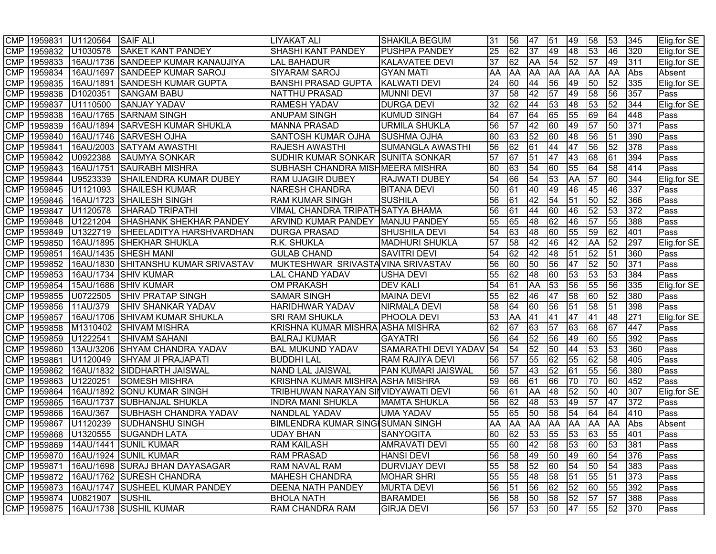|            | CMP 1959831 | U1120564                    | <b>SAIF ALI</b>                            | <b>LIYAKAT ALI</b>                      | <b>SHAKILA BEGUM</b>   | 31 | 56              | 47                              | 51              | 49        | 58              | 53              | 345 | Elig.for SE |
|------------|-------------|-----------------------------|--------------------------------------------|-----------------------------------------|------------------------|----|-----------------|---------------------------------|-----------------|-----------|-----------------|-----------------|-----|-------------|
| <b>CMP</b> |             | 1959832 U1030578            | <b>SAKET KANT PANDEY</b>                   | <b>SHASHI KANT PANDEY</b>               | <b>PUSHPA PANDEY</b>   | 25 | 62              | $\overline{37}$                 | 49              | 48        | $\overline{53}$ | 46              | 320 | Elig.for SE |
| <b>CMP</b> | 1959833     |                             | 16AU/1736 SANDEEP KUMAR KANAUJIYA          | <b>LAL BAHADUR</b>                      | <b>KALAVATEE DEVI</b>  | 37 | 62              | AA                              | 54              | 52        | 57              | 49              | 311 | Elig.for SE |
| <b>CMP</b> | 1959834     |                             | 16AU/1697 SANDEEP KUMAR SAROJ              | <b>SIYARAM SAROJ</b>                    | <b>GYAN MATI</b>       | AA | <b>AA</b>       | AA                              | <b>AA</b>       | <b>AA</b> | <b>AA</b>       | <b>AA</b>       | Abs | Absent      |
| <b>CMP</b> | 1959835     |                             | 16AU/1891 SANDESH KUMAR GUPTA              | <b>BANSHI PRASAD GUPTA</b>              | <b>KALWATI DEVI</b>    | 24 | 60              | 44                              | 56              | 49        | $\overline{50}$ | 52              | 335 | Elig.for SE |
| <b>CMP</b> | 1959836     | D1020351                    | <b>SANGAM BABU</b>                         | <b>NATTHU PRASAD</b>                    | <b>MUNNI DEVI</b>      | 37 | 58              | 42                              | $\overline{57}$ | 49        | 58              | 56              | 357 | Pass        |
| <b>CMP</b> | 1959837     | U1110500                    | <b>SANJAY YADAV</b>                        | <b>RAMESH YADAV</b>                     | <b>DURGA DEVI</b>      | 32 | 62              | 44                              | 53              | 48        | 53              | 52              | 344 | Elig.for SE |
| <b>CMP</b> | 1959838     |                             | 16AU/1765 SARNAM SINGH                     | <b>ANUPAM SINGH</b>                     | <b>KUMUD SINGH</b>     | 64 | 67              | 64                              | 65              | 55        | $\overline{69}$ | 64              | 448 | Pass        |
| <b>CMP</b> | 1959839     |                             | 16AU/1894 SARVESH KUMAR SHUKLA             | <b>MANNA PRASAD</b>                     | <b>URMILA SHUKLA</b>   | 56 | 57              | 42                              | 60              | 49        | 57              | 50              | 371 | Pass        |
| <b>CMP</b> | 1959840     |                             | 16AU/1746 SARVESH OJHA                     | <b>SANTOSH KUMAR OJHA</b>               | <b>SUSHMA OJHA</b>     | 60 | 63              | 52                              | 60              | 48        | 56              | 51              | 390 | Pass        |
| <b>CMP</b> | 1959841     |                             | 16AU/2003 SATYAM AWASTHI                   | <b>RAJESH AWASTHI</b>                   | SUMANGLA AWASTHI       | 56 | 62              | 61                              | 44              | 47        | 56              | 52              | 378 | <b>Pass</b> |
| <b>CMP</b> | 1959842     | U0922388                    | <b>SAUMYA SONKAR</b>                       | SUDHIR KUMAR SONKAR SUNITA SONKAR       |                        | 57 | 67              | 51                              | 47              | 43        | 68              | 61              | 394 | Pass        |
| <b>CMP</b> | 1959843     |                             | 16AU/1751 SAURABH MISHRA                   | SUBHASH CHANDRA MISHMEERA MISHRA        |                        | 60 | 63              | 54                              | 60              | 55        | $\overline{64}$ | 58              | 414 | Pass        |
| <b>CMP</b> | 1959844     | U9523339                    | SHAILENDRA KUMAR DUBEY                     | <b>RAM UJAGIR DUBEY</b>                 | <b>RAJWATI DUBEY</b>   | 54 | 66              | 54                              | 53              | <b>AA</b> | 57              | 60              | 344 | Elig.for SE |
| <b>CMP</b> | 1959845     | U1121093                    | <b>SHAILESH KUMAR</b>                      | <b>NARESH CHANDRA</b>                   | <b>BITANA DEVI</b>     | 50 | 61              | 40                              | 49              | 46        | 45              | 46              | 337 | Pass        |
| <b>CMP</b> | 1959846     |                             | 16AU/1723 SHAILESH SINGH                   | <b>RAM KUMAR SINGH</b>                  | <b>SUSHILA</b>         | 56 | 61              | 42                              | 54              | 51        | $\overline{50}$ | $\overline{52}$ | 366 | Pass        |
| <b>CMP</b> | 1959847     | U1120578                    | <b>SHARAD TRIPATHI</b>                     | VIMAL CHANDRA TRIPATHSATYA BHAMA        |                        | 56 | 61              | 44                              | 60              | 46        | $\overline{52}$ | 53              | 372 | Pass        |
| <b>CMP</b> | 1959848     | U1221204                    | <b>SHASHANK SHEKHAR PANDEY</b>             | ARVIND KUMAR PANDEY MANJU PANDEY        |                        | 55 | 65              | 48                              | 62              | 46        | 57              | 55              | 388 | Pass        |
| <b>CMP</b> | 1959849     | U1322719                    | <b>SHEELADITYA HARSHVARDHAN</b>            | <b>DURGA PRASAD</b>                     | <b>SHUSHILA DEVI</b>   | 54 | 63              | 48                              | 60              | 55        | 59              | 62              | 401 | Pass        |
| <b>CMP</b> | 1959850     |                             | 16AU/1895 SHEKHAR SHUKLA                   | <b>R.K. SHUKLA</b>                      | <b>MADHURI SHUKLA</b>  | 57 | 58              | 42                              | 46              | 42        | <b>AA</b>       | 52              | 297 | Elig.for SE |
| <b>CMP</b> | 1959851     |                             | 16AU/1435 SHESH MANI                       | <b>GULAB CHAND</b>                      | <b>SAVITRI DEVI</b>    | 54 | 62              | 42                              | 48              | 51        | 52              | 51              | 360 | Pass        |
| <b>CMP</b> | 1959852     |                             | 16AU/1830 SHITANSHU KUMAR SRIVASTAV        | MUKTESHWAR SRIVASTAVINA SRIVASTAV       |                        | 56 | 60              | 50                              | 56              | 47        | $\overline{52}$ | 50              | 371 | Pass        |
| <b>CMP</b> | 1959853     |                             | 16AU/1734 SHIV KUMAR                       | <b>LAL CHAND YADAV</b>                  | <b>USHA DEVI</b>       | 55 | 62              | 48                              | 60              | 53        | 53              | 53              | 384 | Pass        |
| <b>CMP</b> | 1959854     |                             | 15AU/1686 SHIV KUMAR                       | <b>OM PRAKASH</b>                       | <b>DEV KALI</b>        | 54 | 61              | AA                              | 53              | 56        | 55              | 56              | 335 | Elig.for SE |
| <b>CMP</b> | 1959855     | U0722505                    | <b>SHIV PRATAP SINGH</b>                   | <b>SAMAR SINGH</b>                      | <b>MAINA DEVI</b>      | 55 | 62              | 46                              | 47              | 58        | 60              | 52              | 380 | Pass        |
| <b>CMP</b> | 1959856     | 11AU/379                    | <b>SHIV SHANKAR YADAV</b>                  | <b>HARIDHWAR YADAV</b>                  | NIRMALA DEVI           | 58 | 64              | 60                              | 56              | 51        | 58              | 51              | 398 | Pass        |
| <b>CMP</b> | 1959857     |                             | 16AU/1706 SHIVAM KUMAR SHUKLA              | <b>SRI RAM SHUKLA</b>                   | PHOOLA DEVI            | 53 | AA              | 41                              | $\overline{41}$ | 47        | 41              | 48              | 271 | Elig.for SE |
| <b>CMP</b> | 1959858     | M1310402                    | <b>SHIVAM MISHRA</b>                       | KRISHNA KUMAR MISHRA ASHA MISHRA        |                        | 62 | 67              | 63                              | 57              | 63        | 68              | 67              | 447 | Pass        |
| <b>CMP</b> | 1959859     | U1222541                    | <b>SHIVAM SAHANI</b>                       | <b>BALRAJ KUMAR</b>                     | <b>GAYATRI</b>         | 56 | 64              | 52                              | 56              | 49        | 60              | 55              | 392 | Pass        |
| <b>CMP</b> | 1959860     |                             | 13AU/3206 SHYAM CHANDRA YADAV              | <b>BAL MUKUND YADAV</b>                 | SAMARATHI DEVI YADAV   | 54 | 54              | 52                              | 50              | 44        | 53              | 53              | 360 | Pass        |
| <b>CMP</b> | 1959861     | U1120049                    | <b>SHYAM JI PRAJAPATI</b>                  | <b>BUDDHI LAL</b>                       | <b>RAM RAJIYA DEVI</b> | 56 | 57              | 55                              | $\overline{62}$ | 55        | 62              | 58              | 405 | Pass        |
| <b>CMP</b> | 1959862     |                             | 16AU/1832 SIDDHARTH JAISWAL                | NAND LAL JAISWAL                        | PAN KUMARI JAISWAL     | 56 | 57              | 43                              | 52              | 61        | 55              | 56              | 380 | Pass        |
| <b>CMP</b> | 1959863     | U1220251                    | <b>SOMESH MISHRA</b>                       | KRISHNA KUMAR MISHRA ASHA MISHRA        |                        | 59 | 66              | 61                              | 66              | 70        | $\overline{70}$ | 60              | 452 | Pass        |
| <b>CMP</b> | 1959864     |                             | 16AU/1892 SONU KUMAR SINGH                 | TRIBHUWAN NARAYAN SINVIDYAWATI DEVI     |                        | 56 | 61              | AA                              | 48              | 52        | 50              | 40              | 307 | Elig.for SE |
| <b>CMP</b> | 1959865     |                             | 16AU/1737 SUBHANJAL SHUKLA                 | <b>INDRA MANI SHUKLA</b>                | <b>MAMTA SHUKLA</b>    | 56 | 62              | 48                              | 53              | 49        | $\overline{57}$ | 47              | 372 | Pass        |
| <b>CMP</b> | 1959866     | 16AU/367                    | <b>SUBHASH CHANDRA YADAV</b>               | NANDLAL YADAV                           | <b>UMA YADAV</b>       | 55 | 65              | 50                              | 58              | 54        | 64              | 64              | 410 | Pass        |
| <b>CMP</b> | 1959867     | U1120239                    | <b>SUDHANSHU SINGH</b>                     | <b>BIMLENDRA KUMAR SING SUMAN SINGH</b> |                        | AA | <b>AA</b>       | AA                              | <b>AA</b>       | <b>AA</b> | <b>AA</b>       | <b>AA</b>       | Abs | Absent      |
| <b>CMP</b> | 1959868     | U1320555                    | <b>SUGANDH LATA</b>                        | <b>UDAY BHAN</b>                        | <b>SANYOGITA</b>       | 60 | $\overline{62}$ | 53                              | 55              | 53        | 63              | 55              | 401 | Pass        |
|            |             |                             | CMP 1959869 14AU/1441 SUNIL KUMAR          | <b>RAM KAILASH</b>                      | <b>AMRAVATI DEVI</b>   |    |                 | 55  60  42  58  53  60  53  381 |                 |           |                 |                 |     | <b>Pass</b> |
|            |             |                             | CMP 1959870 16AU/1924 SUNIL KUMAR          | <b>RAM PRASAD</b>                       | <b>HANSI DEVI</b>      | 56 | 58              | 49                              | 50              | 49        | 60              | 54              | 376 | Pass        |
|            |             |                             | CMP 1959871 16AU/1698 SURAJ BHAN DAYASAGAR | <b>RAM NAVAL RAM</b>                    | <b>DURVIJAY DEVI</b>   | 55 | 58              | 52                              | 60              | 54        | 50              | 54              | 383 | Pass        |
|            |             |                             | CMP 1959872 16AU/1762 SURESH CHANDRA       | <b>MAHESH CHANDRA</b>                   | <b>MOHAR SHRI</b>      | 55 | 55              | 48                              | 58              | 51        | 55              | 51              | 373 | Pass        |
|            | CMP 1959873 |                             | 16AU/1747 SUSHEEL KUMAR PANDEY             | <b>DEENA NATH PANDEY</b>                | <b>MURTA DEVI</b>      | 56 | 51              | 56                              | 62              | 52        | 60              | 55              | 392 | Pass        |
|            |             | CMP 1959874 U0821907 SUSHIL |                                            | <b>BHOLA NATH</b>                       | <b>BARAMDEI</b>        | 56 | 58              | 50                              | 58              | 52        | 57              | 57              | 388 | Pass        |
|            |             |                             | CMP   1959875   16AU/1738   SUSHIL KUMAR   | RAM CHANDRA RAM                         | <b>GIRJA DEVI</b>      | 56 | 57              | 53                              | 50              | 47        | 55 52           |                 | 370 | Pass        |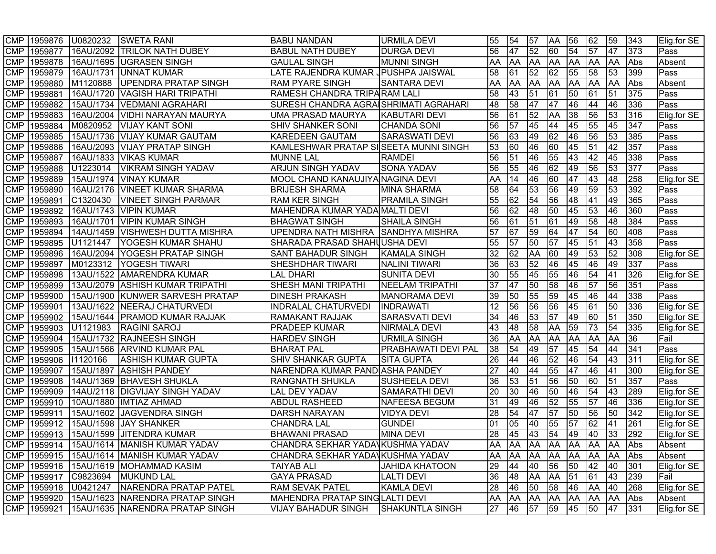|            |         | CMP 1959876 U0820232 | <b>SWETA RANI</b>                                 | <b>BABU NANDAN</b>                    | <b>URMILA DEVI</b>         | 55              | 54        | 57                              | <b>AA</b>       | 56              | 62              | 59              | 343 | Elig.for SE   |
|------------|---------|----------------------|---------------------------------------------------|---------------------------------------|----------------------------|-----------------|-----------|---------------------------------|-----------------|-----------------|-----------------|-----------------|-----|---------------|
| <b>CMP</b> | 1959877 |                      | 16AU/2092 TRILOK NATH DUBEY                       | <b>BABUL NATH DUBEY</b>               | <b>DURGA DEVI</b>          | 56              | 47        | 52                              | 60              | $\overline{54}$ | 57              | 47              | 373 | Pass          |
| <b>CMP</b> | 1959878 |                      | 16AU/1695 UGRASEN SINGH                           | <b>GAULAL SINGH</b>                   | <b>MUNNI SINGH</b>         | AA              | <b>AA</b> | <b>AA</b>                       | <b>AA</b>       | <b>AA</b>       | <b>AA</b>       | <b>AA</b>       | Abs | Absent        |
| <b>CMP</b> | 1959879 |                      | 16AU/1731 UNNAT KUMAR                             | LATE RAJENDRA KUMAR JPUSHPA JAISWAL   |                            | 58              | 61        | 52                              | 62              | 55              | 58              | 53              | 399 | Pass          |
| <b>CMP</b> | 1959880 | M1120888             | UPENDRA PRATAP SINGH                              | <b>RAM PYARE SINGH</b>                | <b>SANTARA DEVI</b>        | AA              | <b>AA</b> | AA                              | <b>AA</b>       | <b>AA</b>       | <b>JAA</b>      | <b>JAA</b>      | Abs | Absent        |
| <b>CMP</b> | 1959881 |                      | 16AU/1720 VAGISH HARI TRIPATHI                    | RAMESH CHANDRA TRIPARAM LALI          |                            | 58              | 43        | 51                              | $\overline{61}$ | 50              | 61              | 51              | 375 | Pass          |
| <b>CMP</b> | 1959882 |                      | 15AU/1734   VEDMANI AGRAHARI                      | SURESH CHANDRA AGRAISHRIMATI AGRAHARI |                            | 48              | 58        | 47                              | 47              | 46              | 44              | 46              | 336 | Pass          |
| <b>CMP</b> | 1959883 |                      | 16AU/2004   VIDHI NARAYAN MAURYA                  | UMA PRASAD MAURYA                     | <b>KABUTARI DEVI</b>       | 56              | 61        | 52                              | <b>AA</b>       | 38              | 56              | 53              | 316 | Elig.for SE   |
| <b>CMP</b> | 1959884 | M0820952             | <b>VIJAY KANT SONI</b>                            | <b>SHIV SHANKER SONI</b>              | <b>CHANDA SONI</b>         | 56              | 57        | 45                              | 44              | 45              | 55              | 45              | 347 | <b>Pass</b>   |
| <b>CMP</b> | 1959885 |                      | 15AU/1736 VIJAY KUMAR GAUTAM                      | <b>KAREDEEN GAUTAM</b>                | <b>SARASWATI DEVI</b>      | 56              | 63        | 49                              | 62              | 46              | 56              | 53              | 385 | Pass          |
| <b>CMP</b> | 1959886 |                      | 16AU/2093 VIJAY PRATAP SINGH                      | KAMLESHWAR PRATAP SISEETA MUNNI SINGH |                            | 53              | 60        | 46                              | 60              | 45              | $\overline{51}$ | 42              | 357 | Pass          |
| <b>CMP</b> | 1959887 |                      | 16AU/1833 VIKAS KUMAR                             | <b>MUNNE LAL</b>                      | <b>RAMDEI</b>              | 56              | 51        | 46                              | 55              | 43              | 42              | 45              | 338 | Pass          |
| <b>CMP</b> | 1959888 | U1223014             | <b>VIKRAM SINGH YADAV</b>                         | <b>ARJUN SINGH YADAV</b>              | <b>SONA YADAV</b>          | 56              | 55        | 46                              | $\overline{62}$ | 49              | 56              | 53              | 377 | Pass          |
| <b>CMP</b> | 1959889 |                      | 15AU/1974   VINAY KUMAR                           | MOOL CHAND KANAUJIYA NAGINA DEVI      |                            | AA              | 14        | 46                              | 60              | 47              | 43              | 48              | 258 | Elig.for SE   |
| <b>CMP</b> | 1959890 |                      | 16AU/2176 VINEET KUMAR SHARMA                     | <b>BRIJESH SHARMA</b>                 | <b>MINA SHARMA</b>         | 58              | 64        | 53                              | 56              | 49              | 59              | 53              | 392 | Pass          |
| <b>CMP</b> | 1959891 | C1320430             | <b>VINEET SINGH PARMAR</b>                        | <b>RAM KER SINGH</b>                  | <b>PRAMILA SINGH</b>       | 55              | 62        | 54                              | 56              | 48              | 41              | 49              | 365 | Pass          |
| <b>CMP</b> | 1959892 |                      | 16AU/1743 VIPIN KUMAR                             | MAHENDRA KUMAR YADA MALTI DEVI        |                            | 56              | 62        | 48                              | 50              | 45              | 53              | 46              | 360 | Pass          |
| <b>CMP</b> | 1959893 | 16AU/1701            | VIPIN KUMAR SINGH                                 | <b>BHAGWAT SINGH</b>                  | <b>SHAILA SINGH</b>        | 56              | 61        | 51                              | 61              | 49              | 58              | 48              | 384 | Pass          |
| <b>CMP</b> | 1959894 |                      | 14AU/1459 VISHWESH DUTTA MISHRA                   | UPENDRA NATH MISHRA SANDHYA MISHRA    |                            | 57              | 67        | 59                              | 64              | 47              | 54              | 60              | 408 | Pass          |
| <b>CMP</b> | 1959895 | U1121447             | YOGESH KUMAR SHAHU                                | SHARADA PRASAD SHAHUUSHA DEVI         |                            | 55              | 57        | 50                              | 57              | 45              | 51              | 43              | 358 | Pass          |
| <b>CMP</b> | 1959896 |                      | 16AU/2094 YOGESH PRATAP SINGH                     | SANT BAHADUR SINGH                    | KAMALA SINGH               | 32              | 62        | AA                              | 60              | 49              | 53              | 52              | 308 | Elig.for SE   |
| <b>CMP</b> | 1959897 | M0123312             | YOGESH TIWARI                                     | SHESHDHAR TIWARI                      | <b>NALINI TIWARI</b>       | 36              | 63        | 52                              | 46              | 45              | 46              | 49              | 337 | <b>Pass</b>   |
| <b>CMP</b> | 1959898 |                      | 13AU/1522 AMARENDRA KUMAR                         | LAL DHARI                             | <b>SUNITA DEVI</b>         | 30              | 55        | 45                              | 55              | 46              | 54              | <b>41</b>       | 326 | Elig.for SE   |
| <b>CMP</b> | 1959899 |                      | 13AU/2079 ASHISH KUMAR TRIPATHI                   | <b>SHESH MANI TRIPATHI</b>            | <b>NEELAM TRIPATHI</b>     | 37              | 47        | 50                              | 58              | 46              | $\overline{57}$ | 56              | 351 | Pass          |
| <b>CMP</b> | 1959900 |                      | 15AU/1900 KUNWER SARVESH PRATAP                   | <b>DINESH PRAKASH</b>                 | <b>MANORAMA DEVI</b>       | 39              | 50        | 55                              | 59              | 45              | 46              | 44              | 338 | Pass          |
| <b>CMP</b> | 1959901 |                      | 13AU/1622 NEERAJ CHATURVEDI                       | <b>INDRALAL CHATURVEDI</b>            | <b>INDRAWATI</b>           | 12              | 56        | 56                              | 56              | 45              | 161             | 50              | 336 | Elig.for SE   |
| <b>CMP</b> | 1959902 |                      | 15AU/1644   PRAMOD KUMAR RAJJAK                   | <b>RAMAKANT RAJJAK</b>                | <b>SARASVATI DEVI</b>      | 34              | 46        | 53                              | $\overline{57}$ | 49              | 60              | $\overline{51}$ | 350 | Elig.for SE   |
| <b>CMP</b> | 1959903 | U1121983             | <b>RAGINI SAROJ</b>                               | <b>PRADEEP KUMAR</b>                  | <b>NIRMALA DEVI</b>        | 43              | 48        | 58                              | <b>AA</b>       | 59              | 73              | 54              | 335 | Elig.for SE   |
| <b>CMP</b> | 1959904 |                      | 15AU/1732 RAJNEESH SINGH                          | <b>HARDEV SINGH</b>                   | <b>URMILA SINGH</b>        | 36              | AA        | AA                              | AA              | <b>AA</b>       | <b>AA</b>       | <b>AA</b>       | 36  | Fail          |
| <b>CMP</b> | 1959905 |                      | 15AU/1566   ARVIND KUMAR PAL                      | <b>BHARAT PAL</b>                     | <b>PRABHAWATI DEVI PAL</b> | 38              | 54        | 49                              | $\overline{57}$ | 45              | 54              | 44              | 341 | Pass          |
| <b>CMP</b> | 1959906 | 11120166             | <b>ASHISH KUMAR GUPTA</b>                         | <b>SHIV SHANKAR GUPTA</b>             | <b>SITA GUPTA</b>          | 26              | 44        | 46                              | 52              | 46              | 54              | 43              | 311 | Elig.for SE   |
| <b>CMP</b> | 1959907 |                      | 15AU/1897 ASHISH PANDEY                           | NARENDRA KUMAR PANDIASHA PANDEY       |                            | $\overline{27}$ | 40        | 44                              | 55              | 47              | 46              | 41              | 300 | Elig.for SE   |
| <b>CMP</b> | 1959908 |                      | 14AU/1369 BHAVESH SHUKLA                          | <b>RANGNATH SHUKLA</b>                | <b>SUSHEELA DEVI</b>       | 36              | 53        | 51                              | 56              | 50              | 60              | 51              | 357 | Pass          |
| <b>CMP</b> | 1959909 |                      | 14AU/2118   DIGVIJAY SINGH YADAV                  | <b>LAL DEV YADAV</b>                  | <b>SAMARATHI DEVI</b>      | 20              | 30        | 46                              | 50              | 46              | $\overline{54}$ | 43              | 289 | Elig.for SE   |
| <b>CMP</b> | 1959910 |                      | 10AU/1880  IMTIAZ AHMAD                           | <b>ABDUL RASHEED</b>                  | NAFEESA BEGUM              | 31              | 49        | 46                              | 52              | 55              | 57              | 46              | 336 | Elig.for SE   |
| <b>CMP</b> | 1959911 |                      | 15AU/1602 JAGVENDRA SINGH                         | <b>DARSH NARAYAN</b>                  | <b>VIDYA DEVI</b>          | 28              | 54        | 47                              | $\overline{57}$ | 50              | 56              | 50              | 342 | Elig.for SE   |
| <b>CMP</b> | 1959912 |                      | 15AU/1598 JAY SHANKER                             | <b>CHANDRA LAL</b>                    | <b>GUNDEI</b>              | 01              | 05        | 40                              | 55              | 57              | 62              | 41              | 261 | Elig.for SE   |
| <b>CMP</b> | 1959913 |                      | 15AU/1599 JJITENDRA KUMAR                         | <b>BHAWANI PRASAD</b>                 | <b>MINA DEVI</b>           | $\overline{28}$ | 45        | 43                              | 54              | 49              | 40              | 33              | 292 | Elig.for SE   |
|            |         |                      | CMP 1959914 15AU/1614 MANISH KUMAR YADAV          | CHANDRA SEKHAR YADAVKUSHMA YADAV      |                            |                 |           | AA  AA  AA  AA  AA  AA  AA  Abs |                 |                 |                 |                 |     | <b>Absent</b> |
|            |         |                      | CMP 1959915 15AU/1614 MANISH KUMAR YADAV          | CHANDRA SEKHAR YADAVKUSHMA YADAV      |                            | AA              |           | AA  AA  AA  AA  AA  AA          |                 |                 |                 |                 | Abs | Absent        |
|            |         |                      | CMP 1959916 15AU/1619 MOHAMMAD KASIM              | <b>TAIYAB ALI</b>                     | <b>JAHIDA KHATOON</b>      | 29              | 44        | 40                              | 56              | 50              | $ 42\rangle$    | 40              | 301 | Elig.for SE   |
|            |         |                      | CMP 1959917 C9823694 MUKUND LAL                   | <b>GAYA PRASAD</b>                    | <b>LALTI DEVI</b>          | 36              | 48        | AA                              | AA 51           |                 | 61              | 43              | 239 | <b>Fail</b>   |
|            |         |                      | CMP 1959918 U0421247 NARENDRA PRATAP PATEL        | <b>RAM SEVAK PATEL</b>                | <b>KAMLA DEVI</b>          | 28              | 46        | 50                              | 58              | 46              | AA 40           |                 | 268 | Elig.for SE   |
|            |         |                      | CMP 1959920 15AU/1623 NARENDRA PRATAP SINGH       | <b>MAHENDRA PRATAP SINGLALTI DEVI</b> |                            | AA              | <b>AA</b> | <b>AA</b>                       |                 |                 | AA AA AA AA Abs |                 |     | Absent        |
|            |         |                      | CMP   1959921   15AU/1635   NARENDRA PRATAP SINGH | VIJAY BAHADUR SINGH                   | <b>SHAKUNTLA SINGH</b>     | 27              | 46        | 57                              | 59 45           |                 | 50              | 47 331          |     | Elig.for SE   |